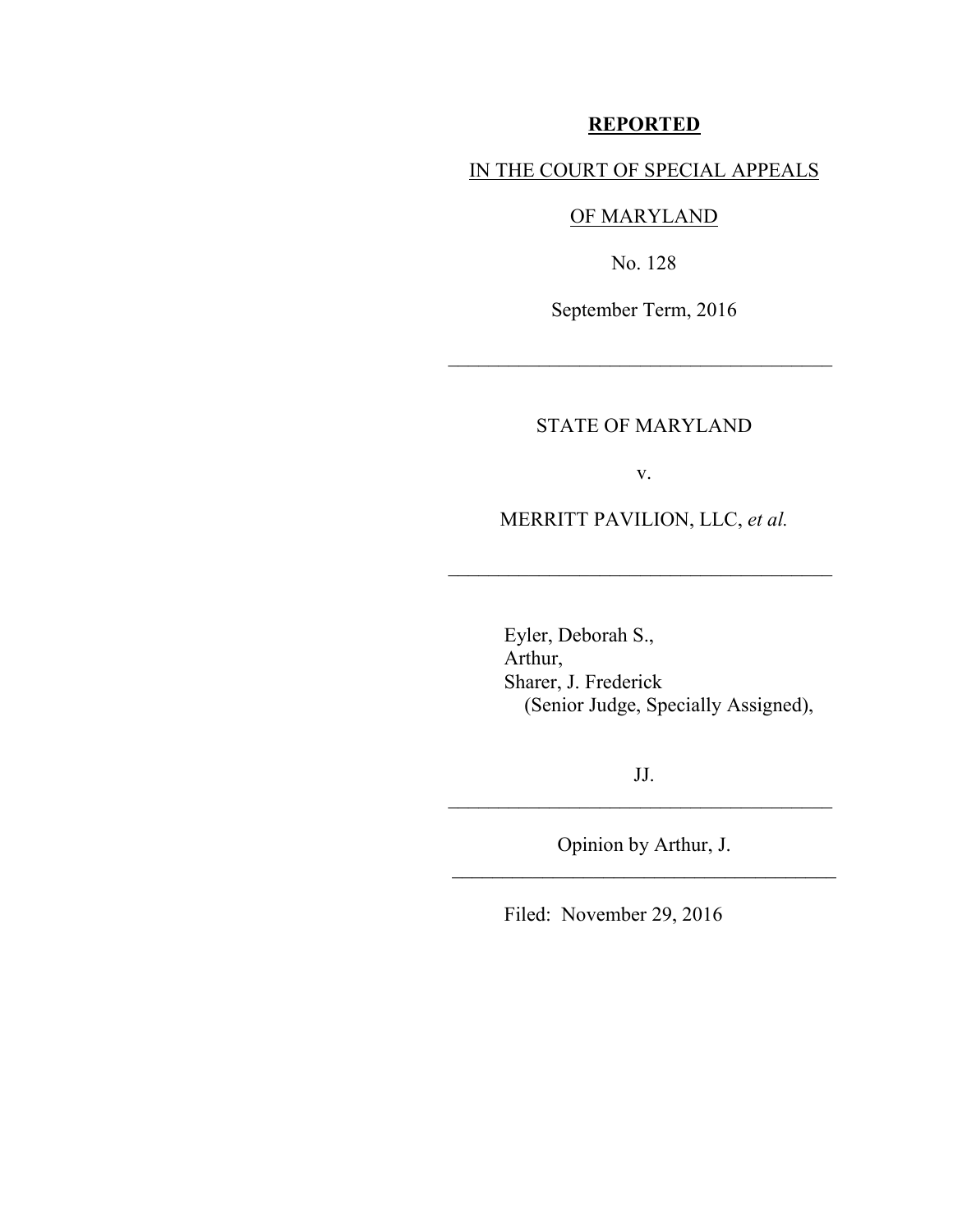### **REPORTED**

### IN THE COURT OF SPECIAL APPEALS

## OF MARYLAND

No. 128

September Term, 2016

\_\_\_\_\_\_\_\_\_\_\_\_\_\_\_\_\_\_\_\_\_\_\_\_\_\_\_\_\_\_\_\_\_\_\_\_\_\_

## STATE OF MARYLAND

v.

### MERRITT PAVILION, LLC, *et al.*

\_\_\_\_\_\_\_\_\_\_\_\_\_\_\_\_\_\_\_\_\_\_\_\_\_\_\_\_\_\_\_\_\_\_\_\_\_\_

 Eyler, Deborah S., Arthur, Sharer, J. Frederick (Senior Judge, Specially Assigned),

JJ.  $\mathcal{L}_\text{max}$  , where  $\mathcal{L}_\text{max}$  , we are the set of  $\mathcal{L}_\text{max}$ 

Opinion by Arthur, J. \_\_\_\_\_\_\_\_\_\_\_\_\_\_\_\_\_\_\_\_\_\_\_\_\_\_\_\_\_\_\_\_\_\_\_\_\_\_

Filed: November 29, 2016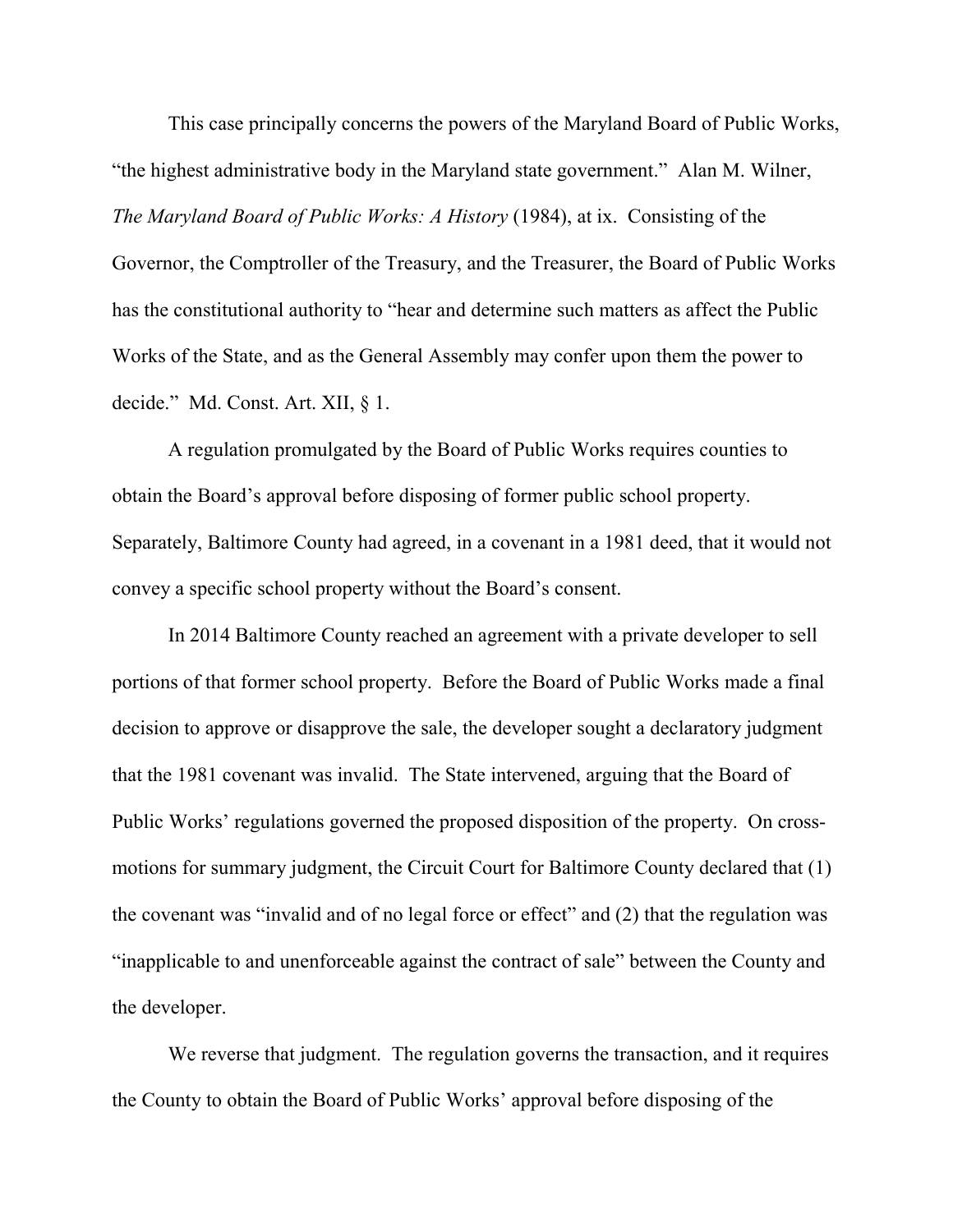This case principally concerns the powers of the Maryland Board of Public Works, "the highest administrative body in the Maryland state government." Alan M. Wilner, *The Maryland Board of Public Works: A History* (1984), at ix. Consisting of the Governor, the Comptroller of the Treasury, and the Treasurer, the Board of Public Works has the constitutional authority to "hear and determine such matters as affect the Public Works of the State, and as the General Assembly may confer upon them the power to decide." Md. Const. Art. XII, § 1.

A regulation promulgated by the Board of Public Works requires counties to obtain the Board's approval before disposing of former public school property. Separately, Baltimore County had agreed, in a covenant in a 1981 deed, that it would not convey a specific school property without the Board's consent.

In 2014 Baltimore County reached an agreement with a private developer to sell portions of that former school property. Before the Board of Public Works made a final decision to approve or disapprove the sale, the developer sought a declaratory judgment that the 1981 covenant was invalid. The State intervened, arguing that the Board of Public Works' regulations governed the proposed disposition of the property. On crossmotions for summary judgment, the Circuit Court for Baltimore County declared that (1) the covenant was "invalid and of no legal force or effect" and (2) that the regulation was "inapplicable to and unenforceable against the contract of sale" between the County and the developer.

We reverse that judgment. The regulation governs the transaction, and it requires the County to obtain the Board of Public Works' approval before disposing of the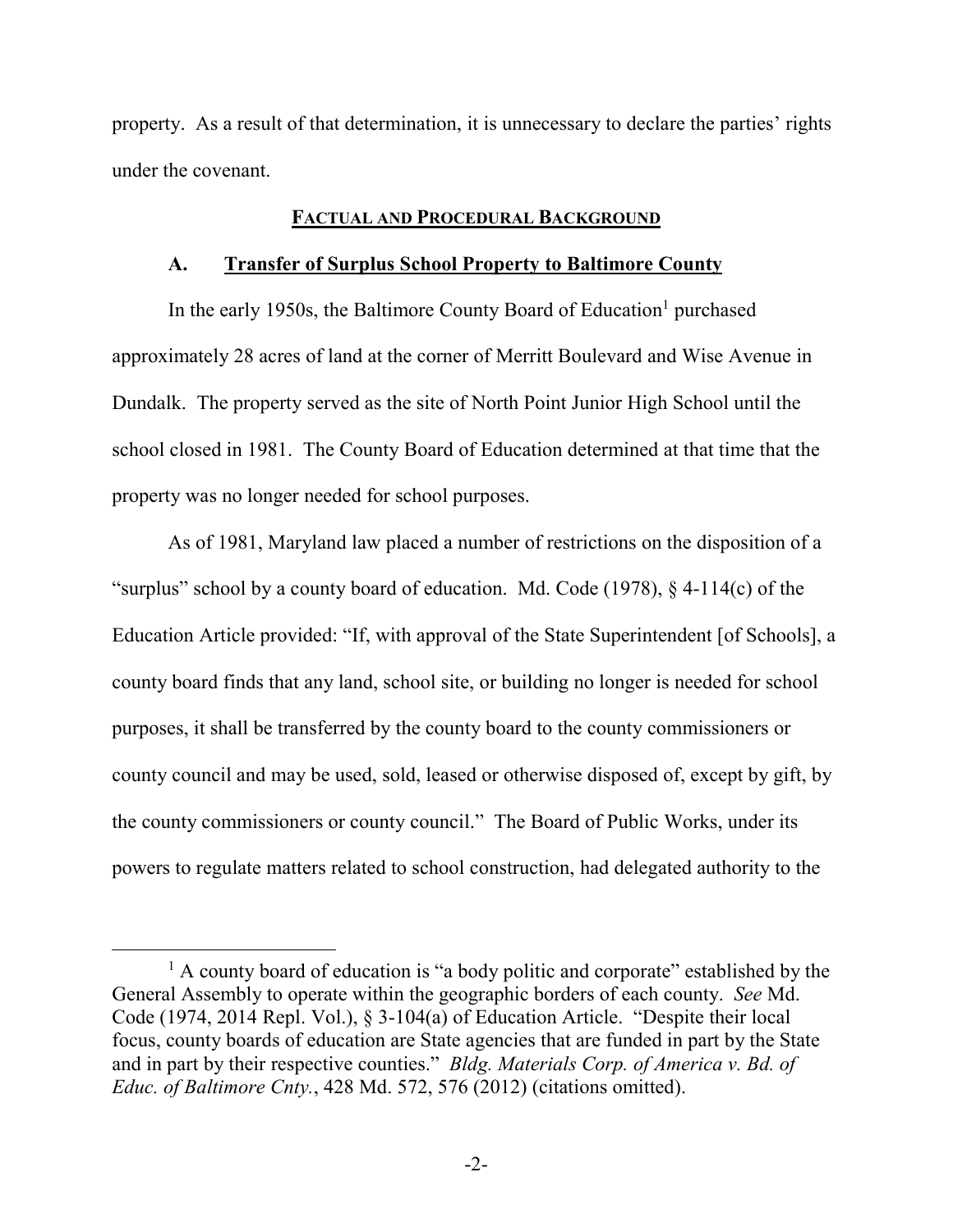property. As a result of that determination, it is unnecessary to declare the parties' rights under the covenant.

#### **FACTUAL AND PROCEDURAL BACKGROUND**

#### **A. Transfer of Surplus School Property to Baltimore County**

In the early 1950s, the Baltimore County Board of Education<sup>1</sup> purchased approximately 28 acres of land at the corner of Merritt Boulevard and Wise Avenue in Dundalk. The property served as the site of North Point Junior High School until the school closed in 1981. The County Board of Education determined at that time that the property was no longer needed for school purposes.

As of 1981, Maryland law placed a number of restrictions on the disposition of a "surplus" school by a county board of education. Md. Code (1978), § 4-114(c) of the Education Article provided: "If, with approval of the State Superintendent [of Schools], a county board finds that any land, school site, or building no longer is needed for school purposes, it shall be transferred by the county board to the county commissioners or county council and may be used, sold, leased or otherwise disposed of, except by gift, by the county commissioners or county council." The Board of Public Works, under its powers to regulate matters related to school construction, had delegated authority to the

<sup>&</sup>lt;sup>1</sup> A county board of education is "a body politic and corporate" established by the General Assembly to operate within the geographic borders of each county. *See* Md. Code (1974, 2014 Repl. Vol.), § 3-104(a) of Education Article. "Despite their local focus, county boards of education are State agencies that are funded in part by the State and in part by their respective counties." *Bldg. Materials Corp. of America v. Bd. of Educ. of Baltimore Cnty.*, 428 Md. 572, 576 (2012) (citations omitted).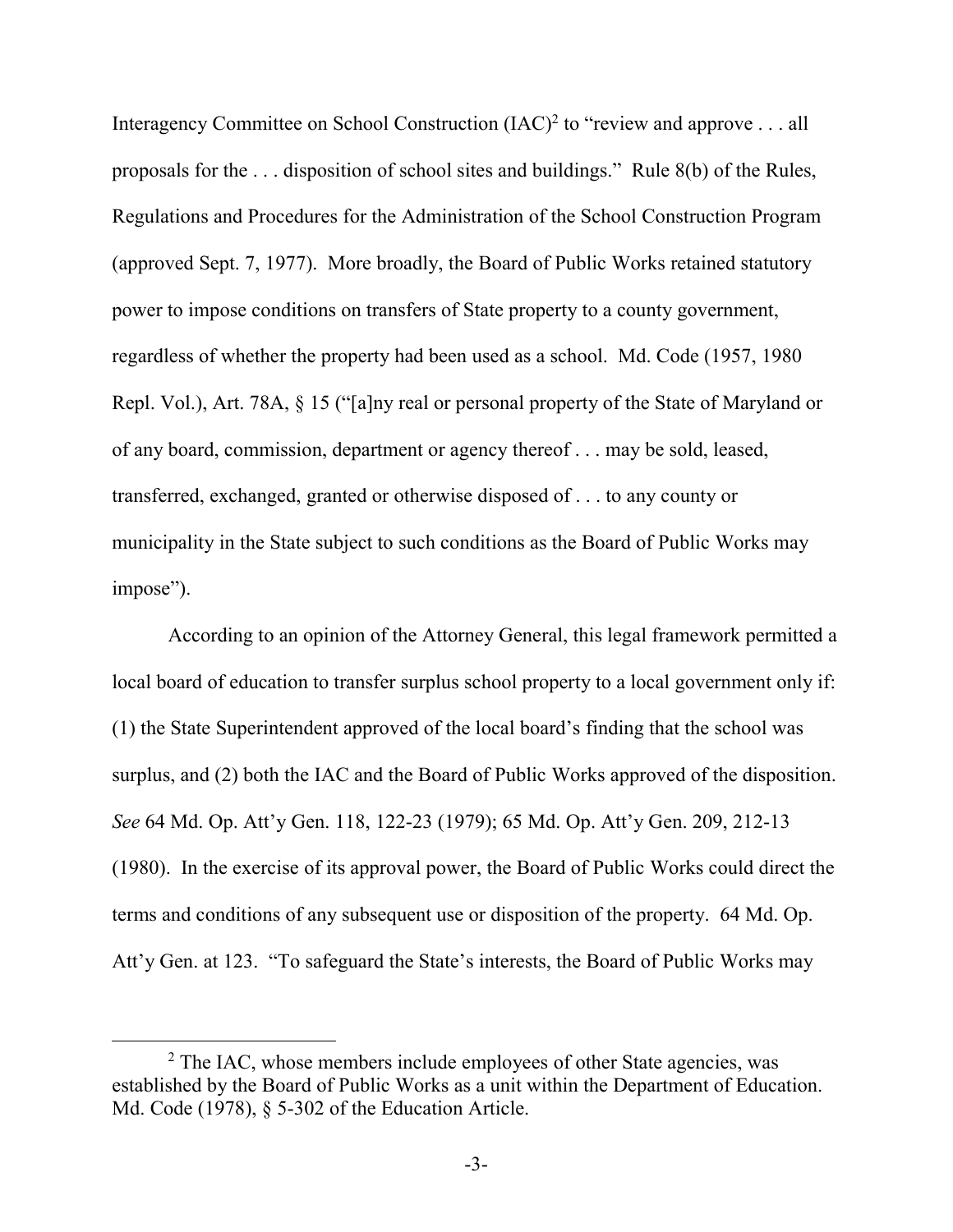Interagency Committee on School Construction (IAC)<sup>2</sup> to "review and approve . . . all proposals for the . . . disposition of school sites and buildings." Rule 8(b) of the Rules, Regulations and Procedures for the Administration of the School Construction Program (approved Sept. 7, 1977). More broadly, the Board of Public Works retained statutory power to impose conditions on transfers of State property to a county government, regardless of whether the property had been used as a school. Md. Code (1957, 1980 Repl. Vol.), Art. 78A, § 15 ("[a]ny real or personal property of the State of Maryland or of any board, commission, department or agency thereof . . . may be sold, leased, transferred, exchanged, granted or otherwise disposed of . . . to any county or municipality in the State subject to such conditions as the Board of Public Works may impose").

According to an opinion of the Attorney General, this legal framework permitted a local board of education to transfer surplus school property to a local government only if: (1) the State Superintendent approved of the local board's finding that the school was surplus, and (2) both the IAC and the Board of Public Works approved of the disposition. *See* 64 Md. Op. Att'y Gen. 118, 122-23 (1979); 65 Md. Op. Att'y Gen. 209, 212-13 (1980). In the exercise of its approval power, the Board of Public Works could direct the terms and conditions of any subsequent use or disposition of the property. 64 Md. Op. Att'y Gen. at 123. "To safeguard the State's interests, the Board of Public Works may

<sup>&</sup>lt;sup>2</sup> The IAC, whose members include employees of other State agencies, was established by the Board of Public Works as a unit within the Department of Education. Md. Code (1978), § 5-302 of the Education Article.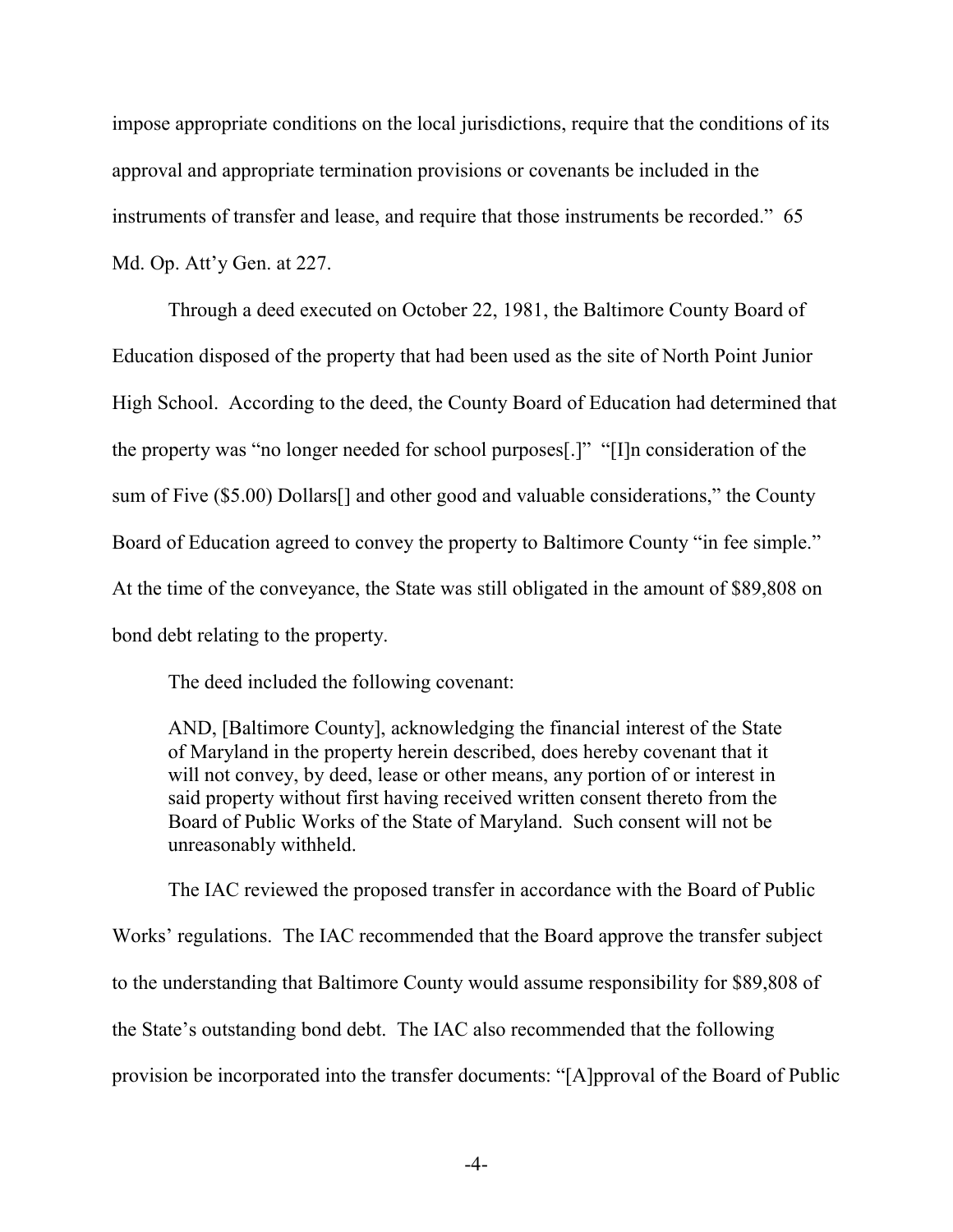impose appropriate conditions on the local jurisdictions, require that the conditions of its approval and appropriate termination provisions or covenants be included in the instruments of transfer and lease, and require that those instruments be recorded." 65 Md. Op. Att'y Gen. at 227.

Through a deed executed on October 22, 1981, the Baltimore County Board of Education disposed of the property that had been used as the site of North Point Junior High School. According to the deed, the County Board of Education had determined that the property was "no longer needed for school purposes[.]" "[I]n consideration of the sum of Five (\$5.00) Dollars[] and other good and valuable considerations," the County Board of Education agreed to convey the property to Baltimore County "in fee simple." At the time of the conveyance, the State was still obligated in the amount of \$89,808 on bond debt relating to the property.

The deed included the following covenant:

AND, [Baltimore County], acknowledging the financial interest of the State of Maryland in the property herein described, does hereby covenant that it will not convey, by deed, lease or other means, any portion of or interest in said property without first having received written consent thereto from the Board of Public Works of the State of Maryland. Such consent will not be unreasonably withheld.

The IAC reviewed the proposed transfer in accordance with the Board of Public Works' regulations. The IAC recommended that the Board approve the transfer subject to the understanding that Baltimore County would assume responsibility for \$89,808 of the State's outstanding bond debt. The IAC also recommended that the following provision be incorporated into the transfer documents: "[A]pproval of the Board of Public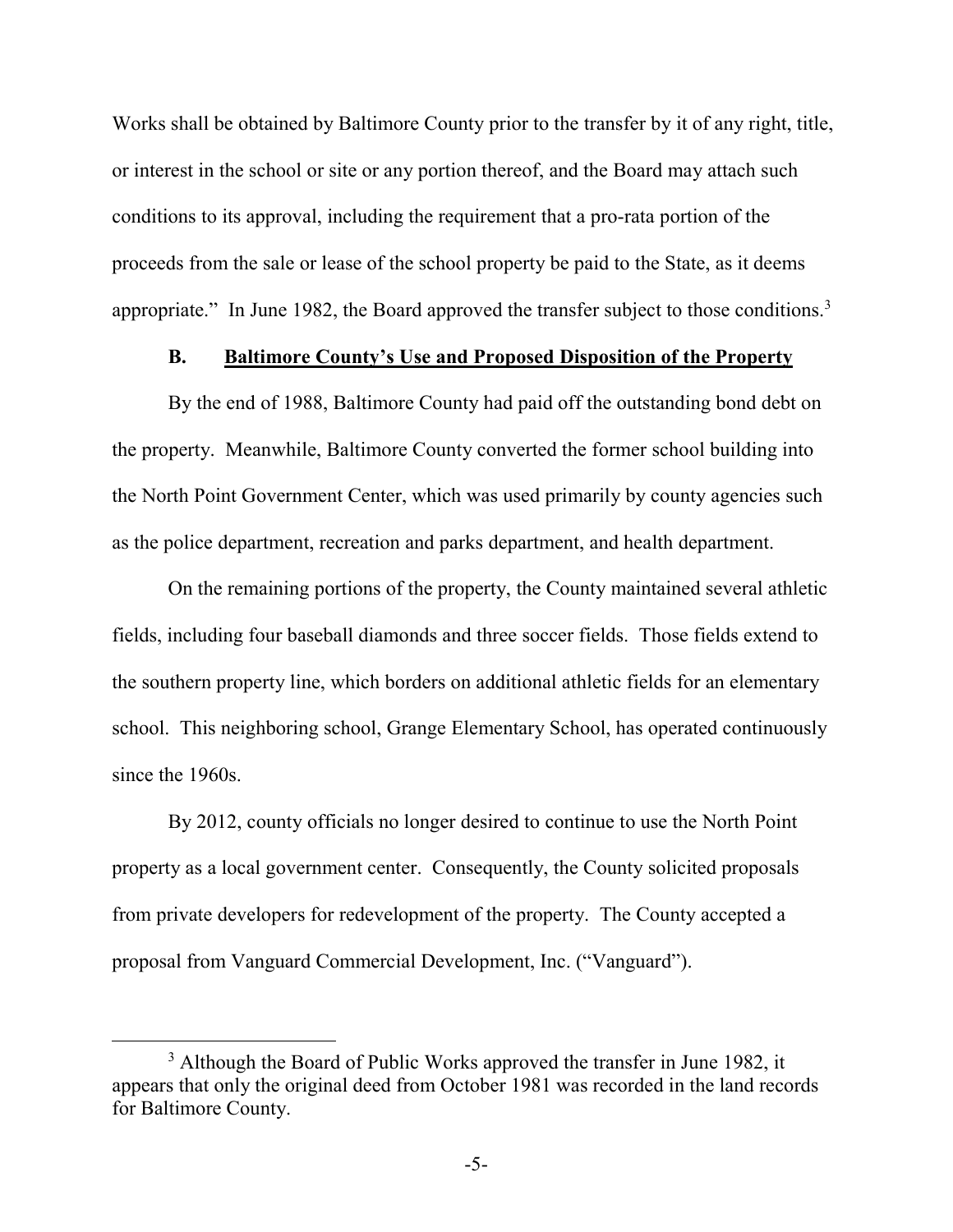Works shall be obtained by Baltimore County prior to the transfer by it of any right, title, or interest in the school or site or any portion thereof, and the Board may attach such conditions to its approval, including the requirement that a pro-rata portion of the proceeds from the sale or lease of the school property be paid to the State, as it deems appropriate." In June 1982, the Board approved the transfer subject to those conditions.<sup>3</sup>

### **B. Baltimore County's Use and Proposed Disposition of the Property**

By the end of 1988, Baltimore County had paid off the outstanding bond debt on the property. Meanwhile, Baltimore County converted the former school building into the North Point Government Center, which was used primarily by county agencies such as the police department, recreation and parks department, and health department.

On the remaining portions of the property, the County maintained several athletic fields, including four baseball diamonds and three soccer fields. Those fields extend to the southern property line, which borders on additional athletic fields for an elementary school. This neighboring school, Grange Elementary School, has operated continuously since the 1960s.

By 2012, county officials no longer desired to continue to use the North Point property as a local government center. Consequently, the County solicited proposals from private developers for redevelopment of the property. The County accepted a proposal from Vanguard Commercial Development, Inc. ("Vanguard").

<sup>&</sup>lt;sup>3</sup> Although the Board of Public Works approved the transfer in June 1982, it appears that only the original deed from October 1981 was recorded in the land records for Baltimore County.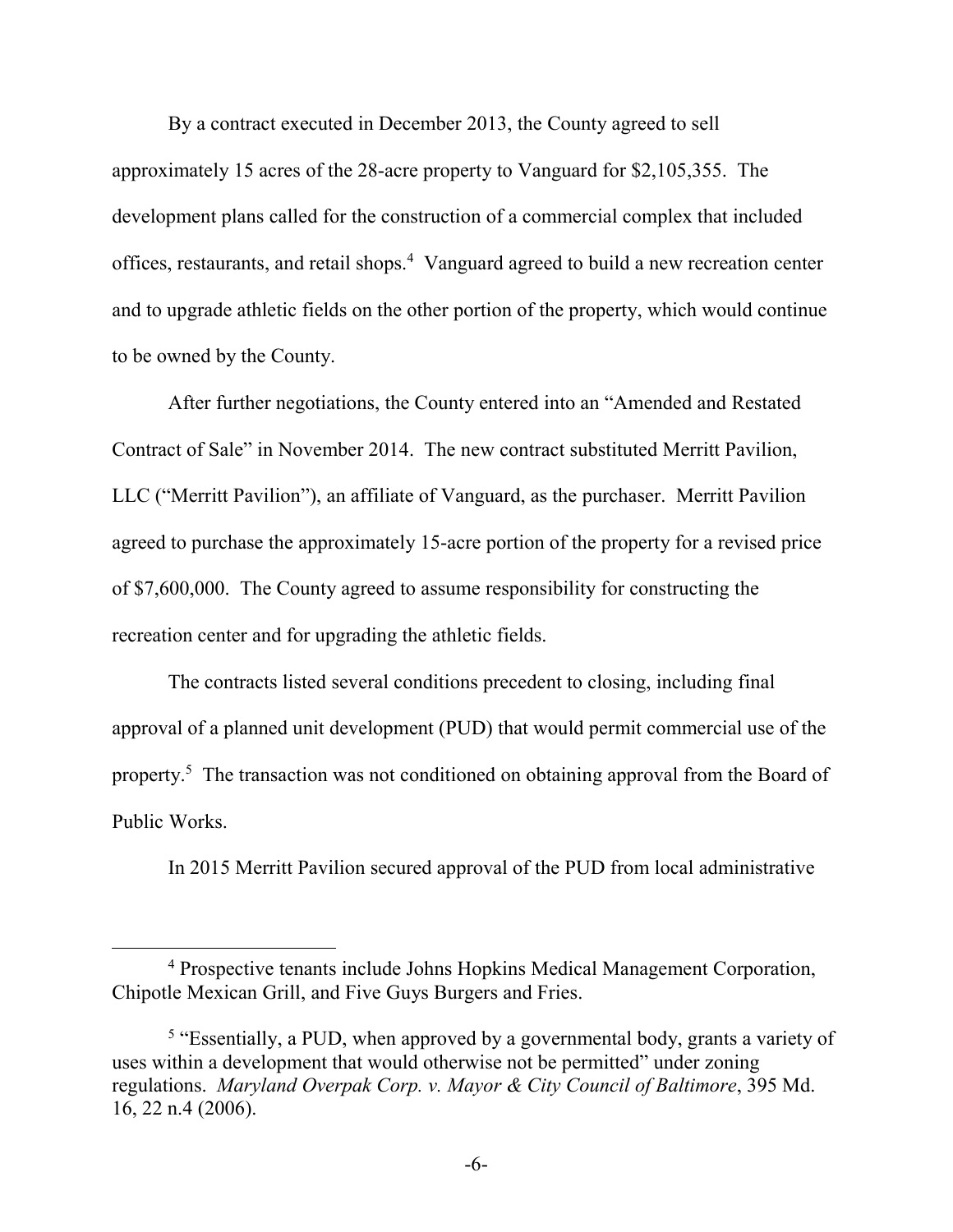By a contract executed in December 2013, the County agreed to sell approximately 15 acres of the 28-acre property to Vanguard for \$2,105,355. The development plans called for the construction of a commercial complex that included offices, restaurants, and retail shops.<sup>4</sup> Vanguard agreed to build a new recreation center and to upgrade athletic fields on the other portion of the property, which would continue to be owned by the County.

After further negotiations, the County entered into an "Amended and Restated Contract of Sale" in November 2014. The new contract substituted Merritt Pavilion, LLC ("Merritt Pavilion"), an affiliate of Vanguard, as the purchaser. Merritt Pavilion agreed to purchase the approximately 15-acre portion of the property for a revised price of \$7,600,000. The County agreed to assume responsibility for constructing the recreation center and for upgrading the athletic fields.

The contracts listed several conditions precedent to closing, including final approval of a planned unit development (PUD) that would permit commercial use of the property.<sup>5</sup> The transaction was not conditioned on obtaining approval from the Board of Public Works.

In 2015 Merritt Pavilion secured approval of the PUD from local administrative

<sup>4</sup> Prospective tenants include Johns Hopkins Medical Management Corporation, Chipotle Mexican Grill, and Five Guys Burgers and Fries.

<sup>&</sup>lt;sup>5</sup> "Essentially, a PUD, when approved by a governmental body, grants a variety of uses within a development that would otherwise not be permitted" under zoning regulations. *Maryland Overpak Corp. v. Mayor & City Council of Baltimore*, 395 Md. 16, 22 n.4 (2006).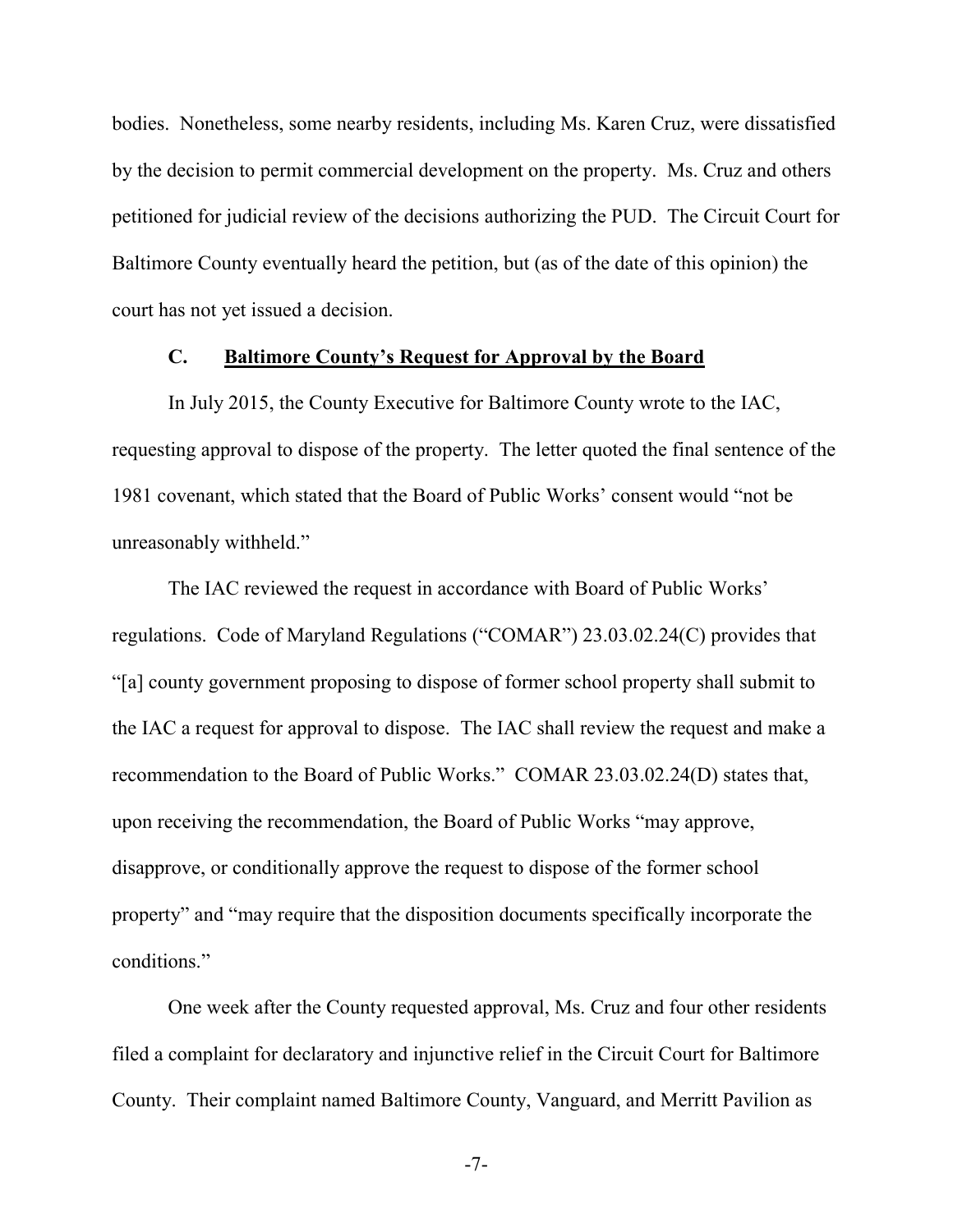bodies. Nonetheless, some nearby residents, including Ms. Karen Cruz, were dissatisfied by the decision to permit commercial development on the property. Ms. Cruz and others petitioned for judicial review of the decisions authorizing the PUD. The Circuit Court for Baltimore County eventually heard the petition, but (as of the date of this opinion) the court has not yet issued a decision.

# **C. Baltimore County's Request for Approval by the Board**

In July 2015, the County Executive for Baltimore County wrote to the IAC, requesting approval to dispose of the property. The letter quoted the final sentence of the 1981 covenant, which stated that the Board of Public Works' consent would "not be unreasonably withheld."

The IAC reviewed the request in accordance with Board of Public Works' regulations. Code of Maryland Regulations ("COMAR") 23.03.02.24(C) provides that "[a] county government proposing to dispose of former school property shall submit to the IAC a request for approval to dispose. The IAC shall review the request and make a recommendation to the Board of Public Works." COMAR 23.03.02.24(D) states that, upon receiving the recommendation, the Board of Public Works "may approve, disapprove, or conditionally approve the request to dispose of the former school property" and "may require that the disposition documents specifically incorporate the conditions."

One week after the County requested approval, Ms. Cruz and four other residents filed a complaint for declaratory and injunctive relief in the Circuit Court for Baltimore County. Their complaint named Baltimore County, Vanguard, and Merritt Pavilion as

-7-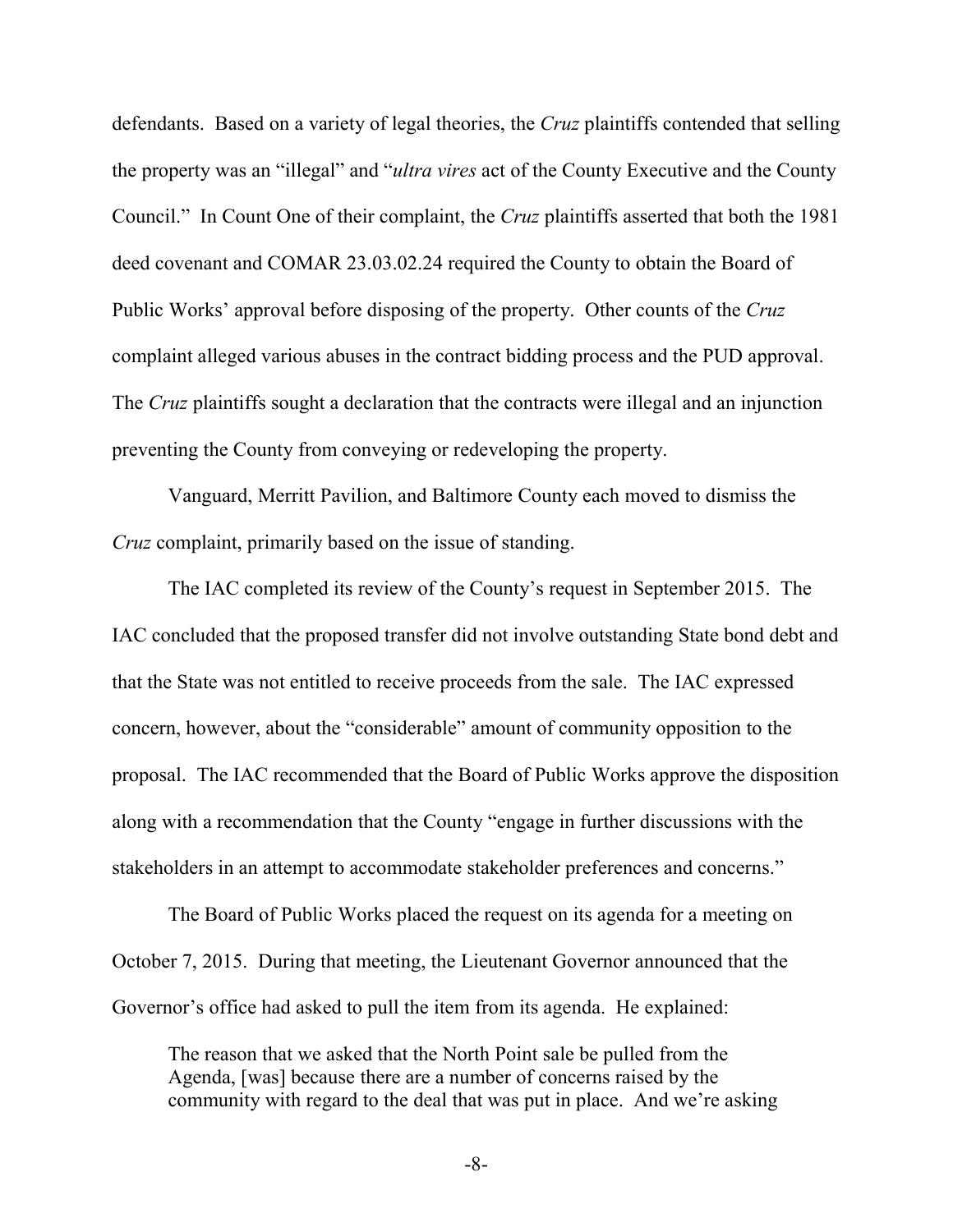defendants. Based on a variety of legal theories, the *Cruz* plaintiffs contended that selling the property was an "illegal" and "*ultra vires* act of the County Executive and the County Council." In Count One of their complaint, the *Cruz* plaintiffs asserted that both the 1981 deed covenant and COMAR 23.03.02.24 required the County to obtain the Board of Public Works' approval before disposing of the property. Other counts of the *Cruz* complaint alleged various abuses in the contract bidding process and the PUD approval. The *Cruz* plaintiffs sought a declaration that the contracts were illegal and an injunction preventing the County from conveying or redeveloping the property.

Vanguard, Merritt Pavilion, and Baltimore County each moved to dismiss the *Cruz* complaint, primarily based on the issue of standing.

The IAC completed its review of the County's request in September 2015. The IAC concluded that the proposed transfer did not involve outstanding State bond debt and that the State was not entitled to receive proceeds from the sale. The IAC expressed concern, however, about the "considerable" amount of community opposition to the proposal. The IAC recommended that the Board of Public Works approve the disposition along with a recommendation that the County "engage in further discussions with the stakeholders in an attempt to accommodate stakeholder preferences and concerns."

The Board of Public Works placed the request on its agenda for a meeting on October 7, 2015. During that meeting, the Lieutenant Governor announced that the Governor's office had asked to pull the item from its agenda. He explained:

The reason that we asked that the North Point sale be pulled from the Agenda, [was] because there are a number of concerns raised by the community with regard to the deal that was put in place. And we're asking

-8-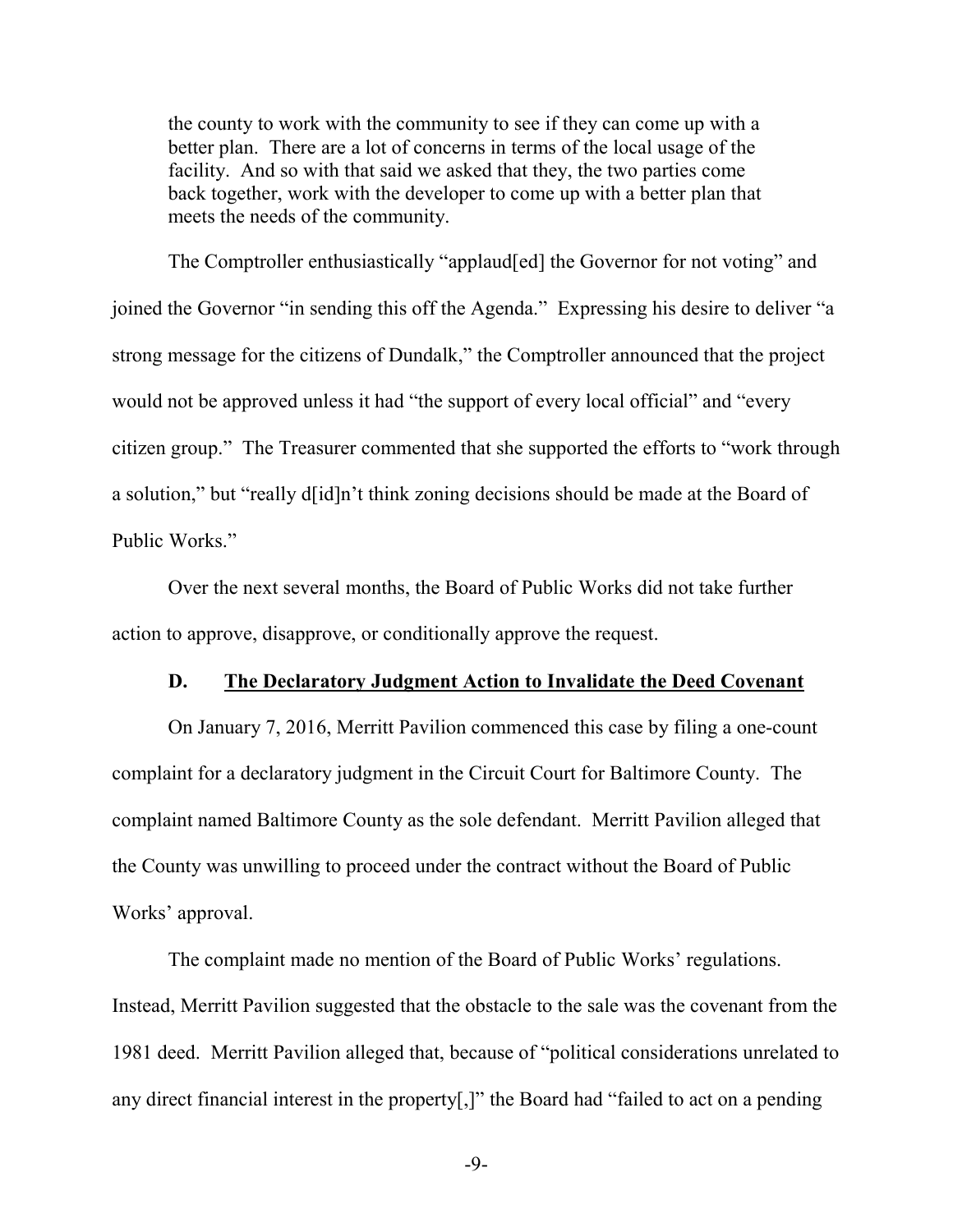the county to work with the community to see if they can come up with a better plan. There are a lot of concerns in terms of the local usage of the facility. And so with that said we asked that they, the two parties come back together, work with the developer to come up with a better plan that meets the needs of the community.

The Comptroller enthusiastically "applaud[ed] the Governor for not voting" and joined the Governor "in sending this off the Agenda." Expressing his desire to deliver "a strong message for the citizens of Dundalk," the Comptroller announced that the project would not be approved unless it had "the support of every local official" and "every citizen group." The Treasurer commented that she supported the efforts to "work through a solution," but "really d[id]n't think zoning decisions should be made at the Board of Public Works."

Over the next several months, the Board of Public Works did not take further action to approve, disapprove, or conditionally approve the request.

#### **D. The Declaratory Judgment Action to Invalidate the Deed Covenant**

On January 7, 2016, Merritt Pavilion commenced this case by filing a one-count complaint for a declaratory judgment in the Circuit Court for Baltimore County. The complaint named Baltimore County as the sole defendant. Merritt Pavilion alleged that the County was unwilling to proceed under the contract without the Board of Public Works' approval.

The complaint made no mention of the Board of Public Works' regulations. Instead, Merritt Pavilion suggested that the obstacle to the sale was the covenant from the 1981 deed. Merritt Pavilion alleged that, because of "political considerations unrelated to any direct financial interest in the property[,]" the Board had "failed to act on a pending

-9-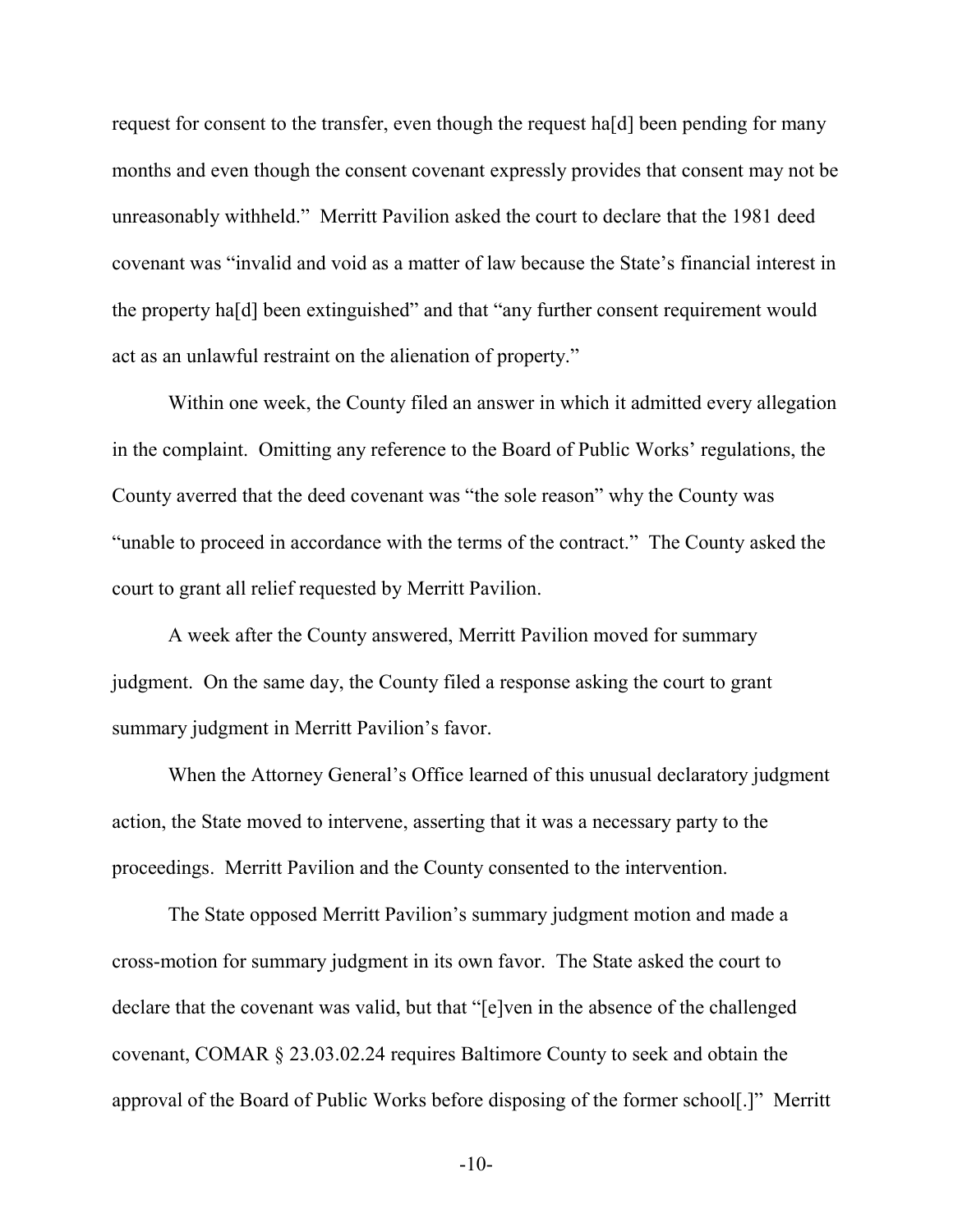request for consent to the transfer, even though the request ha[d] been pending for many months and even though the consent covenant expressly provides that consent may not be unreasonably withheld." Merritt Pavilion asked the court to declare that the 1981 deed covenant was "invalid and void as a matter of law because the State's financial interest in the property ha[d] been extinguished" and that "any further consent requirement would act as an unlawful restraint on the alienation of property."

Within one week, the County filed an answer in which it admitted every allegation in the complaint. Omitting any reference to the Board of Public Works' regulations, the County averred that the deed covenant was "the sole reason" why the County was "unable to proceed in accordance with the terms of the contract." The County asked the court to grant all relief requested by Merritt Pavilion.

A week after the County answered, Merritt Pavilion moved for summary judgment. On the same day, the County filed a response asking the court to grant summary judgment in Merritt Pavilion's favor.

When the Attorney General's Office learned of this unusual declaratory judgment action, the State moved to intervene, asserting that it was a necessary party to the proceedings. Merritt Pavilion and the County consented to the intervention.

The State opposed Merritt Pavilion's summary judgment motion and made a cross-motion for summary judgment in its own favor. The State asked the court to declare that the covenant was valid, but that "[e]ven in the absence of the challenged covenant, COMAR § 23.03.02.24 requires Baltimore County to seek and obtain the approval of the Board of Public Works before disposing of the former school[.]" Merritt

-10-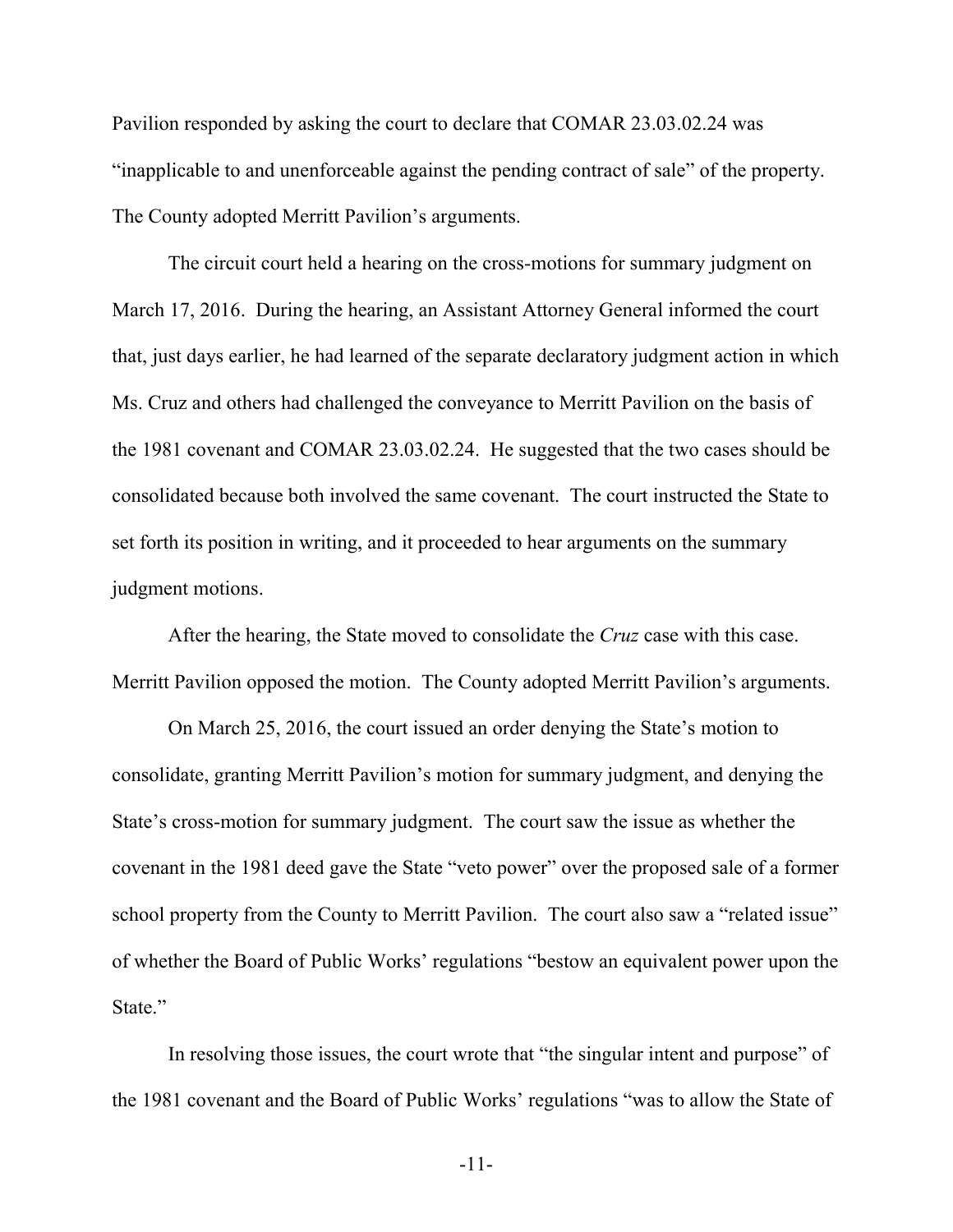Pavilion responded by asking the court to declare that COMAR 23.03.02.24 was "inapplicable to and unenforceable against the pending contract of sale" of the property. The County adopted Merritt Pavilion's arguments.

The circuit court held a hearing on the cross-motions for summary judgment on March 17, 2016. During the hearing, an Assistant Attorney General informed the court that, just days earlier, he had learned of the separate declaratory judgment action in which Ms. Cruz and others had challenged the conveyance to Merritt Pavilion on the basis of the 1981 covenant and COMAR 23.03.02.24. He suggested that the two cases should be consolidated because both involved the same covenant. The court instructed the State to set forth its position in writing, and it proceeded to hear arguments on the summary judgment motions.

After the hearing, the State moved to consolidate the *Cruz* case with this case. Merritt Pavilion opposed the motion. The County adopted Merritt Pavilion's arguments.

On March 25, 2016, the court issued an order denying the State's motion to consolidate, granting Merritt Pavilion's motion for summary judgment, and denying the State's cross-motion for summary judgment. The court saw the issue as whether the covenant in the 1981 deed gave the State "veto power" over the proposed sale of a former school property from the County to Merritt Pavilion. The court also saw a "related issue" of whether the Board of Public Works' regulations "bestow an equivalent power upon the State."

In resolving those issues, the court wrote that "the singular intent and purpose" of the 1981 covenant and the Board of Public Works' regulations "was to allow the State of

-11-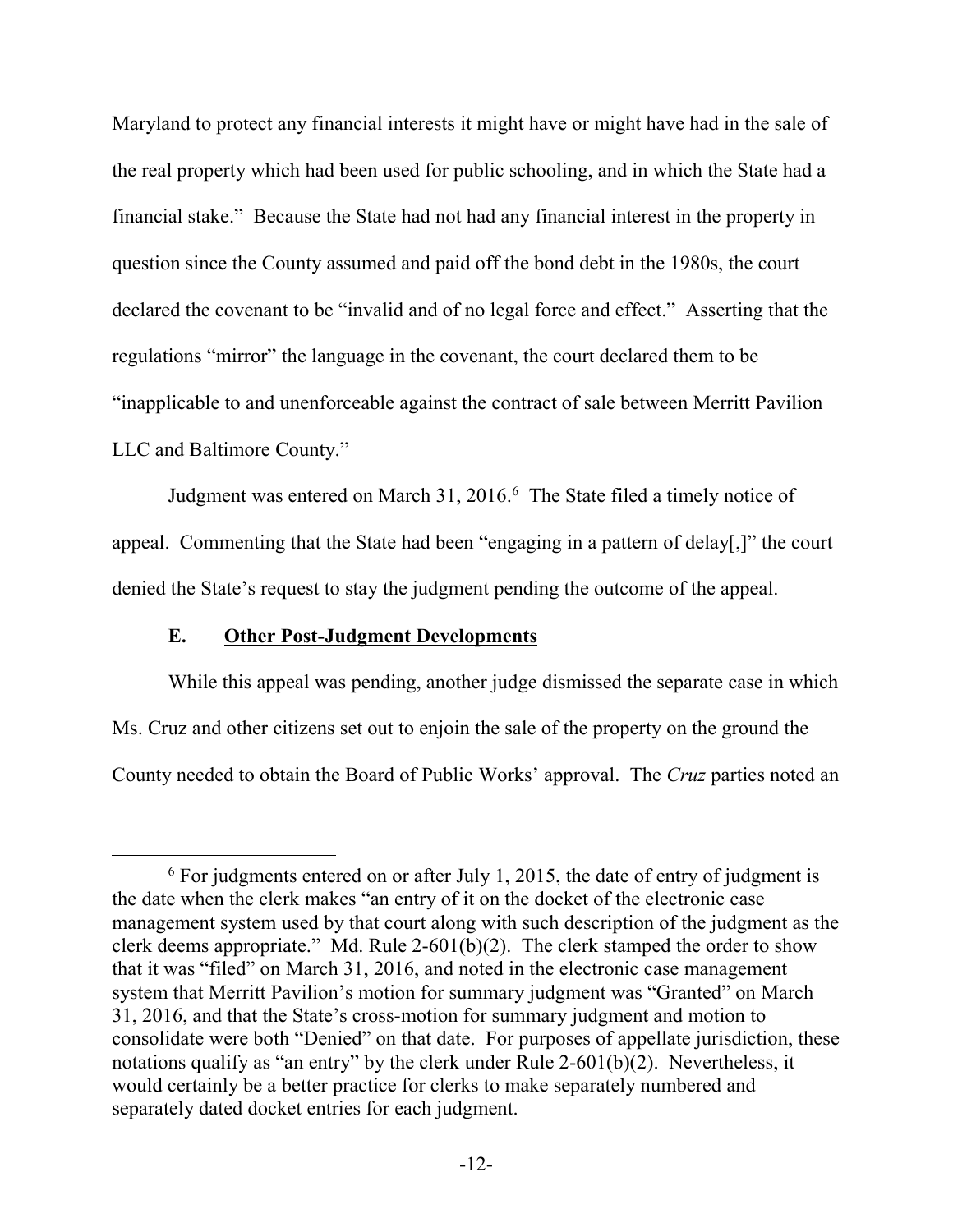Maryland to protect any financial interests it might have or might have had in the sale of the real property which had been used for public schooling, and in which the State had a financial stake." Because the State had not had any financial interest in the property in question since the County assumed and paid off the bond debt in the 1980s, the court declared the covenant to be "invalid and of no legal force and effect." Asserting that the regulations "mirror" the language in the covenant, the court declared them to be "inapplicable to and unenforceable against the contract of sale between Merritt Pavilion LLC and Baltimore County."

Judgment was entered on March 31, 2016.<sup>6</sup> The State filed a timely notice of appeal. Commenting that the State had been "engaging in a pattern of delay[,]" the court denied the State's request to stay the judgment pending the outcome of the appeal.

### **E. Other Post-Judgment Developments**

 $\overline{a}$ 

While this appeal was pending, another judge dismissed the separate case in which Ms. Cruz and other citizens set out to enjoin the sale of the property on the ground the County needed to obtain the Board of Public Works' approval. The *Cruz* parties noted an

 $6$  For judgments entered on or after July 1, 2015, the date of entry of judgment is the date when the clerk makes "an entry of it on the docket of the electronic case management system used by that court along with such description of the judgment as the clerk deems appropriate." Md. Rule 2-601(b)(2). The clerk stamped the order to show that it was "filed" on March 31, 2016, and noted in the electronic case management system that Merritt Pavilion's motion for summary judgment was "Granted" on March 31, 2016, and that the State's cross-motion for summary judgment and motion to consolidate were both "Denied" on that date. For purposes of appellate jurisdiction, these notations qualify as "an entry" by the clerk under Rule 2-601(b)(2). Nevertheless, it would certainly be a better practice for clerks to make separately numbered and separately dated docket entries for each judgment.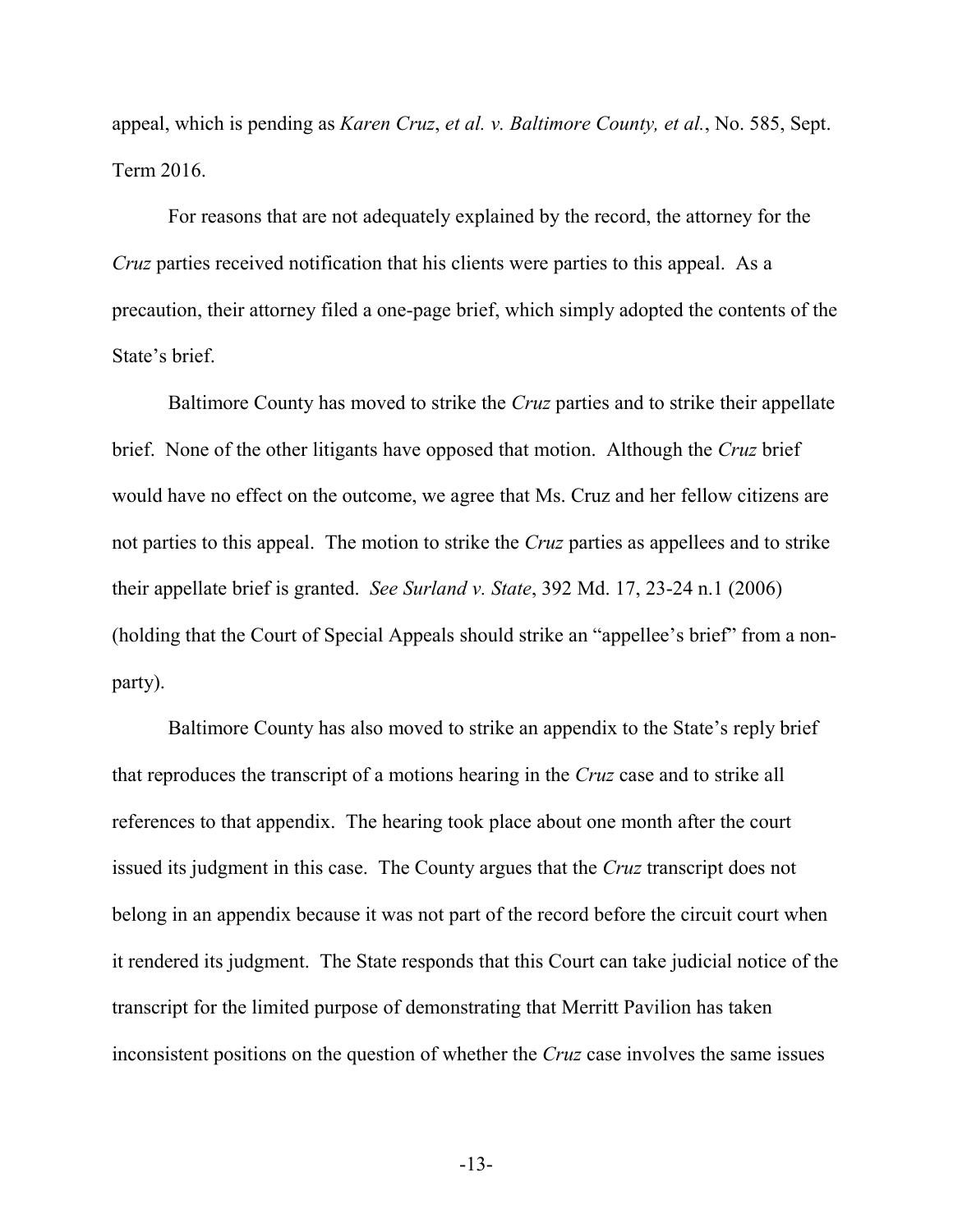appeal, which is pending as *Karen Cruz*, *et al. v. Baltimore County, et al.*, No. 585, Sept. Term 2016.

For reasons that are not adequately explained by the record, the attorney for the *Cruz* parties received notification that his clients were parties to this appeal. As a precaution, their attorney filed a one-page brief, which simply adopted the contents of the State's brief.

Baltimore County has moved to strike the *Cruz* parties and to strike their appellate brief. None of the other litigants have opposed that motion. Although the *Cruz* brief would have no effect on the outcome, we agree that Ms. Cruz and her fellow citizens are not parties to this appeal. The motion to strike the *Cruz* parties as appellees and to strike their appellate brief is granted. *See Surland v. State*, 392 Md. 17, 23-24 n.1 (2006) (holding that the Court of Special Appeals should strike an "appellee's brief" from a nonparty).

Baltimore County has also moved to strike an appendix to the State's reply brief that reproduces the transcript of a motions hearing in the *Cruz* case and to strike all references to that appendix. The hearing took place about one month after the court issued its judgment in this case. The County argues that the *Cruz* transcript does not belong in an appendix because it was not part of the record before the circuit court when it rendered its judgment. The State responds that this Court can take judicial notice of the transcript for the limited purpose of demonstrating that Merritt Pavilion has taken inconsistent positions on the question of whether the *Cruz* case involves the same issues

-13-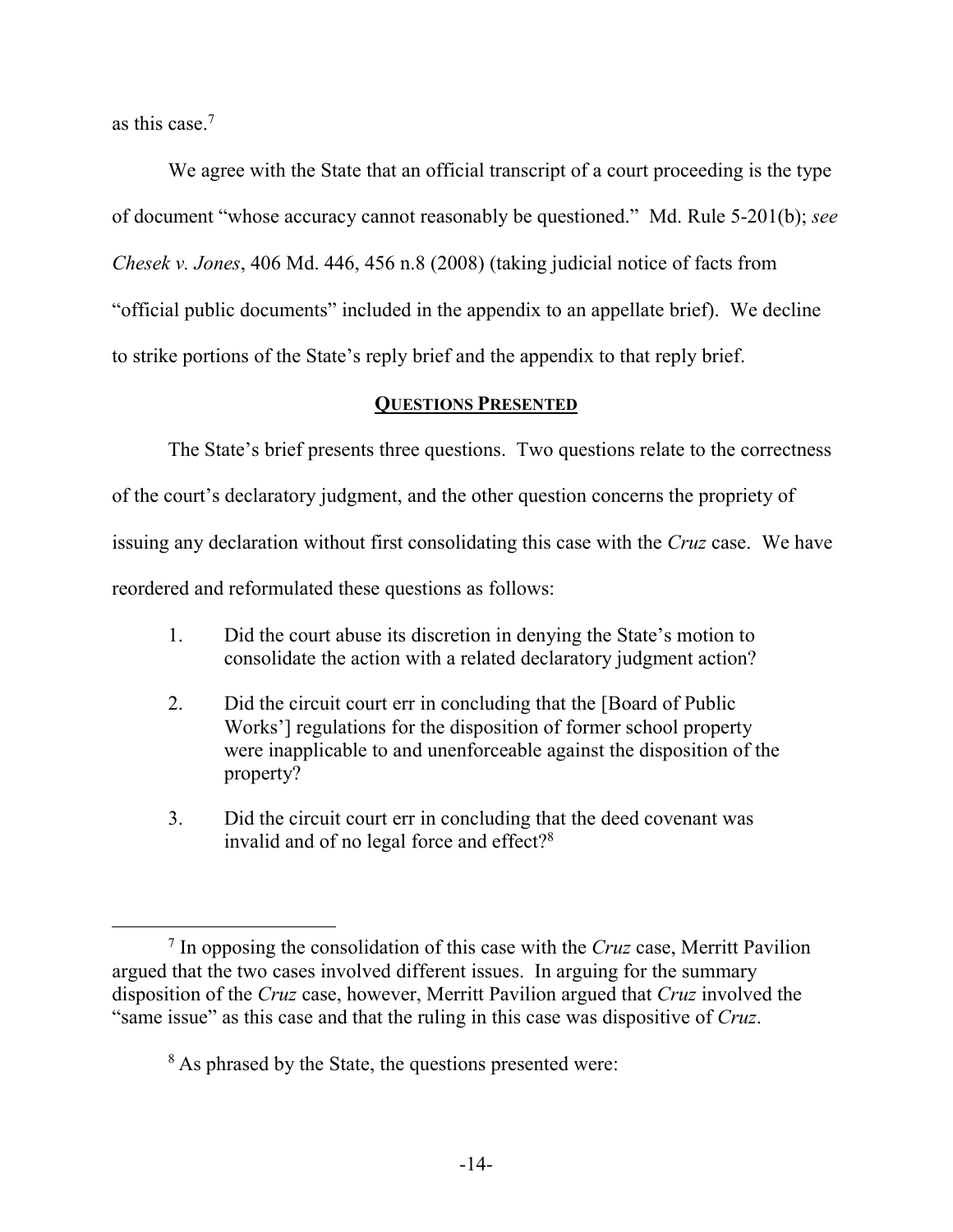as this case.<sup>7</sup>

 $\overline{a}$ 

We agree with the State that an official transcript of a court proceeding is the type of document "whose accuracy cannot reasonably be questioned." Md. Rule 5-201(b); *see Chesek v. Jones*, 406 Md. 446, 456 n.8 (2008) (taking judicial notice of facts from "official public documents" included in the appendix to an appellate brief). We decline to strike portions of the State's reply brief and the appendix to that reply brief.

## **QUESTIONS PRESENTED**

The State's brief presents three questions. Two questions relate to the correctness of the court's declaratory judgment, and the other question concerns the propriety of issuing any declaration without first consolidating this case with the *Cruz* case. We have reordered and reformulated these questions as follows:

- 1. Did the court abuse its discretion in denying the State's motion to consolidate the action with a related declaratory judgment action?
- 2. Did the circuit court err in concluding that the [Board of Public Works'] regulations for the disposition of former school property were inapplicable to and unenforceable against the disposition of the property?
- 3. Did the circuit court err in concluding that the deed covenant was invalid and of no legal force and effect?<sup>8</sup>

<sup>7</sup> In opposing the consolidation of this case with the *Cruz* case, Merritt Pavilion argued that the two cases involved different issues. In arguing for the summary disposition of the *Cruz* case, however, Merritt Pavilion argued that *Cruz* involved the "same issue" as this case and that the ruling in this case was dispositive of *Cruz*.

<sup>&</sup>lt;sup>8</sup> As phrased by the State, the questions presented were: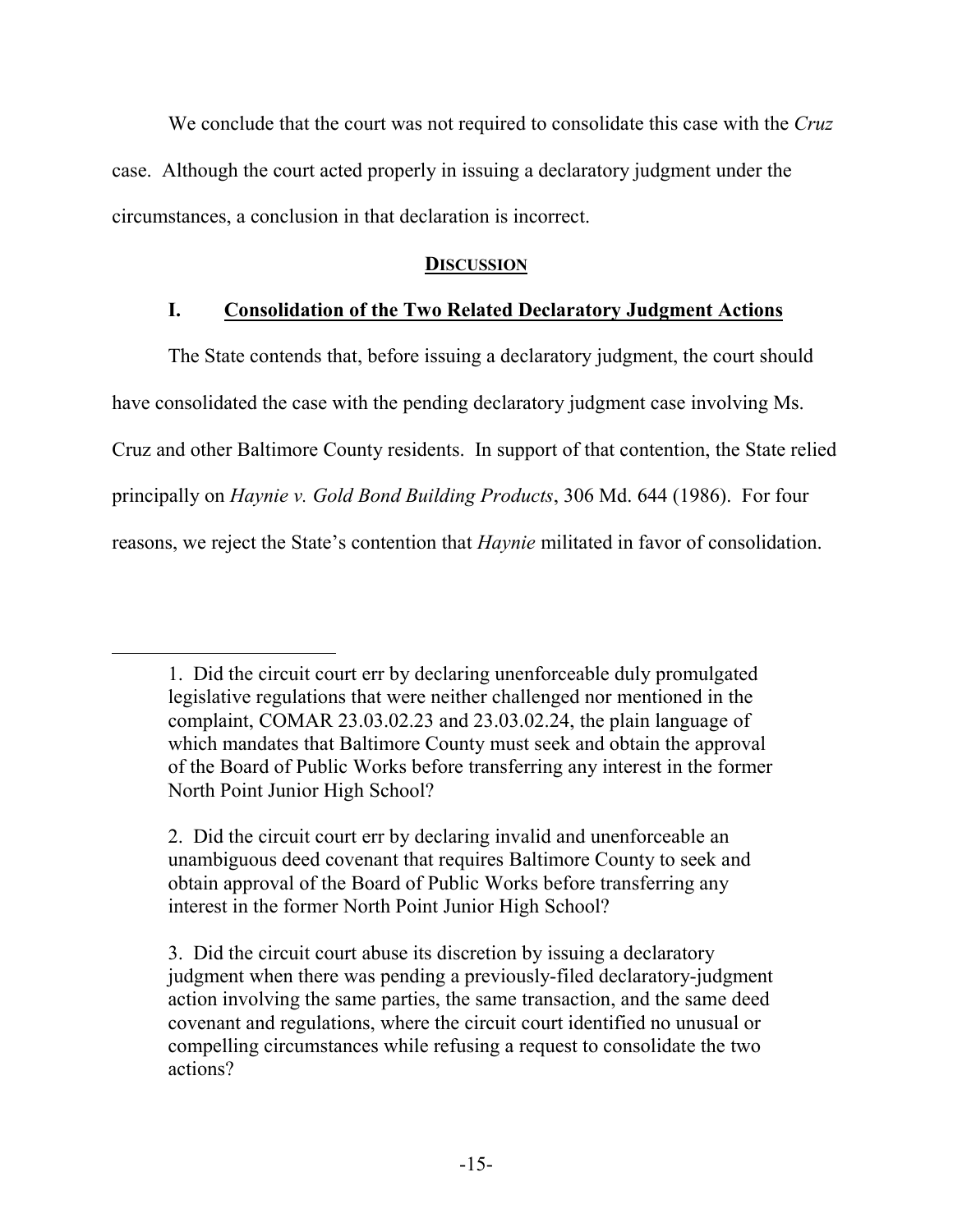We conclude that the court was not required to consolidate this case with the *Cruz* case. Although the court acted properly in issuing a declaratory judgment under the circumstances, a conclusion in that declaration is incorrect.

## **DISCUSSION**

# **I. Consolidation of the Two Related Declaratory Judgment Actions**

The State contends that, before issuing a declaratory judgment, the court should have consolidated the case with the pending declaratory judgment case involving Ms. Cruz and other Baltimore County residents. In support of that contention, the State relied principally on *Haynie v. Gold Bond Building Products*, 306 Md. 644 (1986). For four reasons, we reject the State's contention that *Haynie* militated in favor of consolidation.

<sup>1.</sup> Did the circuit court err by declaring unenforceable duly promulgated legislative regulations that were neither challenged nor mentioned in the complaint, COMAR 23.03.02.23 and 23.03.02.24, the plain language of which mandates that Baltimore County must seek and obtain the approval of the Board of Public Works before transferring any interest in the former North Point Junior High School?

<sup>2.</sup> Did the circuit court err by declaring invalid and unenforceable an unambiguous deed covenant that requires Baltimore County to seek and obtain approval of the Board of Public Works before transferring any interest in the former North Point Junior High School?

<sup>3.</sup> Did the circuit court abuse its discretion by issuing a declaratory judgment when there was pending a previously-filed declaratory-judgment action involving the same parties, the same transaction, and the same deed covenant and regulations, where the circuit court identified no unusual or compelling circumstances while refusing a request to consolidate the two actions?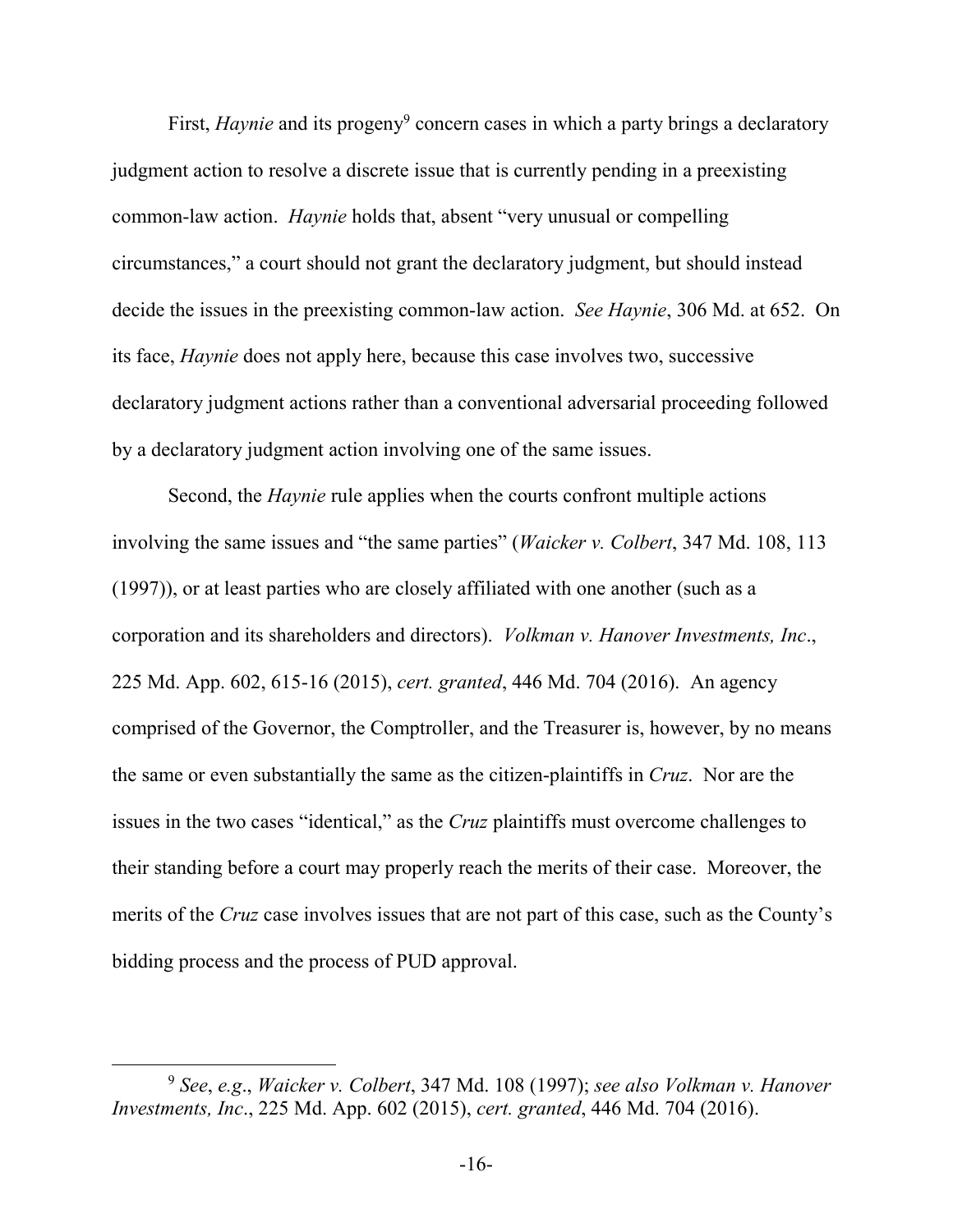First, *Haynie* and its progeny<sup>9</sup> concern cases in which a party brings a declaratory judgment action to resolve a discrete issue that is currently pending in a preexisting common-law action. *Haynie* holds that, absent "very unusual or compelling circumstances," a court should not grant the declaratory judgment, but should instead decide the issues in the preexisting common-law action. *See Haynie*, 306 Md. at 652. On its face, *Haynie* does not apply here, because this case involves two, successive declaratory judgment actions rather than a conventional adversarial proceeding followed by a declaratory judgment action involving one of the same issues.

 Second, the *Haynie* rule applies when the courts confront multiple actions involving the same issues and "the same parties" (*Waicker v. Colbert*, 347 Md. 108, 113 (1997)), or at least parties who are closely affiliated with one another (such as a corporation and its shareholders and directors). *Volkman v. Hanover Investments, Inc*., 225 Md. App. 602, 615-16 (2015), *cert. granted*, 446 Md. 704 (2016). An agency comprised of the Governor, the Comptroller, and the Treasurer is, however, by no means the same or even substantially the same as the citizen-plaintiffs in *Cruz*. Nor are the issues in the two cases "identical," as the *Cruz* plaintiffs must overcome challenges to their standing before a court may properly reach the merits of their case. Moreover, the merits of the *Cruz* case involves issues that are not part of this case, such as the County's bidding process and the process of PUD approval.

<sup>9</sup> *See*, *e.g*., *Waicker v. Colbert*, 347 Md. 108 (1997); *see also Volkman v. Hanover Investments, Inc*., 225 Md. App. 602 (2015), *cert. granted*, 446 Md. 704 (2016).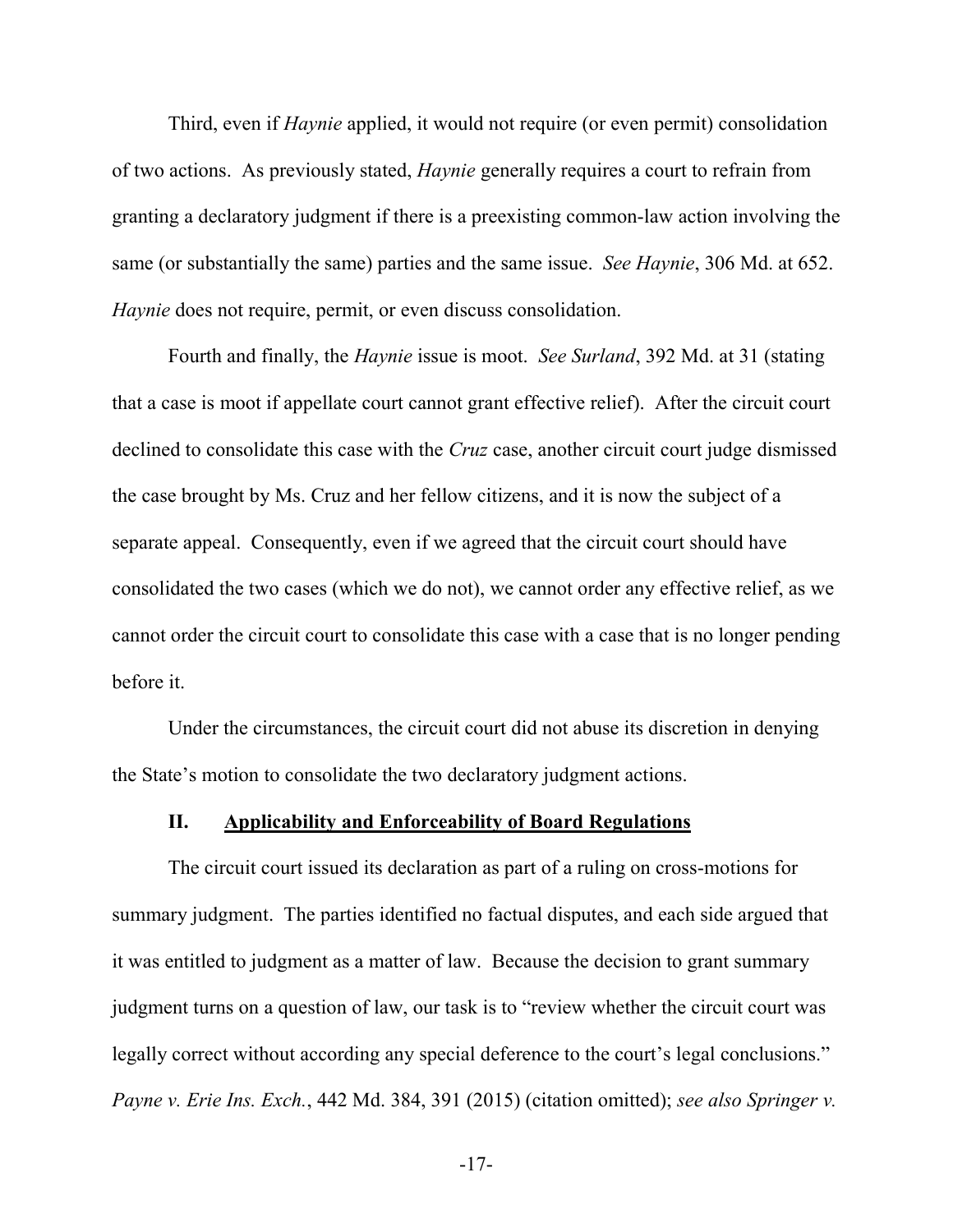Third, even if *Haynie* applied, it would not require (or even permit) consolidation of two actions. As previously stated, *Haynie* generally requires a court to refrain from granting a declaratory judgment if there is a preexisting common-law action involving the same (or substantially the same) parties and the same issue. *See Haynie*, 306 Md. at 652. *Haynie* does not require, permit, or even discuss consolidation.

 Fourth and finally, the *Haynie* issue is moot. *See Surland*, 392 Md. at 31 (stating that a case is moot if appellate court cannot grant effective relief). After the circuit court declined to consolidate this case with the *Cruz* case, another circuit court judge dismissed the case brought by Ms. Cruz and her fellow citizens, and it is now the subject of a separate appeal. Consequently, even if we agreed that the circuit court should have consolidated the two cases (which we do not), we cannot order any effective relief, as we cannot order the circuit court to consolidate this case with a case that is no longer pending before it.

Under the circumstances, the circuit court did not abuse its discretion in denying the State's motion to consolidate the two declaratory judgment actions.

#### **II. Applicability and Enforceability of Board Regulations**

The circuit court issued its declaration as part of a ruling on cross-motions for summary judgment. The parties identified no factual disputes, and each side argued that it was entitled to judgment as a matter of law. Because the decision to grant summary judgment turns on a question of law, our task is to "review whether the circuit court was legally correct without according any special deference to the court's legal conclusions." *Payne v. Erie Ins. Exch.*, 442 Md. 384, 391 (2015) (citation omitted); *see also Springer v.*

-17-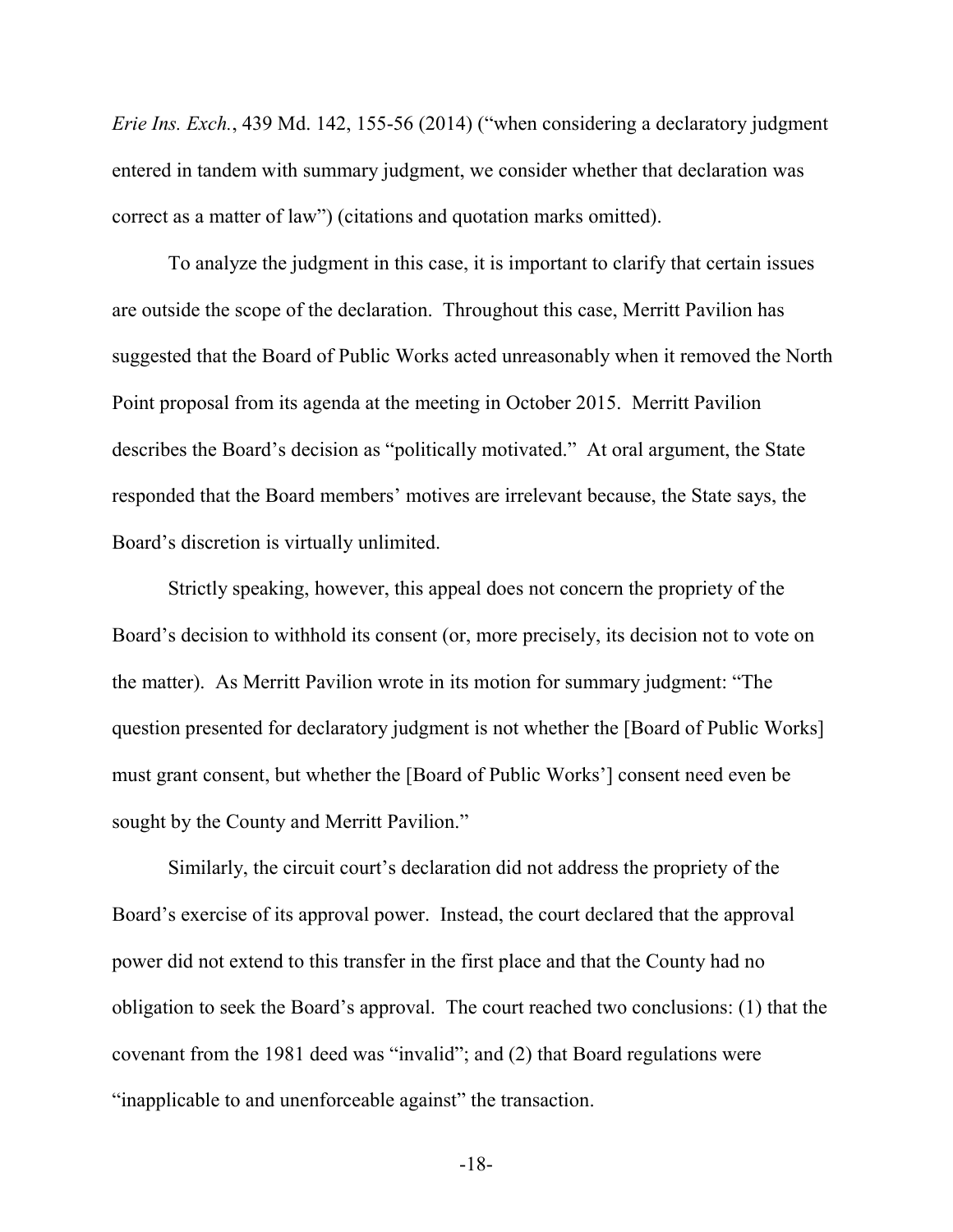*Erie Ins. Exch.*, 439 Md. 142, 155-56 (2014) ("when considering a declaratory judgment entered in tandem with summary judgment, we consider whether that declaration was correct as a matter of law") (citations and quotation marks omitted).

To analyze the judgment in this case, it is important to clarify that certain issues are outside the scope of the declaration. Throughout this case, Merritt Pavilion has suggested that the Board of Public Works acted unreasonably when it removed the North Point proposal from its agenda at the meeting in October 2015. Merritt Pavilion describes the Board's decision as "politically motivated." At oral argument, the State responded that the Board members' motives are irrelevant because, the State says, the Board's discretion is virtually unlimited.

Strictly speaking, however, this appeal does not concern the propriety of the Board's decision to withhold its consent (or, more precisely, its decision not to vote on the matter). As Merritt Pavilion wrote in its motion for summary judgment: "The question presented for declaratory judgment is not whether the [Board of Public Works] must grant consent, but whether the [Board of Public Works'] consent need even be sought by the County and Merritt Pavilion."

Similarly, the circuit court's declaration did not address the propriety of the Board's exercise of its approval power. Instead, the court declared that the approval power did not extend to this transfer in the first place and that the County had no obligation to seek the Board's approval. The court reached two conclusions: (1) that the covenant from the 1981 deed was "invalid"; and (2) that Board regulations were "inapplicable to and unenforceable against" the transaction.

-18-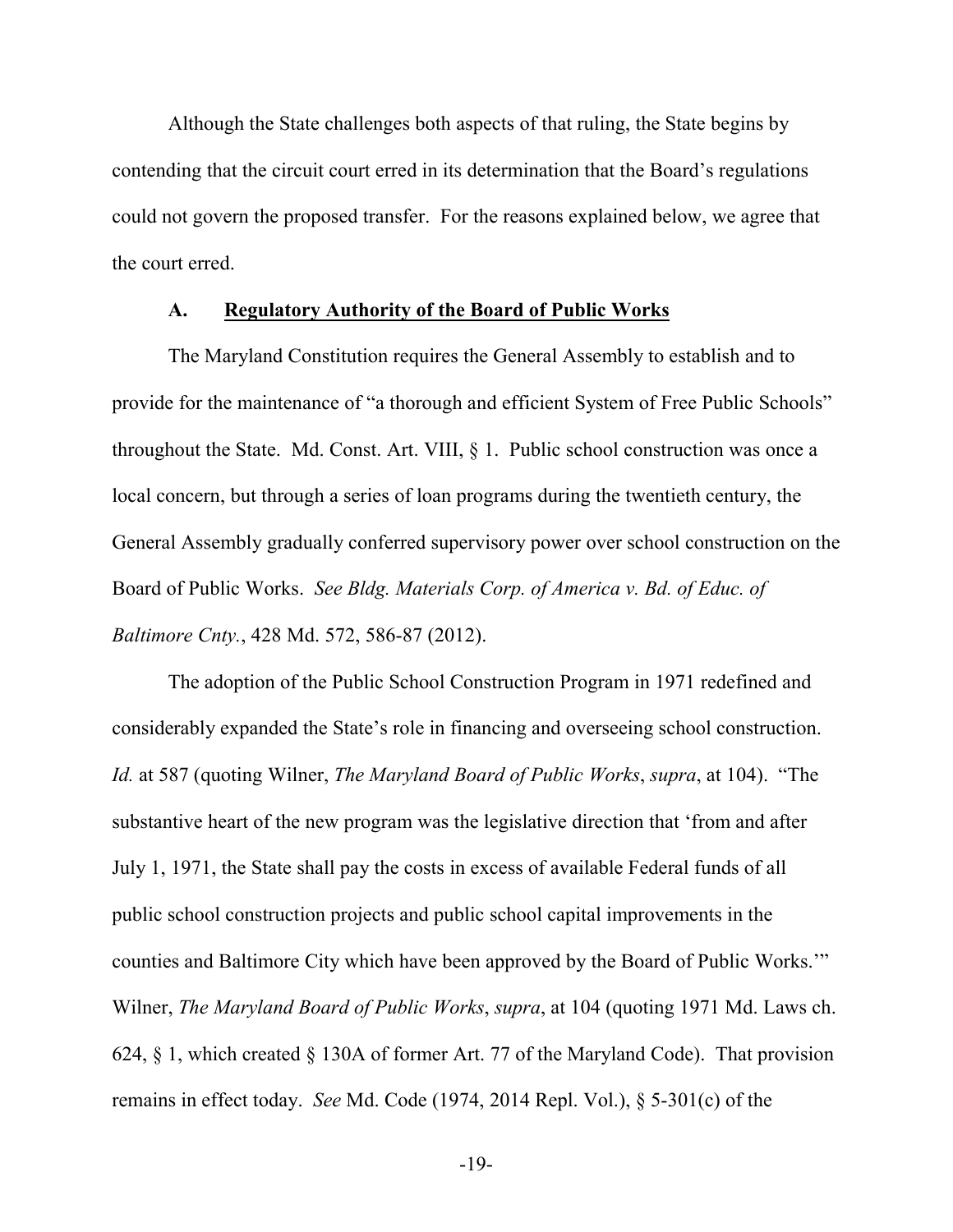Although the State challenges both aspects of that ruling, the State begins by contending that the circuit court erred in its determination that the Board's regulations could not govern the proposed transfer. For the reasons explained below, we agree that the court erred.

#### **A. Regulatory Authority of the Board of Public Works**

The Maryland Constitution requires the General Assembly to establish and to provide for the maintenance of "a thorough and efficient System of Free Public Schools" throughout the State. Md. Const. Art. VIII, § 1. Public school construction was once a local concern, but through a series of loan programs during the twentieth century, the General Assembly gradually conferred supervisory power over school construction on the Board of Public Works. *See Bldg. Materials Corp. of America v. Bd. of Educ. of Baltimore Cnty.*, 428 Md. 572, 586-87 (2012).

The adoption of the Public School Construction Program in 1971 redefined and considerably expanded the State's role in financing and overseeing school construction. *Id.* at 587 (quoting Wilner, *The Maryland Board of Public Works*, *supra*, at 104). "The substantive heart of the new program was the legislative direction that 'from and after July 1, 1971, the State shall pay the costs in excess of available Federal funds of all public school construction projects and public school capital improvements in the counties and Baltimore City which have been approved by the Board of Public Works.'" Wilner, *The Maryland Board of Public Works*, *supra*, at 104 (quoting 1971 Md. Laws ch. 624, § 1, which created § 130A of former Art. 77 of the Maryland Code). That provision remains in effect today. *See* Md. Code (1974, 2014 Repl. Vol.), § 5-301(c) of the

-19-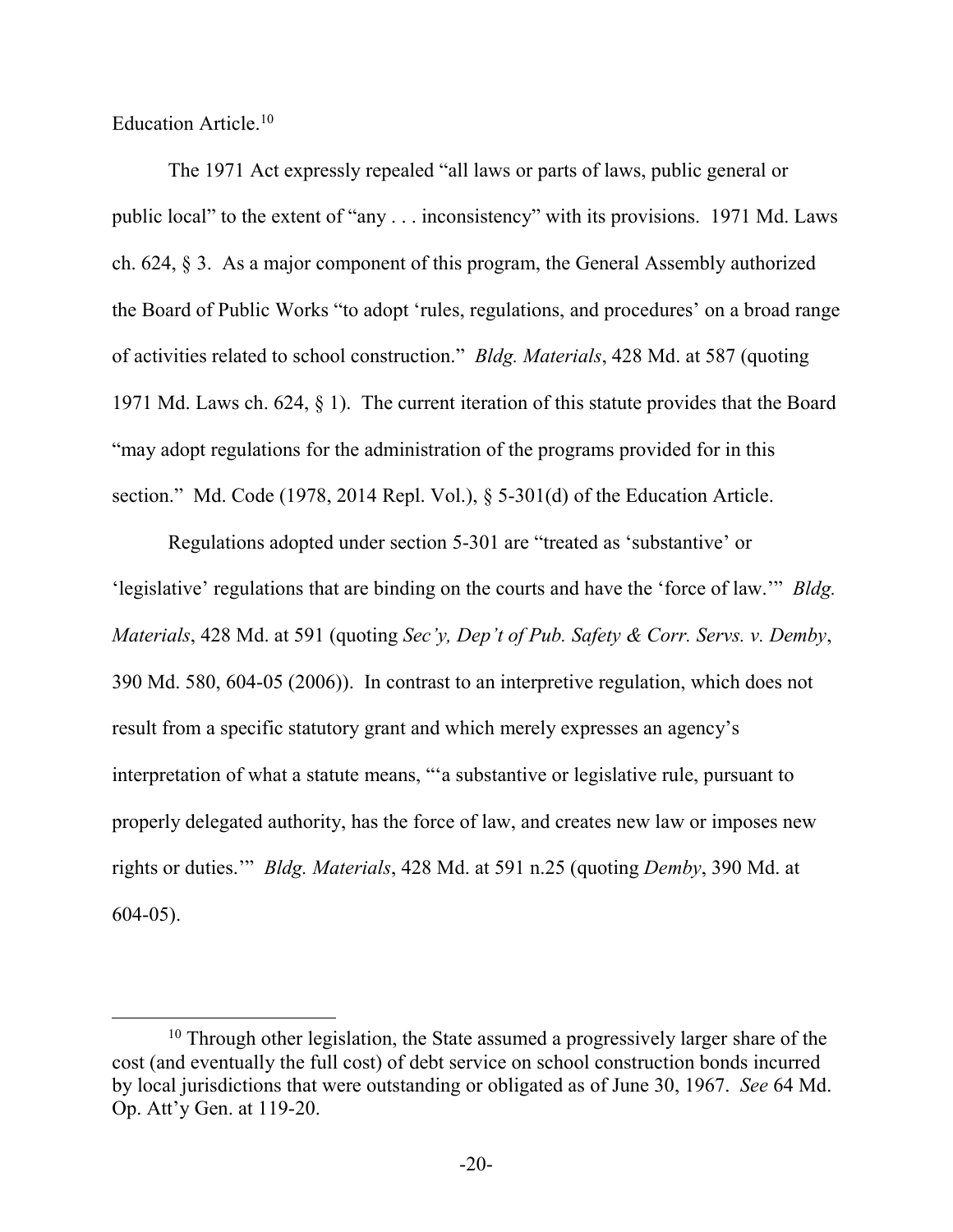Education Article.<sup>10</sup>

 $\overline{a}$ 

The 1971 Act expressly repealed "all laws or parts of laws, public general or public local" to the extent of "any . . . inconsistency" with its provisions. 1971 Md. Laws ch. 624, § 3. As a major component of this program, the General Assembly authorized the Board of Public Works "to adopt 'rules, regulations, and procedures' on a broad range of activities related to school construction." *Bldg. Materials*, 428 Md. at 587 (quoting 1971 Md. Laws ch. 624, § 1). The current iteration of this statute provides that the Board "may adopt regulations for the administration of the programs provided for in this section." Md. Code (1978, 2014 Repl. Vol.), § 5-301(d) of the Education Article.

 Regulations adopted under section 5-301 are "treated as 'substantive' or 'legislative' regulations that are binding on the courts and have the 'force of law.'" *Bldg. Materials*, 428 Md. at 591 (quoting *Sec'y, Dep't of Pub. Safety & Corr. Servs. v. Demby*, 390 Md. 580, 604-05 (2006)). In contrast to an interpretive regulation, which does not result from a specific statutory grant and which merely expresses an agency's interpretation of what a statute means, "'a substantive or legislative rule, pursuant to properly delegated authority, has the force of law, and creates new law or imposes new rights or duties.'" *Bldg. Materials*, 428 Md. at 591 n.25 (quoting *Demby*, 390 Md. at 604-05).

<sup>&</sup>lt;sup>10</sup> Through other legislation, the State assumed a progressively larger share of the cost (and eventually the full cost) of debt service on school construction bonds incurred by local jurisdictions that were outstanding or obligated as of June 30, 1967. *See* 64 Md. Op. Att'y Gen. at 119-20.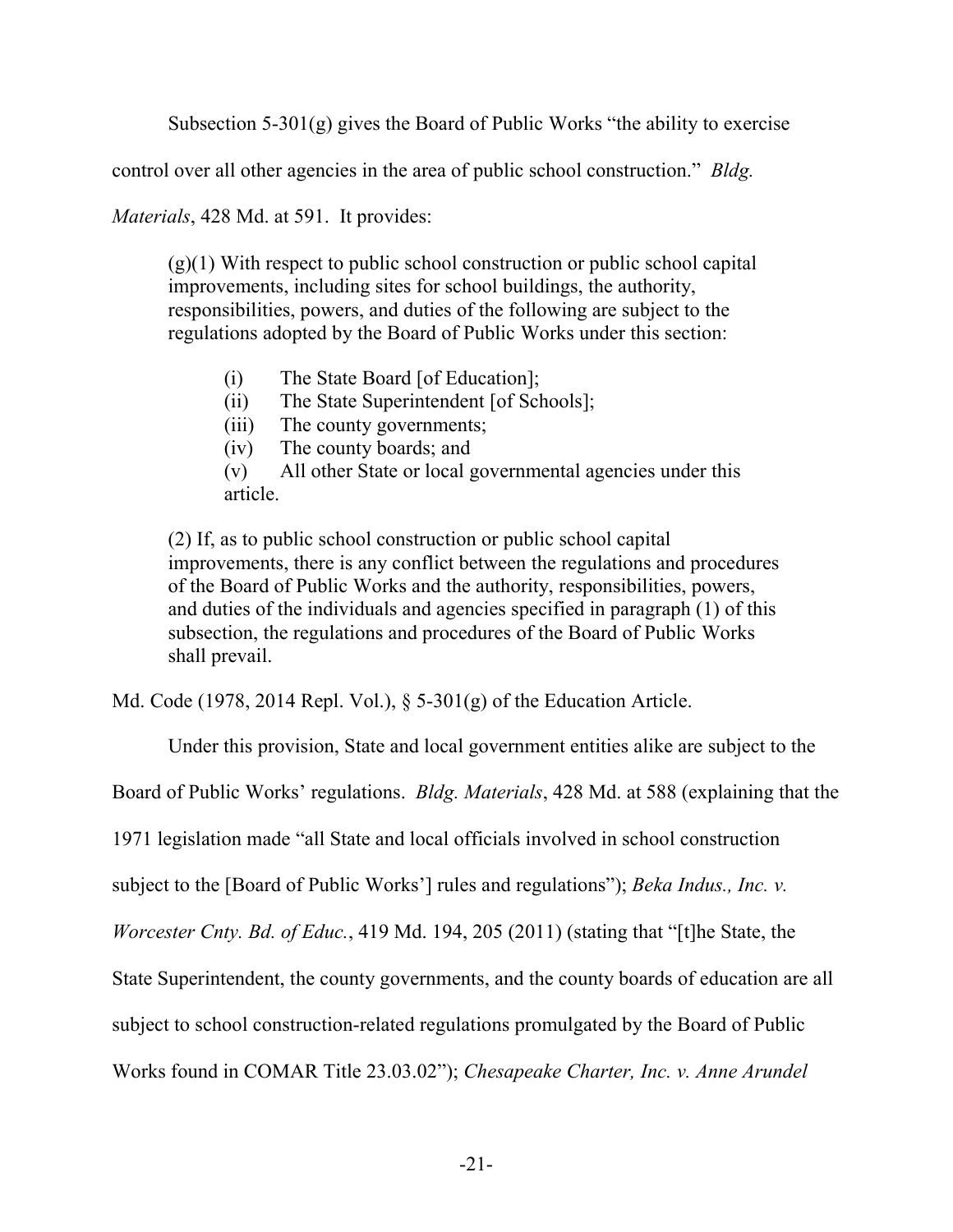Subsection 5-301(g) gives the Board of Public Works "the ability to exercise

control over all other agencies in the area of public school construction." *Bldg.*

*Materials*, 428 Md. at 591. It provides:

 $(g)(1)$  With respect to public school construction or public school capital improvements, including sites for school buildings, the authority, responsibilities, powers, and duties of the following are subject to the regulations adopted by the Board of Public Works under this section:

- (i) The State Board [of Education];
- (ii) The State Superintendent [of Schools];
- (iii) The county governments;
- (iv) The county boards; and

(v) All other State or local governmental agencies under this article.

(2) If, as to public school construction or public school capital improvements, there is any conflict between the regulations and procedures of the Board of Public Works and the authority, responsibilities, powers, and duties of the individuals and agencies specified in paragraph (1) of this subsection, the regulations and procedures of the Board of Public Works shall prevail.

Md. Code (1978, 2014 Repl. Vol.), § 5-301(g) of the Education Article.

Under this provision, State and local government entities alike are subject to the

Board of Public Works' regulations. *Bldg. Materials*, 428 Md. at 588 (explaining that the

1971 legislation made "all State and local officials involved in school construction

subject to the [Board of Public Works'] rules and regulations"); *Beka Indus., Inc. v.*

*Worcester Cnty. Bd. of Educ.*, 419 Md. 194, 205 (2011) (stating that "[t]he State, the

State Superintendent, the county governments, and the county boards of education are all

subject to school construction-related regulations promulgated by the Board of Public

Works found in COMAR Title 23.03.02"); *Chesapeake Charter, Inc. v. Anne Arundel*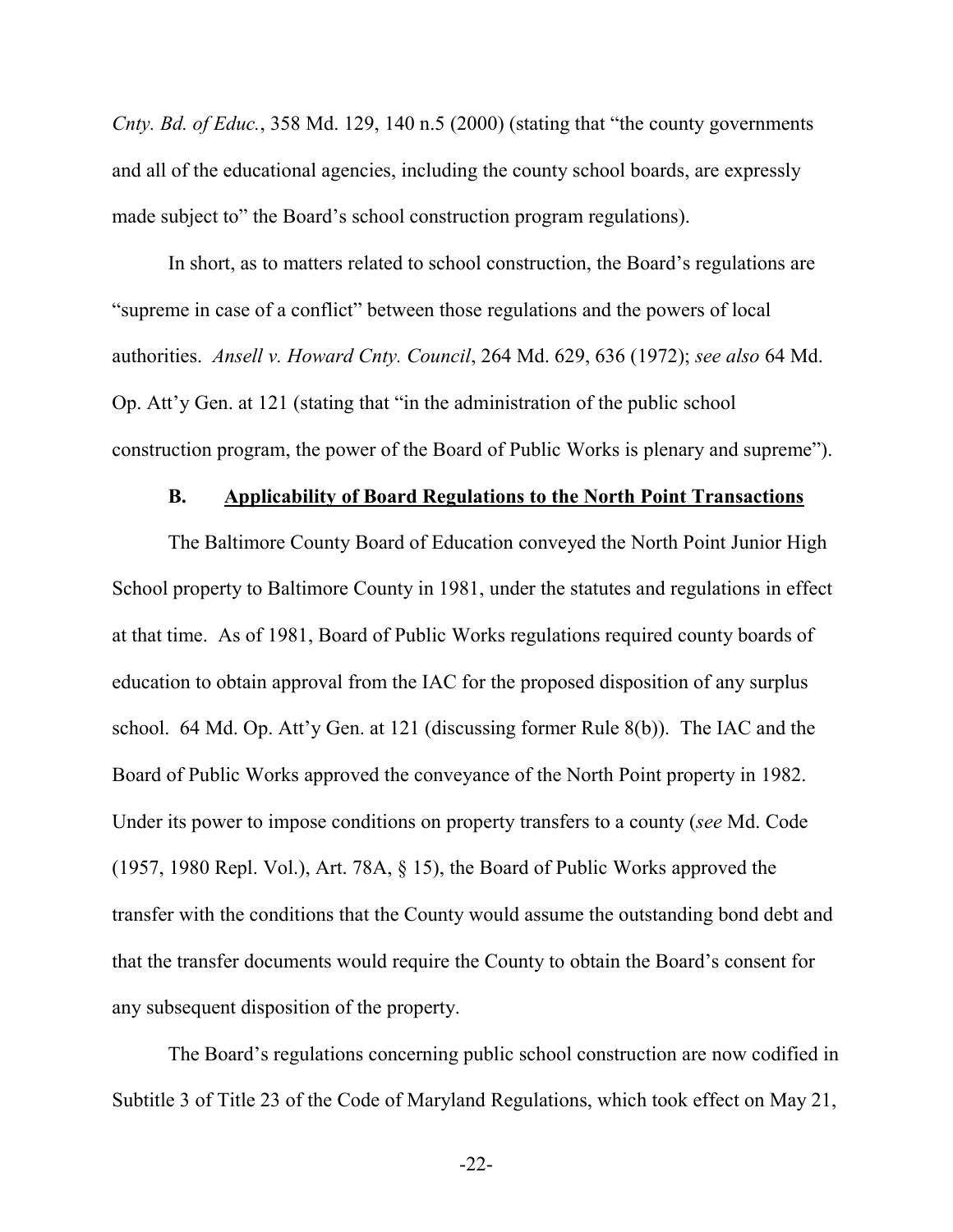*Cnty. Bd. of Educ.*, 358 Md. 129, 140 n.5 (2000) (stating that "the county governments and all of the educational agencies, including the county school boards, are expressly made subject to" the Board's school construction program regulations).

In short, as to matters related to school construction, the Board's regulations are "supreme in case of a conflict" between those regulations and the powers of local authorities. *Ansell v. Howard Cnty. Council*, 264 Md. 629, 636 (1972); *see also* 64 Md. Op. Att'y Gen. at 121 (stating that "in the administration of the public school construction program, the power of the Board of Public Works is plenary and supreme").

#### **B. Applicability of Board Regulations to the North Point Transactions**

The Baltimore County Board of Education conveyed the North Point Junior High School property to Baltimore County in 1981, under the statutes and regulations in effect at that time. As of 1981, Board of Public Works regulations required county boards of education to obtain approval from the IAC for the proposed disposition of any surplus school. 64 Md. Op. Att'y Gen. at 121 (discussing former Rule 8(b)). The IAC and the Board of Public Works approved the conveyance of the North Point property in 1982. Under its power to impose conditions on property transfers to a county (*see* Md. Code (1957, 1980 Repl. Vol.), Art. 78A, § 15), the Board of Public Works approved the transfer with the conditions that the County would assume the outstanding bond debt and that the transfer documents would require the County to obtain the Board's consent for any subsequent disposition of the property.

The Board's regulations concerning public school construction are now codified in Subtitle 3 of Title 23 of the Code of Maryland Regulations, which took effect on May 21,

-22-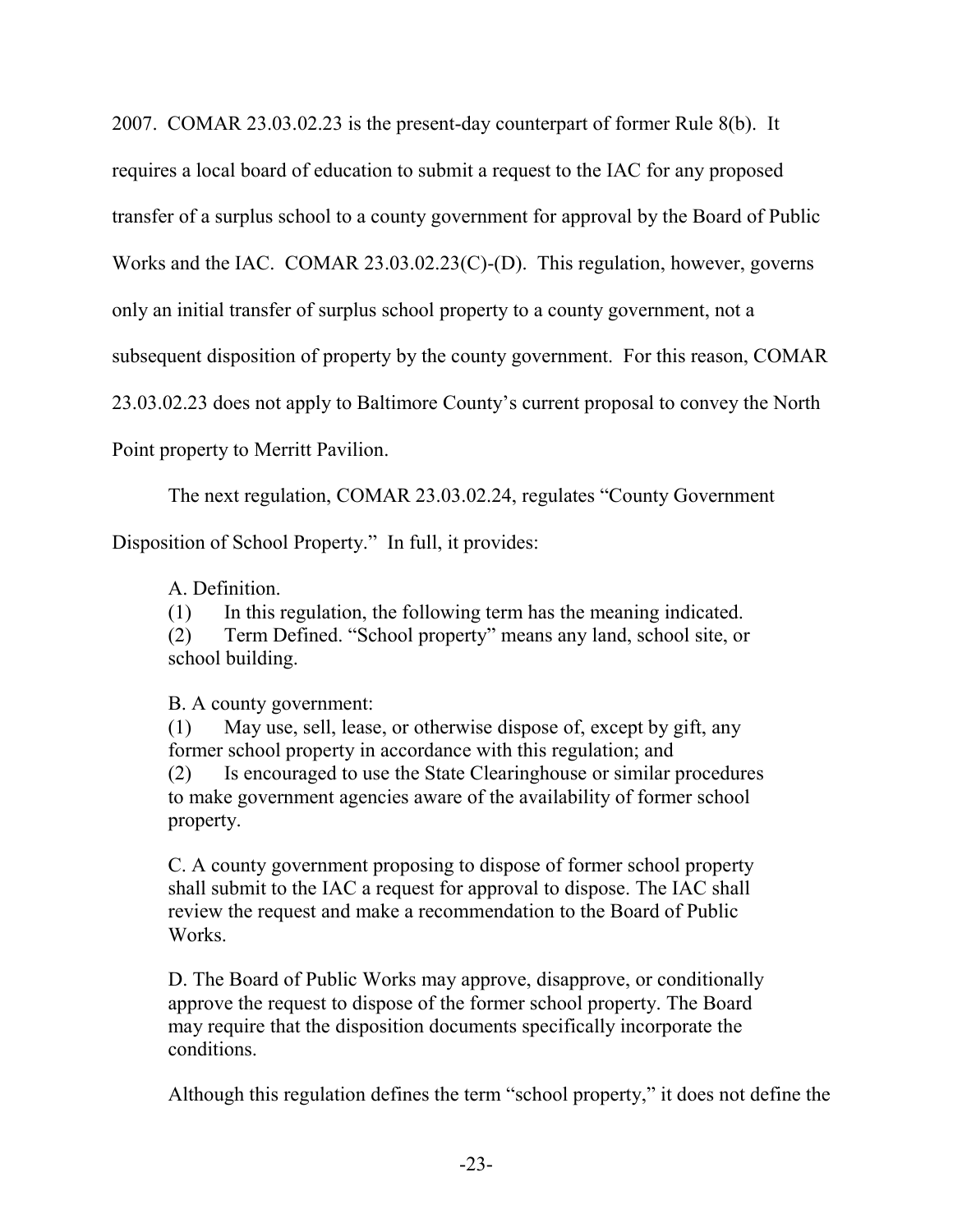2007. COMAR 23.03.02.23 is the present-day counterpart of former Rule 8(b). It

requires a local board of education to submit a request to the IAC for any proposed

transfer of a surplus school to a county government for approval by the Board of Public

Works and the IAC. COMAR 23.03.02.23(C)-(D). This regulation, however, governs

only an initial transfer of surplus school property to a county government, not a

subsequent disposition of property by the county government. For this reason, COMAR

23.03.02.23 does not apply to Baltimore County's current proposal to convey the North

Point property to Merritt Pavilion.

The next regulation, COMAR 23.03.02.24, regulates "County Government

Disposition of School Property." In full, it provides:

A. Definition.

(1) In this regulation, the following term has the meaning indicated.

(2) Term Defined. "School property" means any land, school site, or school building.

## B. A county government:

(1) May use, sell, lease, or otherwise dispose of, except by gift, any former school property in accordance with this regulation; and (2) Is encouraged to use the State Clearinghouse or similar procedures to make government agencies aware of the availability of former school property.

C. A county government proposing to dispose of former school property shall submit to the IAC a request for approval to dispose. The IAC shall review the request and make a recommendation to the Board of Public Works.

D. The Board of Public Works may approve, disapprove, or conditionally approve the request to dispose of the former school property. The Board may require that the disposition documents specifically incorporate the conditions.

Although this regulation defines the term "school property," it does not define the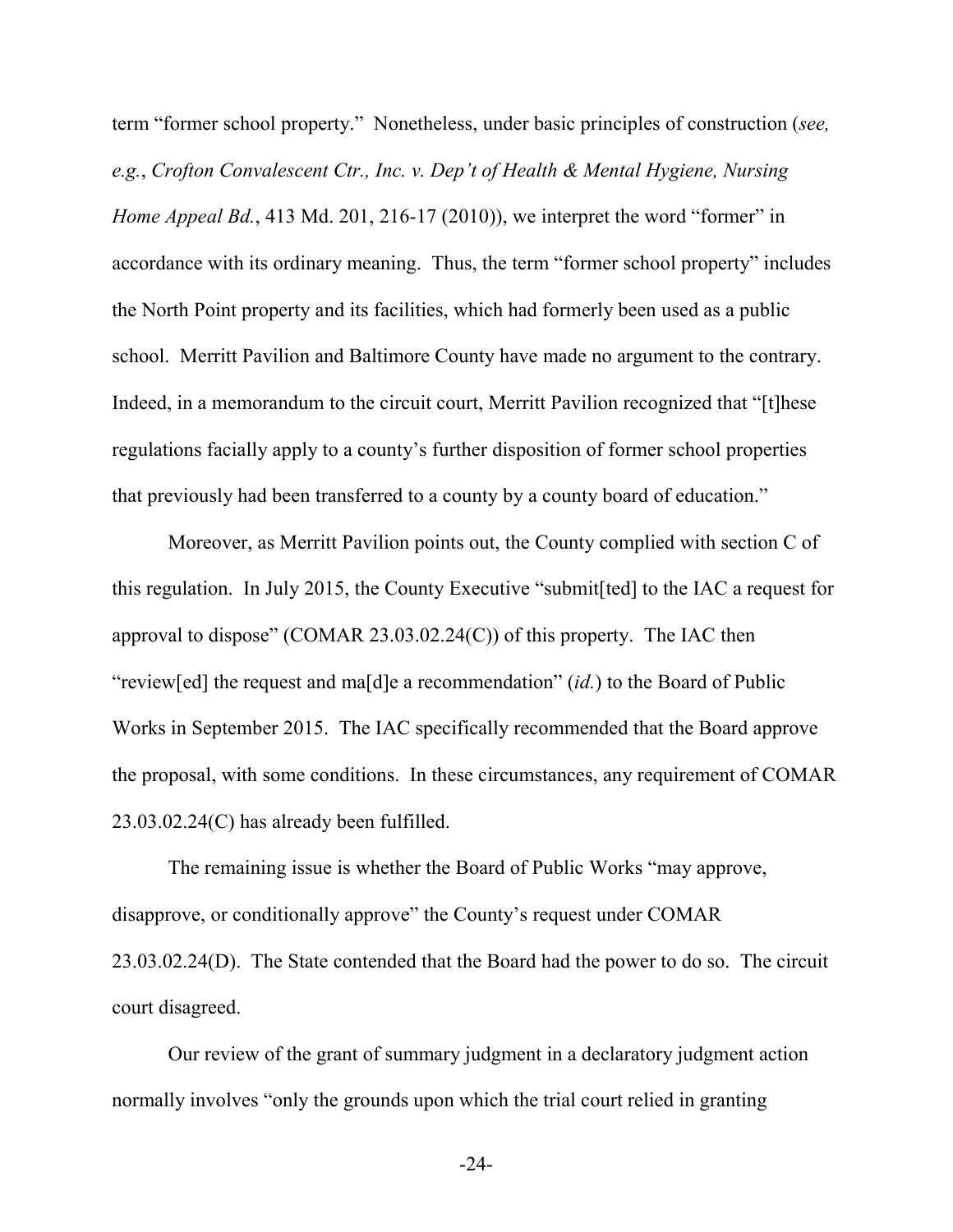term "former school property." Nonetheless, under basic principles of construction (*see, e.g.*, *Crofton Convalescent Ctr., Inc. v. Dep't of Health & Mental Hygiene, Nursing Home Appeal Bd.*, 413 Md. 201, 216-17 (2010)), we interpret the word "former" in accordance with its ordinary meaning. Thus, the term "former school property" includes the North Point property and its facilities, which had formerly been used as a public school. Merritt Pavilion and Baltimore County have made no argument to the contrary. Indeed, in a memorandum to the circuit court, Merritt Pavilion recognized that "[t]hese regulations facially apply to a county's further disposition of former school properties that previously had been transferred to a county by a county board of education."

Moreover, as Merritt Pavilion points out, the County complied with section C of this regulation. In July 2015, the County Executive "submit[ted] to the IAC a request for approval to dispose" (COMAR 23.03.02.24(C)) of this property. The IAC then "review[ed] the request and ma[d]e a recommendation" (*id.*) to the Board of Public Works in September 2015. The IAC specifically recommended that the Board approve the proposal, with some conditions. In these circumstances, any requirement of COMAR 23.03.02.24(C) has already been fulfilled.

The remaining issue is whether the Board of Public Works "may approve, disapprove, or conditionally approve" the County's request under COMAR 23.03.02.24(D). The State contended that the Board had the power to do so. The circuit court disagreed.

Our review of the grant of summary judgment in a declaratory judgment action normally involves "only the grounds upon which the trial court relied in granting

-24-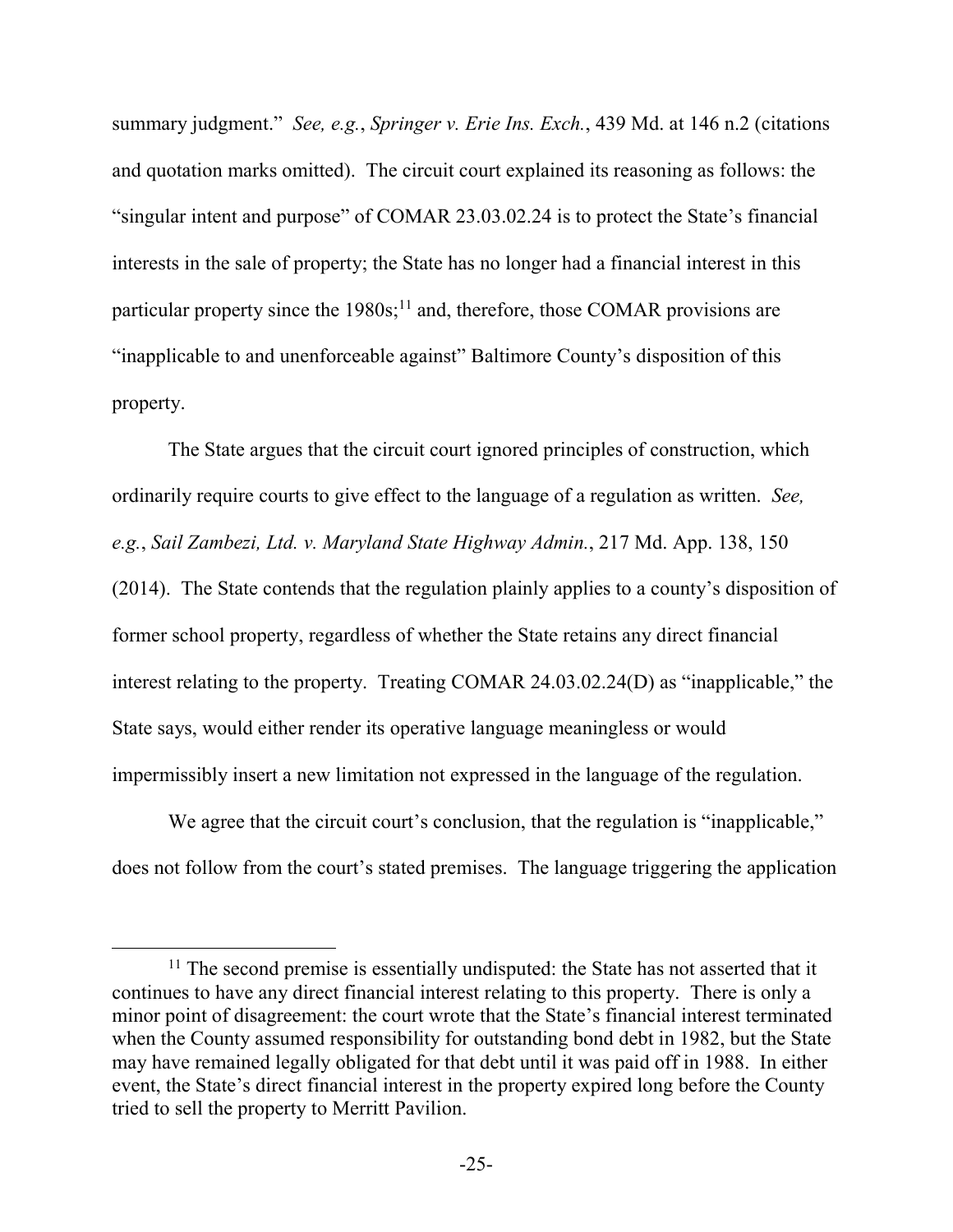summary judgment." *See, e.g.*, *Springer v. Erie Ins. Exch.*, 439 Md. at 146 n.2 (citations and quotation marks omitted). The circuit court explained its reasoning as follows: the "singular intent and purpose" of COMAR 23.03.02.24 is to protect the State's financial interests in the sale of property; the State has no longer had a financial interest in this particular property since the  $1980s$ ;<sup>11</sup> and, therefore, those COMAR provisions are "inapplicable to and unenforceable against" Baltimore County's disposition of this property.

The State argues that the circuit court ignored principles of construction, which ordinarily require courts to give effect to the language of a regulation as written. *See, e.g.*, *Sail Zambezi, Ltd. v. Maryland State Highway Admin.*, 217 Md. App. 138, 150 (2014). The State contends that the regulation plainly applies to a county's disposition of former school property, regardless of whether the State retains any direct financial interest relating to the property. Treating COMAR 24.03.02.24(D) as "inapplicable," the State says, would either render its operative language meaningless or would impermissibly insert a new limitation not expressed in the language of the regulation.

We agree that the circuit court's conclusion, that the regulation is "inapplicable," does not follow from the court's stated premises. The language triggering the application

<sup>&</sup>lt;sup>11</sup> The second premise is essentially undisputed: the State has not asserted that it continues to have any direct financial interest relating to this property. There is only a minor point of disagreement: the court wrote that the State's financial interest terminated when the County assumed responsibility for outstanding bond debt in 1982, but the State may have remained legally obligated for that debt until it was paid off in 1988. In either event, the State's direct financial interest in the property expired long before the County tried to sell the property to Merritt Pavilion.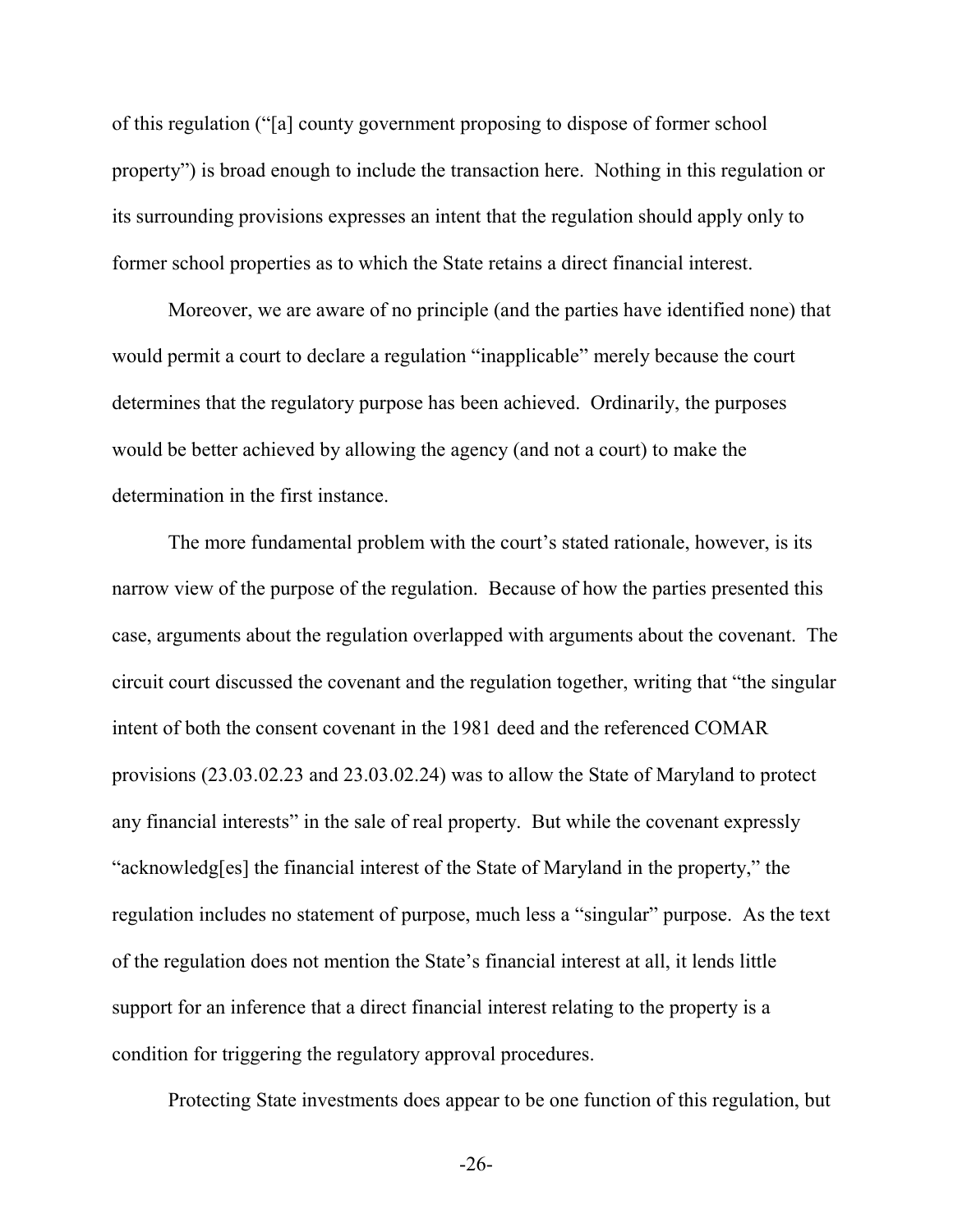of this regulation ("[a] county government proposing to dispose of former school property") is broad enough to include the transaction here. Nothing in this regulation or its surrounding provisions expresses an intent that the regulation should apply only to former school properties as to which the State retains a direct financial interest.

Moreover, we are aware of no principle (and the parties have identified none) that would permit a court to declare a regulation "inapplicable" merely because the court determines that the regulatory purpose has been achieved. Ordinarily, the purposes would be better achieved by allowing the agency (and not a court) to make the determination in the first instance.

The more fundamental problem with the court's stated rationale, however, is its narrow view of the purpose of the regulation. Because of how the parties presented this case, arguments about the regulation overlapped with arguments about the covenant. The circuit court discussed the covenant and the regulation together, writing that "the singular intent of both the consent covenant in the 1981 deed and the referenced COMAR provisions (23.03.02.23 and 23.03.02.24) was to allow the State of Maryland to protect any financial interests" in the sale of real property. But while the covenant expressly "acknowledg[es] the financial interest of the State of Maryland in the property," the regulation includes no statement of purpose, much less a "singular" purpose. As the text of the regulation does not mention the State's financial interest at all, it lends little support for an inference that a direct financial interest relating to the property is a condition for triggering the regulatory approval procedures.

Protecting State investments does appear to be one function of this regulation, but

-26-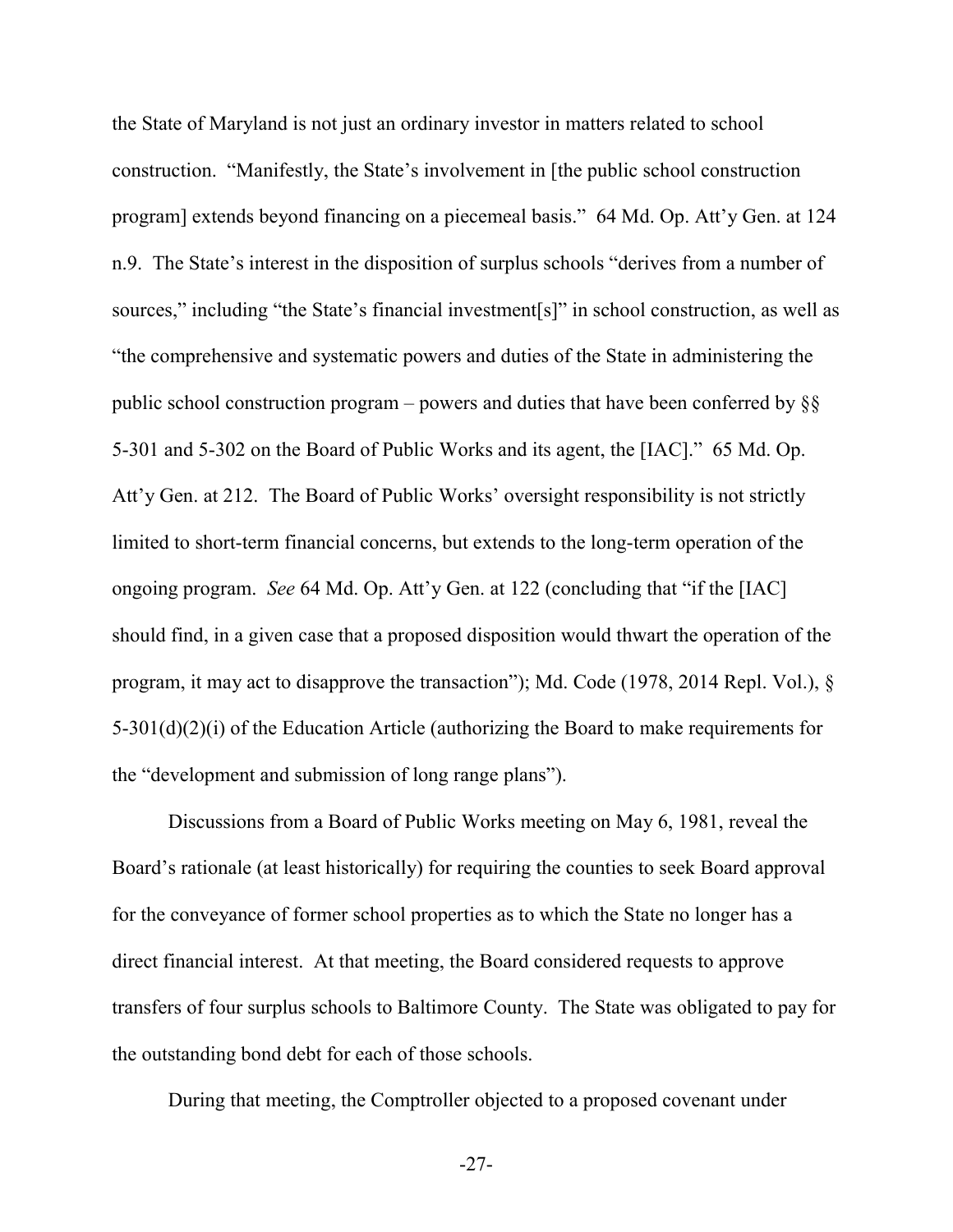the State of Maryland is not just an ordinary investor in matters related to school construction. "Manifestly, the State's involvement in [the public school construction program] extends beyond financing on a piecemeal basis." 64 Md. Op. Att'y Gen. at 124 n.9. The State's interest in the disposition of surplus schools "derives from a number of sources," including "the State's financial investment[s]" in school construction, as well as "the comprehensive and systematic powers and duties of the State in administering the public school construction program – powers and duties that have been conferred by  $\S$ 5-301 and 5-302 on the Board of Public Works and its agent, the [IAC]." 65 Md. Op. Att'y Gen. at 212. The Board of Public Works' oversight responsibility is not strictly limited to short-term financial concerns, but extends to the long-term operation of the ongoing program. *See* 64 Md. Op. Att'y Gen. at 122 (concluding that "if the [IAC] should find, in a given case that a proposed disposition would thwart the operation of the program, it may act to disapprove the transaction"); Md. Code (1978, 2014 Repl. Vol.), § 5-301(d)(2)(i) of the Education Article (authorizing the Board to make requirements for the "development and submission of long range plans").

Discussions from a Board of Public Works meeting on May 6, 1981, reveal the Board's rationale (at least historically) for requiring the counties to seek Board approval for the conveyance of former school properties as to which the State no longer has a direct financial interest. At that meeting, the Board considered requests to approve transfers of four surplus schools to Baltimore County. The State was obligated to pay for the outstanding bond debt for each of those schools.

During that meeting, the Comptroller objected to a proposed covenant under

-27-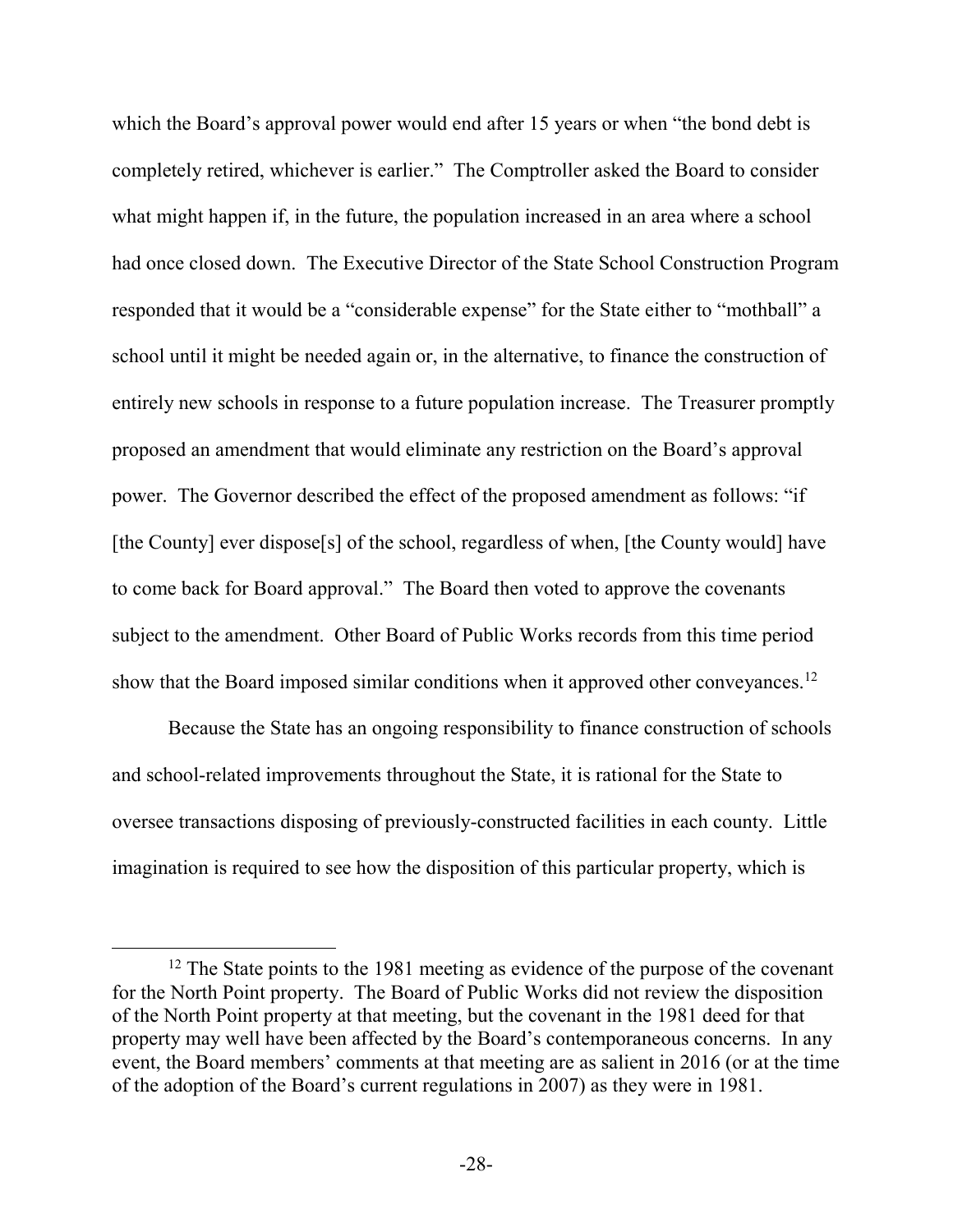which the Board's approval power would end after 15 years or when "the bond debt is completely retired, whichever is earlier." The Comptroller asked the Board to consider what might happen if, in the future, the population increased in an area where a school had once closed down. The Executive Director of the State School Construction Program responded that it would be a "considerable expense" for the State either to "mothball" a school until it might be needed again or, in the alternative, to finance the construction of entirely new schools in response to a future population increase. The Treasurer promptly proposed an amendment that would eliminate any restriction on the Board's approval power. The Governor described the effect of the proposed amendment as follows: "if [the County] ever dispose[s] of the school, regardless of when, [the County would] have to come back for Board approval." The Board then voted to approve the covenants subject to the amendment. Other Board of Public Works records from this time period show that the Board imposed similar conditions when it approved other conveyances.<sup>12</sup>

Because the State has an ongoing responsibility to finance construction of schools and school-related improvements throughout the State, it is rational for the State to oversee transactions disposing of previously-constructed facilities in each county. Little imagination is required to see how the disposition of this particular property, which is

 $12$  The State points to the 1981 meeting as evidence of the purpose of the covenant for the North Point property. The Board of Public Works did not review the disposition of the North Point property at that meeting, but the covenant in the 1981 deed for that property may well have been affected by the Board's contemporaneous concerns. In any event, the Board members' comments at that meeting are as salient in 2016 (or at the time of the adoption of the Board's current regulations in 2007) as they were in 1981.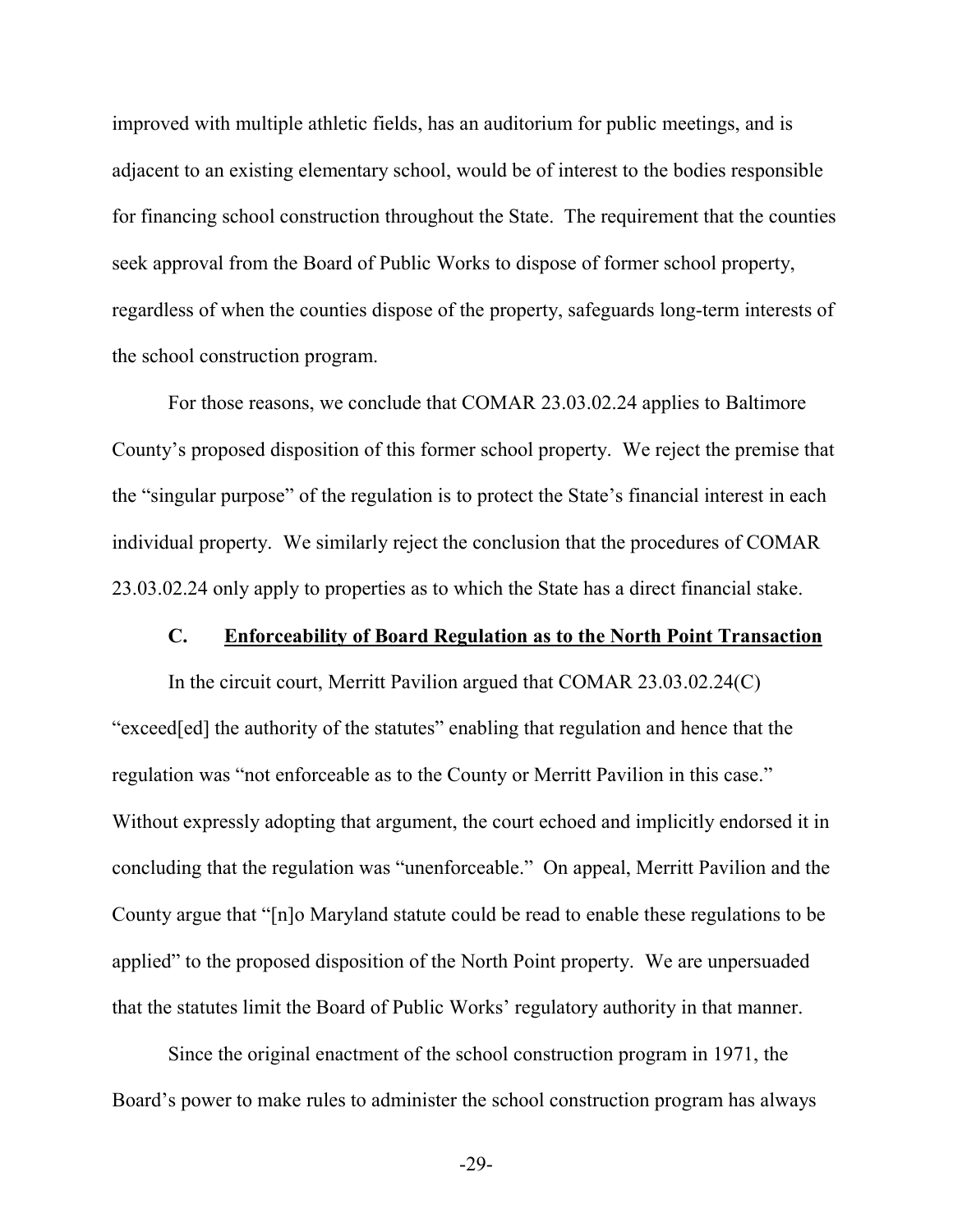improved with multiple athletic fields, has an auditorium for public meetings, and is adjacent to an existing elementary school, would be of interest to the bodies responsible for financing school construction throughout the State. The requirement that the counties seek approval from the Board of Public Works to dispose of former school property, regardless of when the counties dispose of the property, safeguards long-term interests of the school construction program.

For those reasons, we conclude that COMAR 23.03.02.24 applies to Baltimore County's proposed disposition of this former school property. We reject the premise that the "singular purpose" of the regulation is to protect the State's financial interest in each individual property. We similarly reject the conclusion that the procedures of COMAR 23.03.02.24 only apply to properties as to which the State has a direct financial stake.

#### **C. Enforceability of Board Regulation as to the North Point Transaction**

In the circuit court, Merritt Pavilion argued that COMAR 23.03.02.24(C) "exceed[ed] the authority of the statutes" enabling that regulation and hence that the regulation was "not enforceable as to the County or Merritt Pavilion in this case." Without expressly adopting that argument, the court echoed and implicitly endorsed it in concluding that the regulation was "unenforceable." On appeal, Merritt Pavilion and the County argue that "[n]o Maryland statute could be read to enable these regulations to be applied" to the proposed disposition of the North Point property. We are unpersuaded that the statutes limit the Board of Public Works' regulatory authority in that manner.

Since the original enactment of the school construction program in 1971, the Board's power to make rules to administer the school construction program has always

-29-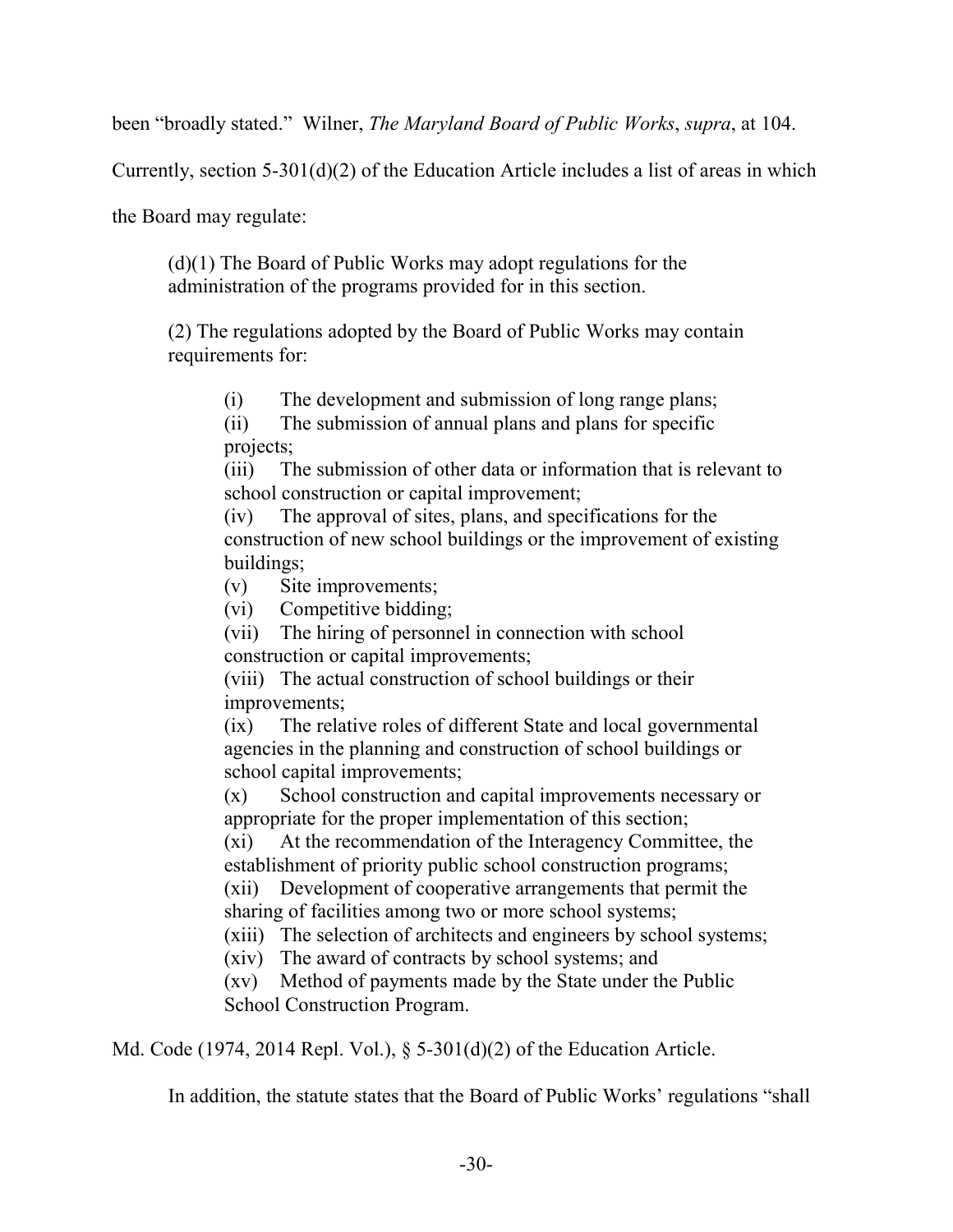been "broadly stated." Wilner, *The Maryland Board of Public Works*, *supra*, at 104.

Currently, section 5-301(d)(2) of the Education Article includes a list of areas in which

the Board may regulate:

(d)(1) The Board of Public Works may adopt regulations for the administration of the programs provided for in this section.

(2) The regulations adopted by the Board of Public Works may contain requirements for:

(i) The development and submission of long range plans;

(ii) The submission of annual plans and plans for specific projects;

(iii) The submission of other data or information that is relevant to school construction or capital improvement;

(iv) The approval of sites, plans, and specifications for the construction of new school buildings or the improvement of existing buildings;

(v) Site improvements;

(vi) Competitive bidding;

(vii) The hiring of personnel in connection with school construction or capital improvements;

(viii) The actual construction of school buildings or their improvements;

(ix) The relative roles of different State and local governmental agencies in the planning and construction of school buildings or school capital improvements;

(x) School construction and capital improvements necessary or appropriate for the proper implementation of this section;

(xi) At the recommendation of the Interagency Committee, the establishment of priority public school construction programs;

(xii) Development of cooperative arrangements that permit the sharing of facilities among two or more school systems;

(xiii) The selection of architects and engineers by school systems;

(xiv) The award of contracts by school systems; and

(xv) Method of payments made by the State under the Public School Construction Program.

Md. Code (1974, 2014 Repl. Vol.), § 5-301(d)(2) of the Education Article.

In addition, the statute states that the Board of Public Works' regulations "shall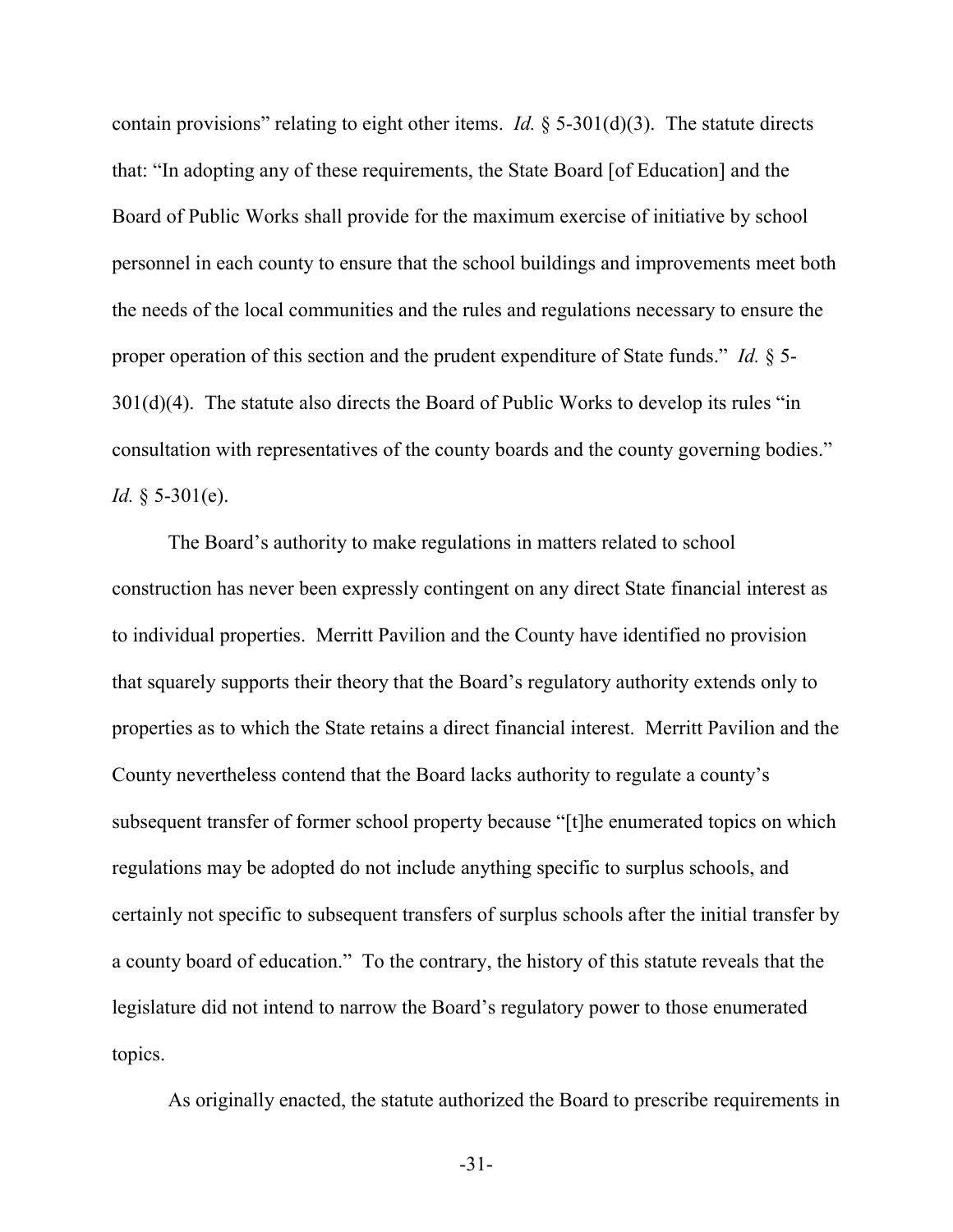contain provisions" relating to eight other items. *Id.*  $\S$  5-301(d)(3). The statute directs that: "In adopting any of these requirements, the State Board [of Education] and the Board of Public Works shall provide for the maximum exercise of initiative by school personnel in each county to ensure that the school buildings and improvements meet both the needs of the local communities and the rules and regulations necessary to ensure the proper operation of this section and the prudent expenditure of State funds." *Id.* § 5- 301(d)(4). The statute also directs the Board of Public Works to develop its rules "in consultation with representatives of the county boards and the county governing bodies." *Id.* § 5-301(e).

The Board's authority to make regulations in matters related to school construction has never been expressly contingent on any direct State financial interest as to individual properties. Merritt Pavilion and the County have identified no provision that squarely supports their theory that the Board's regulatory authority extends only to properties as to which the State retains a direct financial interest. Merritt Pavilion and the County nevertheless contend that the Board lacks authority to regulate a county's subsequent transfer of former school property because "[t]he enumerated topics on which regulations may be adopted do not include anything specific to surplus schools, and certainly not specific to subsequent transfers of surplus schools after the initial transfer by a county board of education." To the contrary, the history of this statute reveals that the legislature did not intend to narrow the Board's regulatory power to those enumerated topics.

As originally enacted, the statute authorized the Board to prescribe requirements in

-31-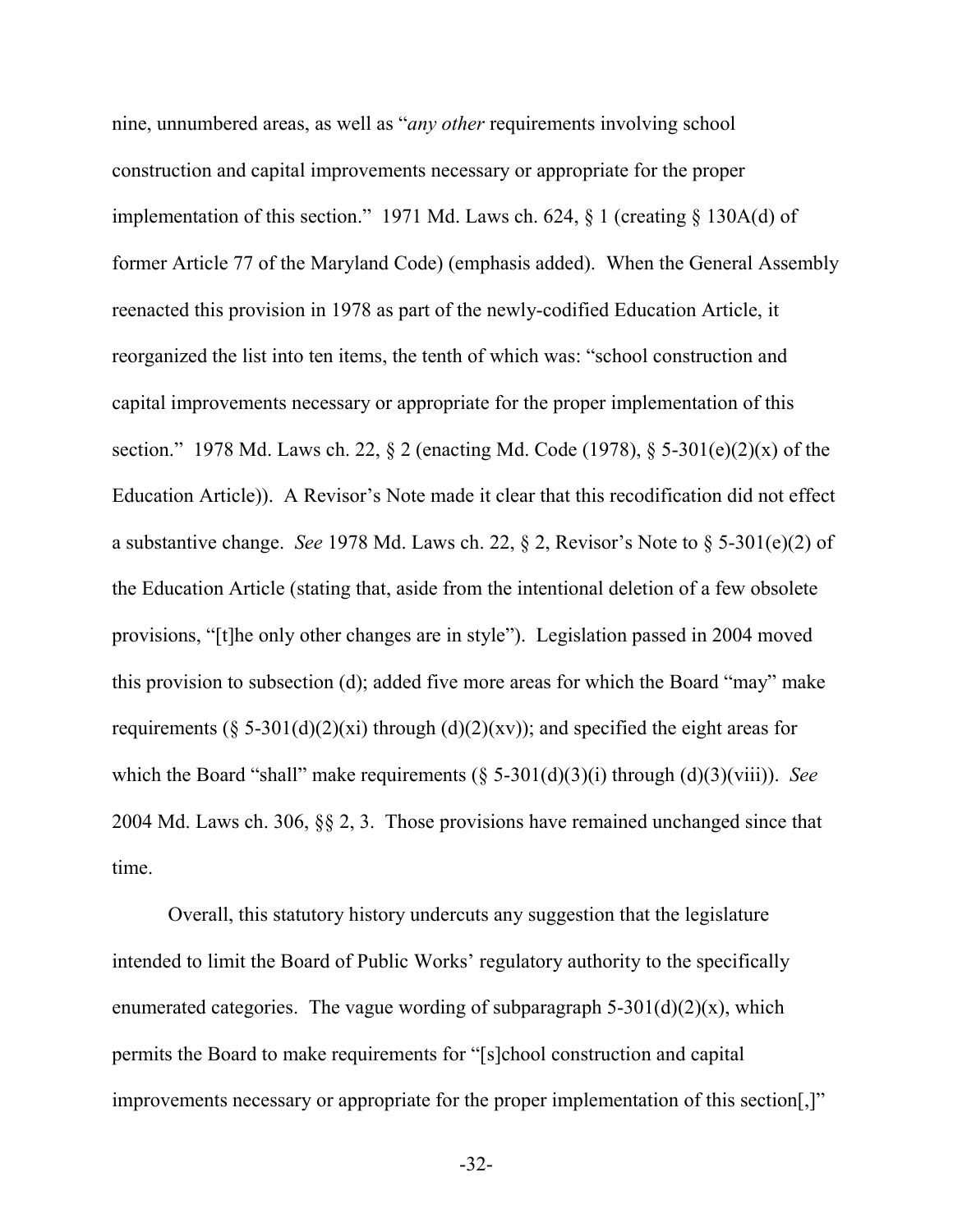nine, unnumbered areas, as well as "*any other* requirements involving school construction and capital improvements necessary or appropriate for the proper implementation of this section." 1971 Md. Laws ch. 624, § 1 (creating § 130A(d) of former Article 77 of the Maryland Code) (emphasis added). When the General Assembly reenacted this provision in 1978 as part of the newly-codified Education Article, it reorganized the list into ten items, the tenth of which was: "school construction and capital improvements necessary or appropriate for the proper implementation of this section." 1978 Md. Laws ch. 22, § 2 (enacting Md. Code (1978), § 5-301(e)(2)(x) of the Education Article)). A Revisor's Note made it clear that this recodification did not effect a substantive change. *See* 1978 Md. Laws ch. 22, § 2, Revisor's Note to § 5-301(e)(2) of the Education Article (stating that, aside from the intentional deletion of a few obsolete provisions, "[t]he only other changes are in style"). Legislation passed in 2004 moved this provision to subsection (d); added five more areas for which the Board "may" make requirements (§ 5-301(d)(2)(xi) through (d)(2)(xv)); and specified the eight areas for which the Board "shall" make requirements (§ 5-301(d)(3)(i) through (d)(3)(viii)). *See* 2004 Md. Laws ch. 306, §§ 2, 3. Those provisions have remained unchanged since that time.

Overall, this statutory history undercuts any suggestion that the legislature intended to limit the Board of Public Works' regulatory authority to the specifically enumerated categories. The vague wording of subparagraph  $5-301(d)(2)(x)$ , which permits the Board to make requirements for "[s]chool construction and capital improvements necessary or appropriate for the proper implementation of this section[,]"

-32-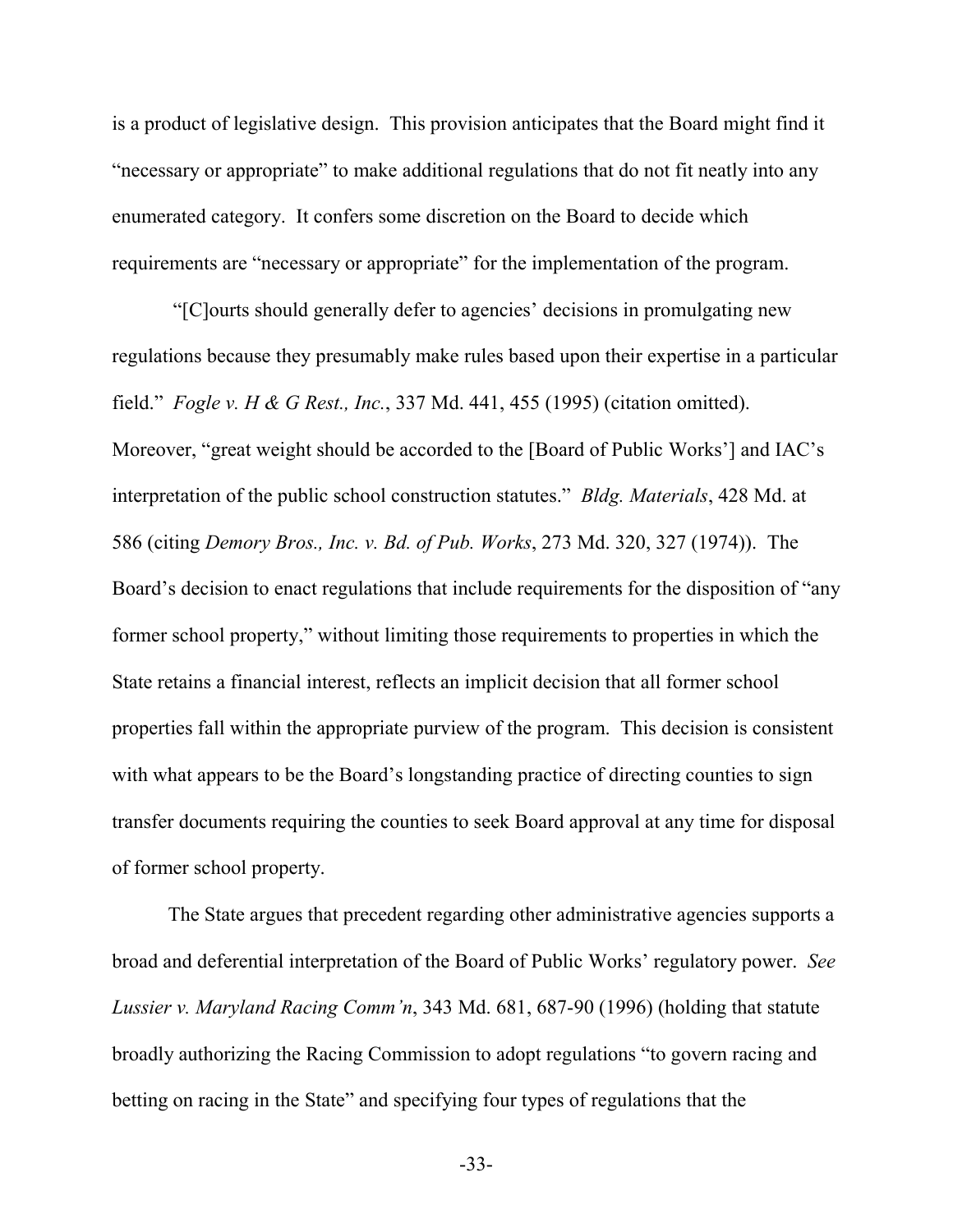is a product of legislative design. This provision anticipates that the Board might find it "necessary or appropriate" to make additional regulations that do not fit neatly into any enumerated category. It confers some discretion on the Board to decide which requirements are "necessary or appropriate" for the implementation of the program.

"[C]ourts should generally defer to agencies' decisions in promulgating new regulations because they presumably make rules based upon their expertise in a particular field." *Fogle v. H & G Rest., Inc.*, 337 Md. 441, 455 (1995) (citation omitted). Moreover, "great weight should be accorded to the [Board of Public Works'] and IAC's interpretation of the public school construction statutes." *Bldg. Materials*, 428 Md. at 586 (citing *Demory Bros., Inc. v. Bd. of Pub. Works*, 273 Md. 320, 327 (1974)). The Board's decision to enact regulations that include requirements for the disposition of "any former school property," without limiting those requirements to properties in which the State retains a financial interest, reflects an implicit decision that all former school properties fall within the appropriate purview of the program. This decision is consistent with what appears to be the Board's longstanding practice of directing counties to sign transfer documents requiring the counties to seek Board approval at any time for disposal of former school property.

The State argues that precedent regarding other administrative agencies supports a broad and deferential interpretation of the Board of Public Works' regulatory power. *See Lussier v. Maryland Racing Comm'n*, 343 Md. 681, 687-90 (1996) (holding that statute broadly authorizing the Racing Commission to adopt regulations "to govern racing and betting on racing in the State" and specifying four types of regulations that the

-33-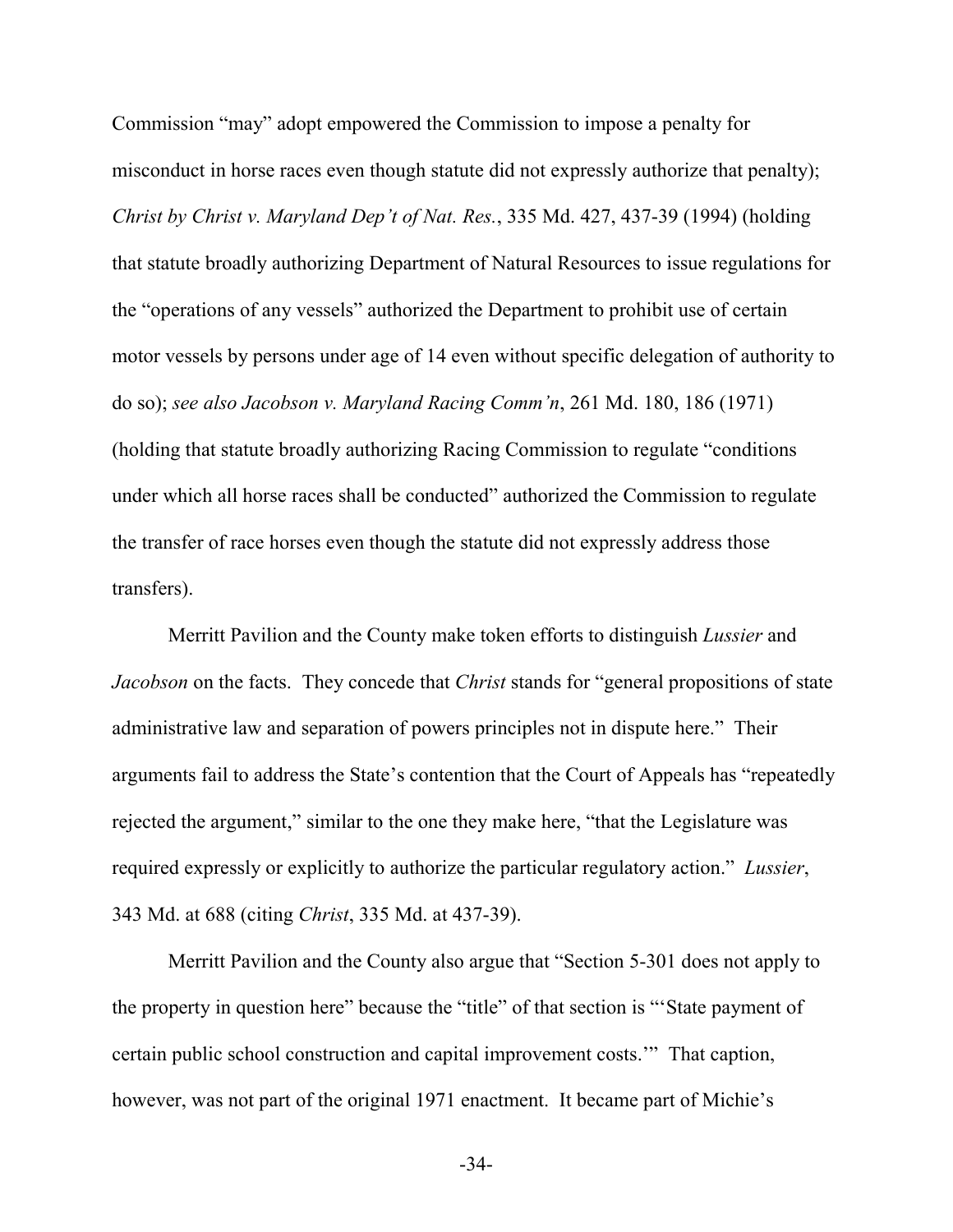Commission "may" adopt empowered the Commission to impose a penalty for misconduct in horse races even though statute did not expressly authorize that penalty); *Christ by Christ v. Maryland Dep't of Nat. Res.*, 335 Md. 427, 437-39 (1994) (holding that statute broadly authorizing Department of Natural Resources to issue regulations for the "operations of any vessels" authorized the Department to prohibit use of certain motor vessels by persons under age of 14 even without specific delegation of authority to do so); *see also Jacobson v. Maryland Racing Comm'n*, 261 Md. 180, 186 (1971) (holding that statute broadly authorizing Racing Commission to regulate "conditions under which all horse races shall be conducted" authorized the Commission to regulate the transfer of race horses even though the statute did not expressly address those transfers).

Merritt Pavilion and the County make token efforts to distinguish *Lussier* and *Jacobson* on the facts. They concede that *Christ* stands for "general propositions of state administrative law and separation of powers principles not in dispute here." Their arguments fail to address the State's contention that the Court of Appeals has "repeatedly rejected the argument," similar to the one they make here, "that the Legislature was required expressly or explicitly to authorize the particular regulatory action." *Lussier*, 343 Md. at 688 (citing *Christ*, 335 Md. at 437-39).

Merritt Pavilion and the County also argue that "Section 5-301 does not apply to the property in question here" because the "title" of that section is "'State payment of certain public school construction and capital improvement costs.'" That caption, however, was not part of the original 1971 enactment. It became part of Michie's

-34-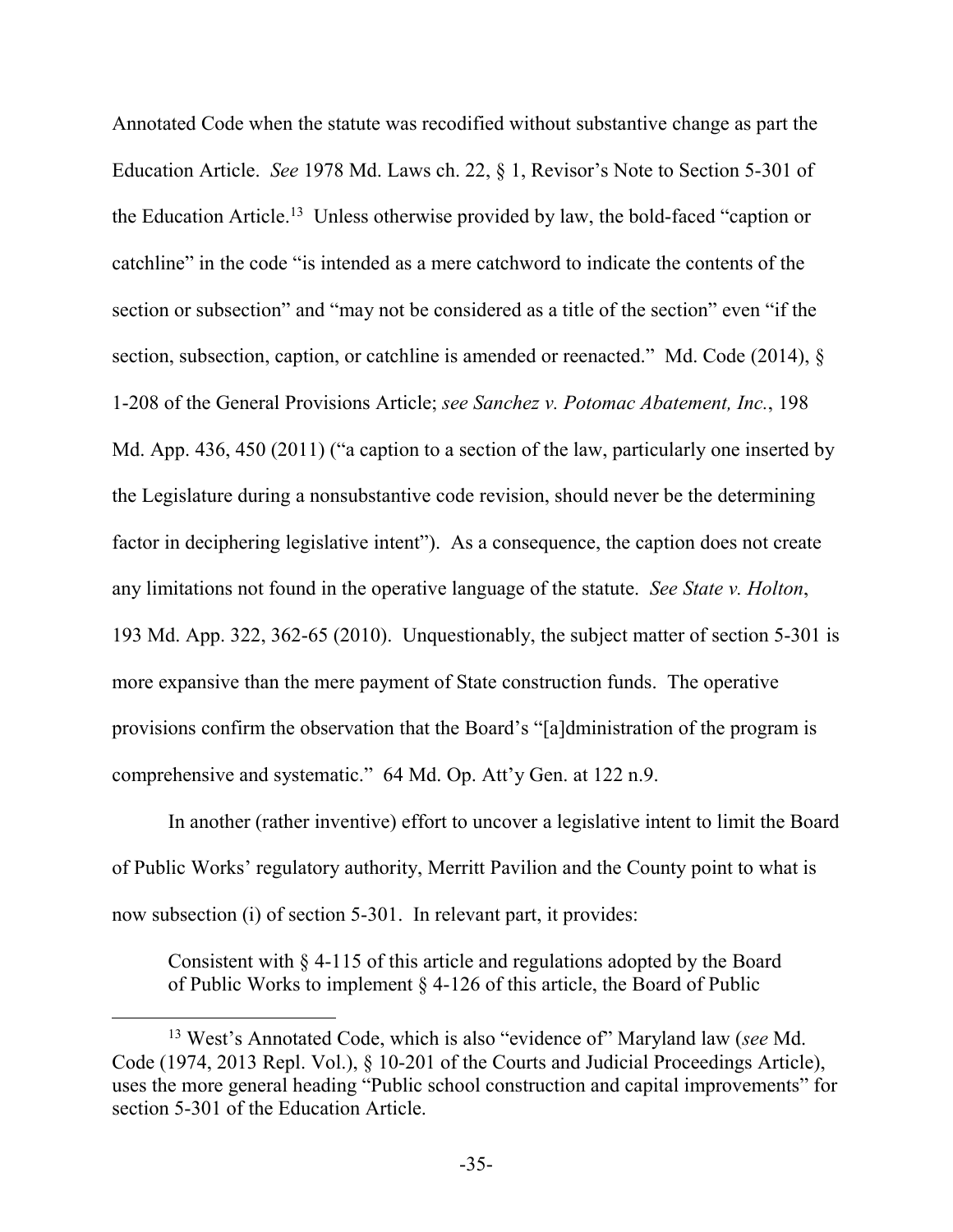Annotated Code when the statute was recodified without substantive change as part the Education Article. *See* 1978 Md. Laws ch. 22, § 1, Revisor's Note to Section 5-301 of the Education Article.<sup>13</sup> Unless otherwise provided by law, the bold-faced "caption or catchline" in the code "is intended as a mere catchword to indicate the contents of the section or subsection" and "may not be considered as a title of the section" even "if the section, subsection, caption, or catchline is amended or reenacted." Md. Code (2014),  $\S$ 1-208 of the General Provisions Article; *see Sanchez v. Potomac Abatement, Inc.*, 198 Md. App. 436, 450 (2011) ("a caption to a section of the law, particularly one inserted by the Legislature during a nonsubstantive code revision, should never be the determining factor in deciphering legislative intent"). As a consequence, the caption does not create any limitations not found in the operative language of the statute. *See State v. Holton*, 193 Md. App. 322, 362-65 (2010). Unquestionably, the subject matter of section 5-301 is more expansive than the mere payment of State construction funds. The operative provisions confirm the observation that the Board's "[a]dministration of the program is comprehensive and systematic." 64 Md. Op. Att'y Gen. at 122 n.9.

In another (rather inventive) effort to uncover a legislative intent to limit the Board of Public Works' regulatory authority, Merritt Pavilion and the County point to what is now subsection (i) of section 5-301. In relevant part, it provides:

Consistent with § 4-115 of this article and regulations adopted by the Board of Public Works to implement § 4-126 of this article, the Board of Public

<sup>13</sup> West's Annotated Code, which is also "evidence of" Maryland law (*see* Md. Code (1974, 2013 Repl. Vol.), § 10-201 of the Courts and Judicial Proceedings Article), uses the more general heading "Public school construction and capital improvements" for section 5-301 of the Education Article.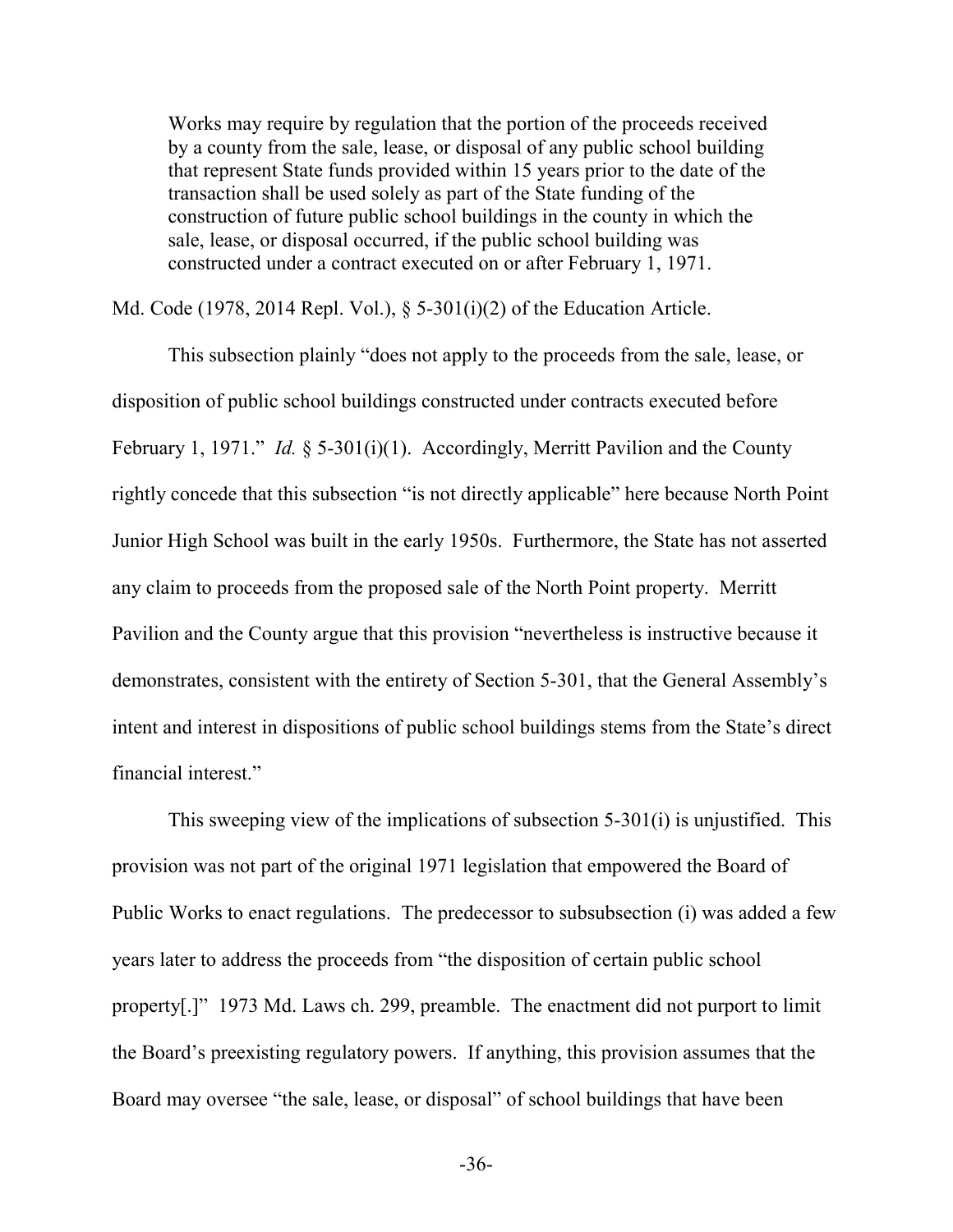Works may require by regulation that the portion of the proceeds received by a county from the sale, lease, or disposal of any public school building that represent State funds provided within 15 years prior to the date of the transaction shall be used solely as part of the State funding of the construction of future public school buildings in the county in which the sale, lease, or disposal occurred, if the public school building was constructed under a contract executed on or after February 1, 1971.

Md. Code (1978, 2014 Repl. Vol.), § 5-301(i)(2) of the Education Article.

This subsection plainly "does not apply to the proceeds from the sale, lease, or disposition of public school buildings constructed under contracts executed before February 1, 1971." *Id.* § 5-301(i)(1). Accordingly, Merritt Pavilion and the County rightly concede that this subsection "is not directly applicable" here because North Point Junior High School was built in the early 1950s. Furthermore, the State has not asserted any claim to proceeds from the proposed sale of the North Point property. Merritt Pavilion and the County argue that this provision "nevertheless is instructive because it demonstrates, consistent with the entirety of Section 5-301, that the General Assembly's intent and interest in dispositions of public school buildings stems from the State's direct financial interest."

This sweeping view of the implications of subsection 5-301(i) is unjustified. This provision was not part of the original 1971 legislation that empowered the Board of Public Works to enact regulations. The predecessor to subsubsection (i) was added a few years later to address the proceeds from "the disposition of certain public school property[.]" 1973 Md. Laws ch. 299, preamble. The enactment did not purport to limit the Board's preexisting regulatory powers. If anything, this provision assumes that the Board may oversee "the sale, lease, or disposal" of school buildings that have been

-36-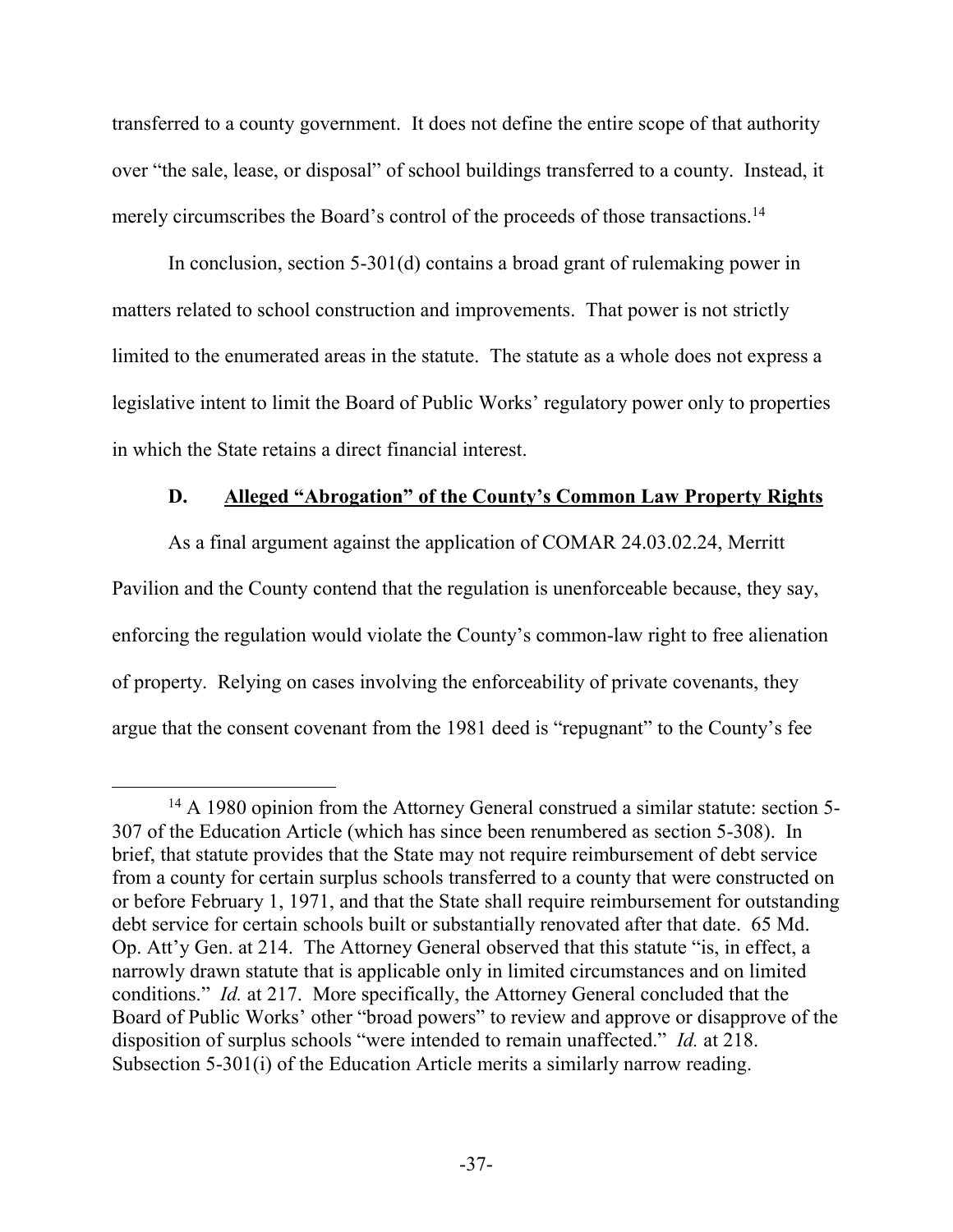transferred to a county government. It does not define the entire scope of that authority over "the sale, lease, or disposal" of school buildings transferred to a county. Instead, it merely circumscribes the Board's control of the proceeds of those transactions.<sup>14</sup>

In conclusion, section 5-301(d) contains a broad grant of rulemaking power in matters related to school construction and improvements. That power is not strictly limited to the enumerated areas in the statute. The statute as a whole does not express a legislative intent to limit the Board of Public Works' regulatory power only to properties in which the State retains a direct financial interest.

### **D. Alleged "Abrogation" of the County's Common Law Property Rights**

As a final argument against the application of COMAR 24.03.02.24, Merritt Pavilion and the County contend that the regulation is unenforceable because, they say, enforcing the regulation would violate the County's common-law right to free alienation of property. Relying on cases involving the enforceability of private covenants, they argue that the consent covenant from the 1981 deed is "repugnant" to the County's fee

 $\overline{a}$ <sup>14</sup> A 1980 opinion from the Attorney General construed a similar statute: section 5-307 of the Education Article (which has since been renumbered as section 5-308). In brief, that statute provides that the State may not require reimbursement of debt service from a county for certain surplus schools transferred to a county that were constructed on or before February 1, 1971, and that the State shall require reimbursement for outstanding debt service for certain schools built or substantially renovated after that date. 65 Md. Op. Att'y Gen. at 214. The Attorney General observed that this statute "is, in effect, a narrowly drawn statute that is applicable only in limited circumstances and on limited conditions." *Id.* at 217. More specifically, the Attorney General concluded that the Board of Public Works' other "broad powers" to review and approve or disapprove of the disposition of surplus schools "were intended to remain unaffected." *Id.* at 218. Subsection 5-301(i) of the Education Article merits a similarly narrow reading.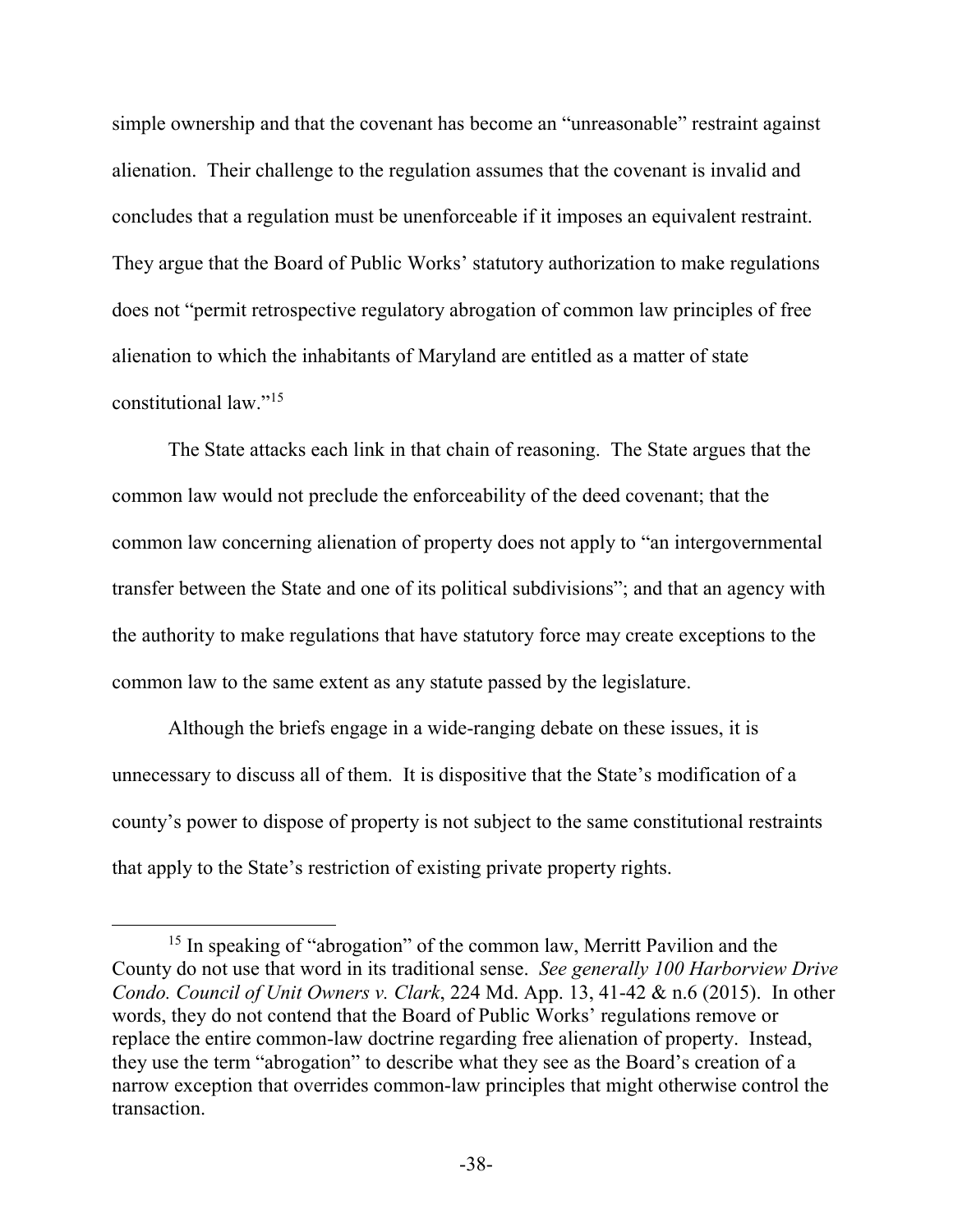simple ownership and that the covenant has become an "unreasonable" restraint against alienation. Their challenge to the regulation assumes that the covenant is invalid and concludes that a regulation must be unenforceable if it imposes an equivalent restraint. They argue that the Board of Public Works' statutory authorization to make regulations does not "permit retrospective regulatory abrogation of common law principles of free alienation to which the inhabitants of Maryland are entitled as a matter of state constitutional law."<sup>15</sup>

The State attacks each link in that chain of reasoning. The State argues that the common law would not preclude the enforceability of the deed covenant; that the common law concerning alienation of property does not apply to "an intergovernmental transfer between the State and one of its political subdivisions"; and that an agency with the authority to make regulations that have statutory force may create exceptions to the common law to the same extent as any statute passed by the legislature.

Although the briefs engage in a wide-ranging debate on these issues, it is unnecessary to discuss all of them. It is dispositive that the State's modification of a county's power to dispose of property is not subject to the same constitutional restraints that apply to the State's restriction of existing private property rights.

<sup>&</sup>lt;sup>15</sup> In speaking of "abrogation" of the common law, Merritt Pavilion and the County do not use that word in its traditional sense. *See generally 100 Harborview Drive Condo. Council of Unit Owners v. Clark*, 224 Md. App. 13, 41-42 & n.6 (2015). In other words, they do not contend that the Board of Public Works' regulations remove or replace the entire common-law doctrine regarding free alienation of property. Instead, they use the term "abrogation" to describe what they see as the Board's creation of a narrow exception that overrides common-law principles that might otherwise control the transaction.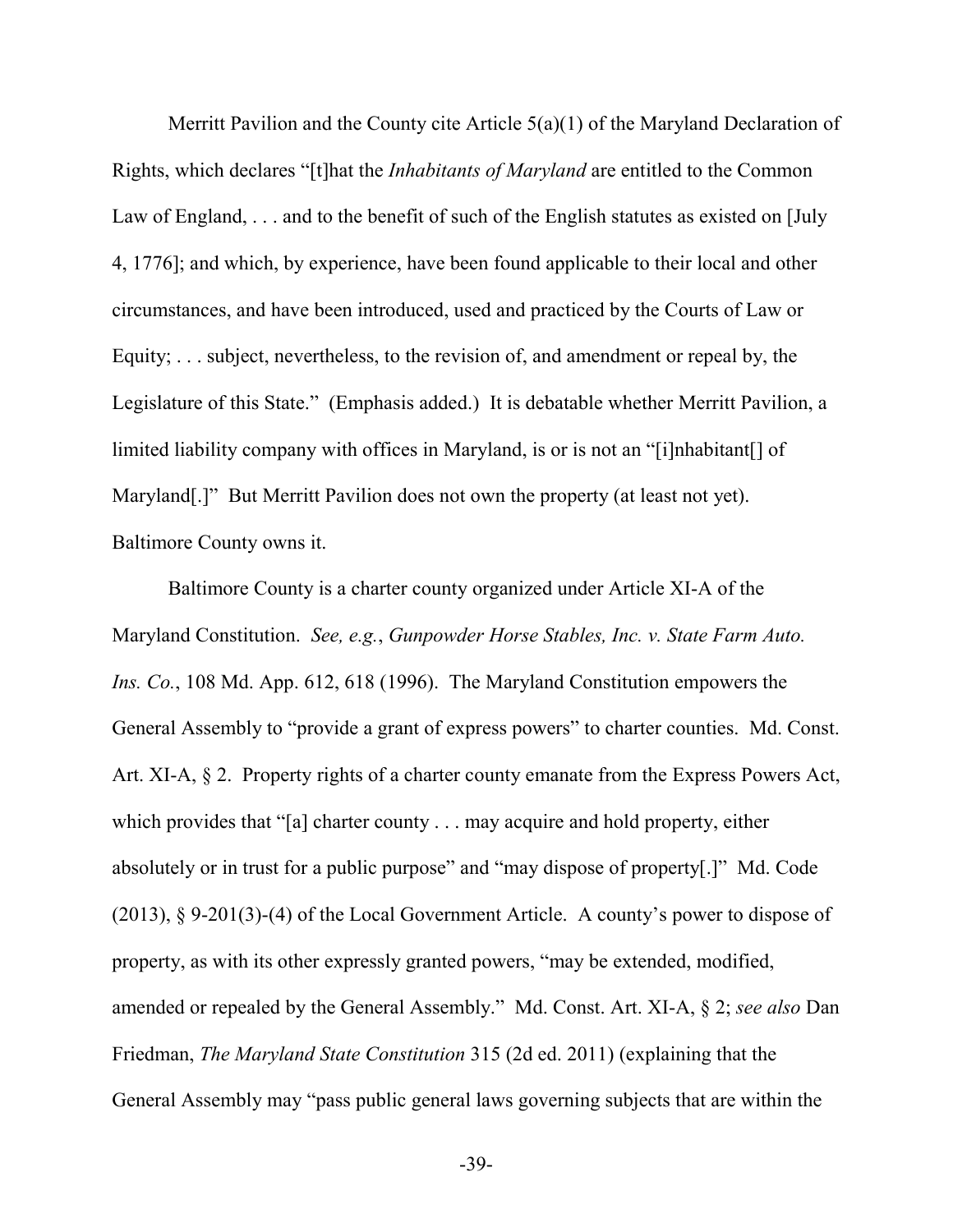Merritt Pavilion and the County cite Article 5(a)(1) of the Maryland Declaration of Rights, which declares "[t]hat the *Inhabitants of Maryland* are entitled to the Common Law of England, ... and to the benefit of such of the English statutes as existed on [July] 4, 1776]; and which, by experience, have been found applicable to their local and other circumstances, and have been introduced, used and practiced by the Courts of Law or Equity; . . . subject, nevertheless, to the revision of, and amendment or repeal by, the Legislature of this State." (Emphasis added.) It is debatable whether Merritt Pavilion, a limited liability company with offices in Maryland, is or is not an "[i]nhabitant[] of Maryland[.]" But Merritt Pavilion does not own the property (at least not yet). Baltimore County owns it.

 Baltimore County is a charter county organized under Article XI-A of the Maryland Constitution. *See, e.g.*, *Gunpowder Horse Stables, Inc. v. State Farm Auto. Ins. Co.*, 108 Md. App. 612, 618 (1996). The Maryland Constitution empowers the General Assembly to "provide a grant of express powers" to charter counties. Md. Const. Art. XI-A, § 2. Property rights of a charter county emanate from the Express Powers Act, which provides that "[a] charter county . . . may acquire and hold property, either absolutely or in trust for a public purpose" and "may dispose of property[.]" Md. Code (2013), § 9-201(3)-(4) of the Local Government Article. A county's power to dispose of property, as with its other expressly granted powers, "may be extended, modified, amended or repealed by the General Assembly." Md. Const. Art. XI-A, § 2; *see also* Dan Friedman, *The Maryland State Constitution* 315 (2d ed. 2011) (explaining that the General Assembly may "pass public general laws governing subjects that are within the

-39-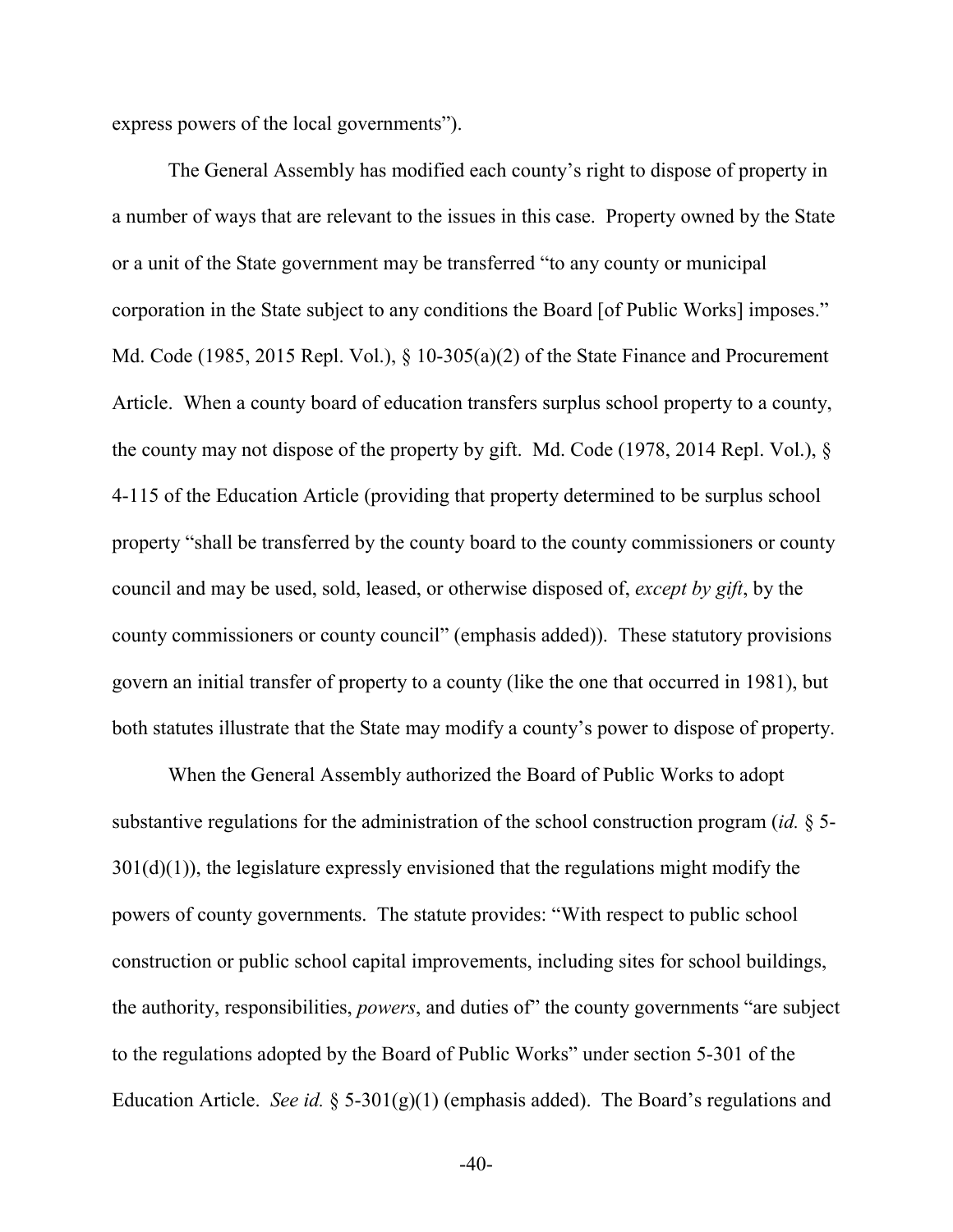express powers of the local governments").

The General Assembly has modified each county's right to dispose of property in a number of ways that are relevant to the issues in this case. Property owned by the State or a unit of the State government may be transferred "to any county or municipal corporation in the State subject to any conditions the Board [of Public Works] imposes." Md. Code (1985, 2015 Repl. Vol.), § 10-305(a)(2) of the State Finance and Procurement Article. When a county board of education transfers surplus school property to a county, the county may not dispose of the property by gift. Md. Code (1978, 2014 Repl. Vol.), § 4-115 of the Education Article (providing that property determined to be surplus school property "shall be transferred by the county board to the county commissioners or county council and may be used, sold, leased, or otherwise disposed of, *except by gift*, by the county commissioners or county council" (emphasis added)). These statutory provisions govern an initial transfer of property to a county (like the one that occurred in 1981), but both statutes illustrate that the State may modify a county's power to dispose of property.

 When the General Assembly authorized the Board of Public Works to adopt substantive regulations for the administration of the school construction program (*id.* § 5-  $301(d)(1)$ , the legislature expressly envisioned that the regulations might modify the powers of county governments. The statute provides: "With respect to public school construction or public school capital improvements, including sites for school buildings, the authority, responsibilities, *powers*, and duties of" the county governments "are subject to the regulations adopted by the Board of Public Works" under section 5-301 of the Education Article. *See id.* § 5-301(g)(1) (emphasis added). The Board's regulations and

-40-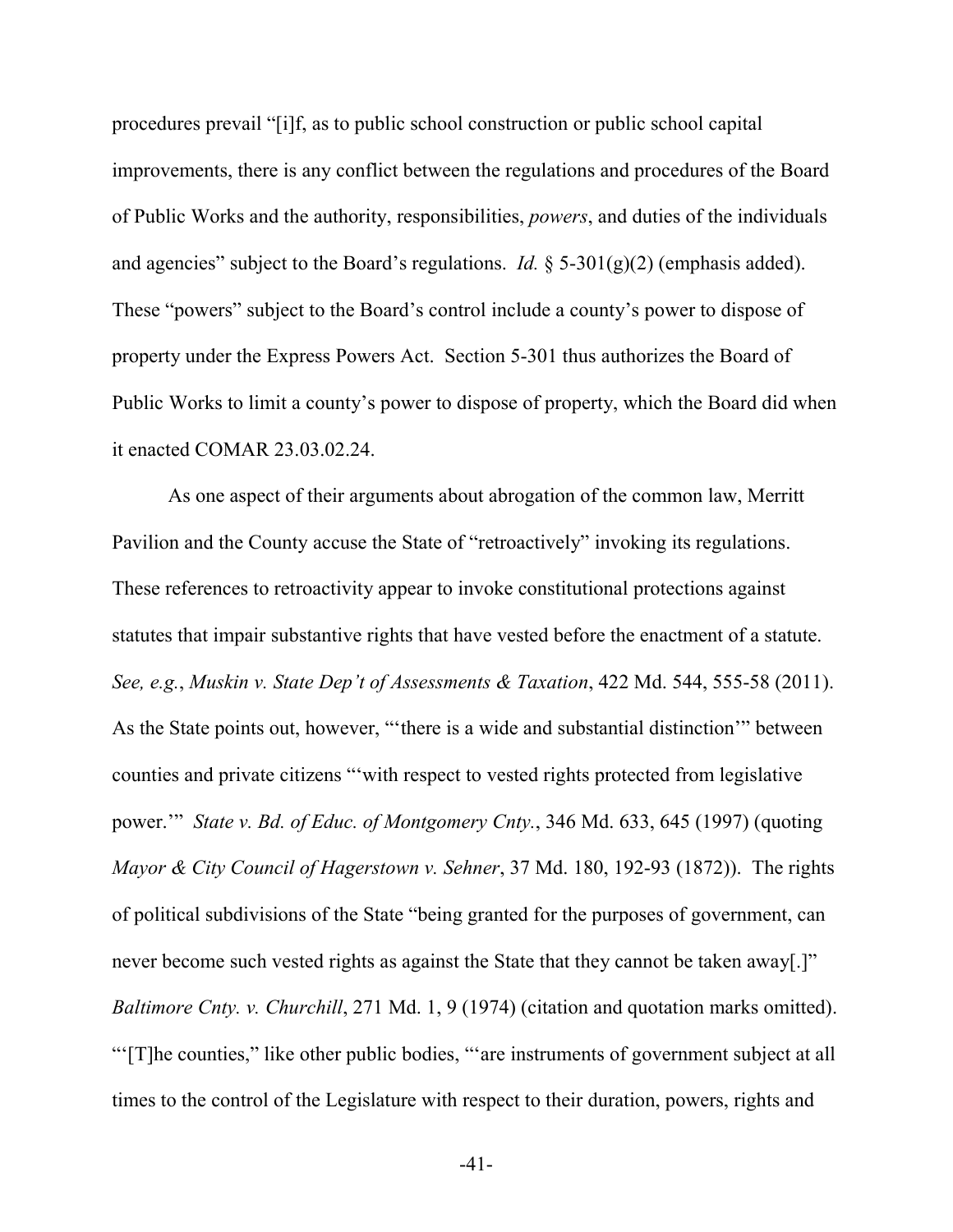procedures prevail "[i]f, as to public school construction or public school capital improvements, there is any conflict between the regulations and procedures of the Board of Public Works and the authority, responsibilities, *powers*, and duties of the individuals and agencies" subject to the Board's regulations. *Id.*  $\S$  5-301(g)(2) (emphasis added). These "powers" subject to the Board's control include a county's power to dispose of property under the Express Powers Act. Section 5-301 thus authorizes the Board of Public Works to limit a county's power to dispose of property, which the Board did when it enacted COMAR 23.03.02.24.

As one aspect of their arguments about abrogation of the common law, Merritt Pavilion and the County accuse the State of "retroactively" invoking its regulations. These references to retroactivity appear to invoke constitutional protections against statutes that impair substantive rights that have vested before the enactment of a statute. *See, e.g.*, *Muskin v. State Dep't of Assessments & Taxation*, 422 Md. 544, 555-58 (2011). As the State points out, however, "'there is a wide and substantial distinction'" between counties and private citizens "'with respect to vested rights protected from legislative power.'" *State v. Bd. of Educ. of Montgomery Cnty.*, 346 Md. 633, 645 (1997) (quoting *Mayor & City Council of Hagerstown v. Sehner*, 37 Md. 180, 192-93 (1872)). The rights of political subdivisions of the State "being granted for the purposes of government, can never become such vested rights as against the State that they cannot be taken away[.]" *Baltimore Cnty. v. Churchill*, 271 Md. 1, 9 (1974) (citation and quotation marks omitted). "'[T]he counties," like other public bodies, "'are instruments of government subject at all times to the control of the Legislature with respect to their duration, powers, rights and

-41-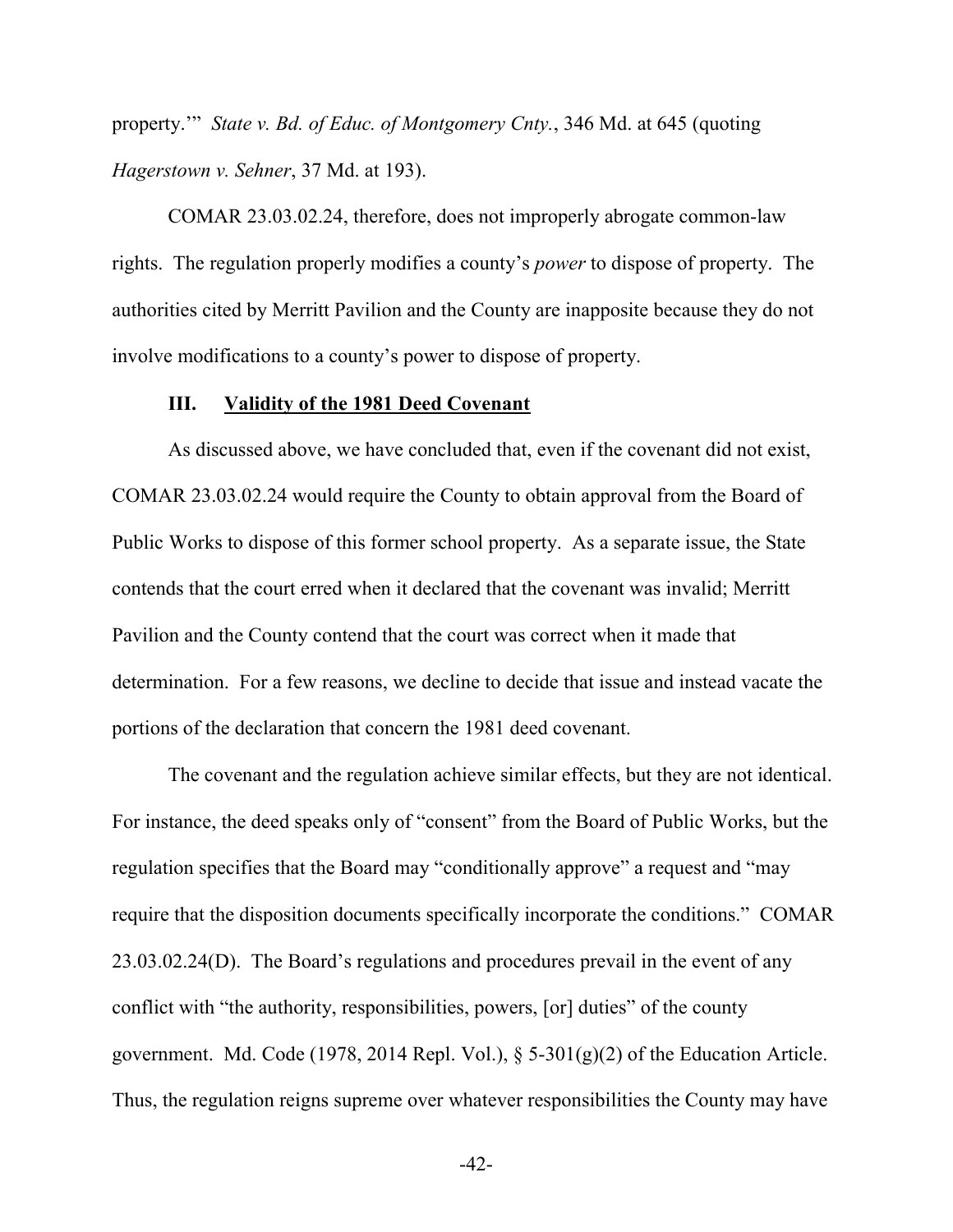property.'" *State v. Bd. of Educ. of Montgomery Cnty.*, 346 Md. at 645 (quoting *Hagerstown v. Sehner*, 37 Md. at 193).

COMAR 23.03.02.24, therefore, does not improperly abrogate common-law rights. The regulation properly modifies a county's *power* to dispose of property. The authorities cited by Merritt Pavilion and the County are inapposite because they do not involve modifications to a county's power to dispose of property.

#### **III. Validity of the 1981 Deed Covenant**

As discussed above, we have concluded that, even if the covenant did not exist, COMAR 23.03.02.24 would require the County to obtain approval from the Board of Public Works to dispose of this former school property. As a separate issue, the State contends that the court erred when it declared that the covenant was invalid; Merritt Pavilion and the County contend that the court was correct when it made that determination. For a few reasons, we decline to decide that issue and instead vacate the portions of the declaration that concern the 1981 deed covenant.

The covenant and the regulation achieve similar effects, but they are not identical. For instance, the deed speaks only of "consent" from the Board of Public Works, but the regulation specifies that the Board may "conditionally approve" a request and "may require that the disposition documents specifically incorporate the conditions." COMAR 23.03.02.24(D). The Board's regulations and procedures prevail in the event of any conflict with "the authority, responsibilities, powers, [or] duties" of the county government. Md. Code (1978, 2014 Repl. Vol.),  $\S$  5-301(g)(2) of the Education Article. Thus, the regulation reigns supreme over whatever responsibilities the County may have

-42-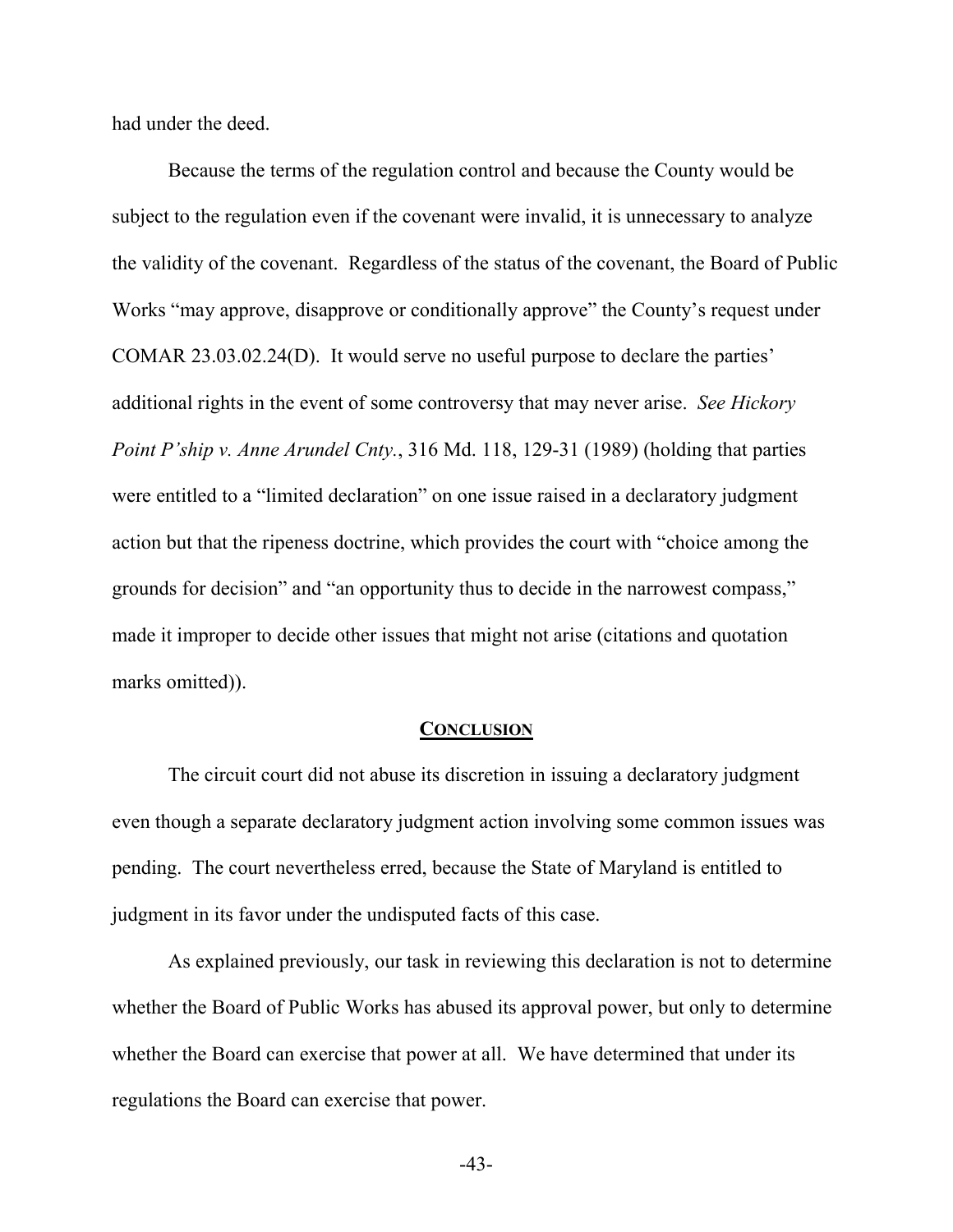had under the deed.

 Because the terms of the regulation control and because the County would be subject to the regulation even if the covenant were invalid, it is unnecessary to analyze the validity of the covenant. Regardless of the status of the covenant, the Board of Public Works "may approve, disapprove or conditionally approve" the County's request under COMAR 23.03.02.24(D). It would serve no useful purpose to declare the parties' additional rights in the event of some controversy that may never arise. *See Hickory Point P'ship v. Anne Arundel Cnty.*, 316 Md. 118, 129-31 (1989) (holding that parties were entitled to a "limited declaration" on one issue raised in a declaratory judgment action but that the ripeness doctrine, which provides the court with "choice among the grounds for decision" and "an opportunity thus to decide in the narrowest compass," made it improper to decide other issues that might not arise (citations and quotation marks omitted)).

#### **CONCLUSION**

The circuit court did not abuse its discretion in issuing a declaratory judgment even though a separate declaratory judgment action involving some common issues was pending. The court nevertheless erred, because the State of Maryland is entitled to judgment in its favor under the undisputed facts of this case.

As explained previously, our task in reviewing this declaration is not to determine whether the Board of Public Works has abused its approval power, but only to determine whether the Board can exercise that power at all. We have determined that under its regulations the Board can exercise that power.

-43-